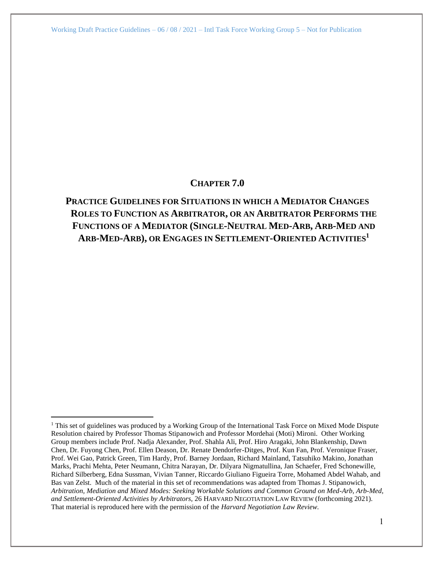# **CHAPTER 7.0**

# **PRACTICE GUIDELINES FOR SITUATIONS IN WHICH A MEDIATOR CHANGES ROLES TO FUNCTION AS ARBITRATOR, OR AN ARBITRATOR PERFORMS THE FUNCTIONS OF A MEDIATOR (SINGLE-NEUTRAL MED-ARB, ARB-MED AND ARB-MED-ARB), OR ENGAGES IN SETTLEMENT-ORIENTED ACTIVITIES<sup>1</sup>**

 $1$  This set of guidelines was produced by a Working Group of the International Task Force on Mixed Mode Dispute Resolution chaired by Professor Thomas Stipanowich and Professor Mordehai (Moti) Mironi. Other Working Group members include Prof. Nadja Alexander, Prof. Shahla Ali, Prof. Hiro Aragaki, John Blankenship, Dawn Chen, Dr. Fuyong Chen, Prof. Ellen Deason, Dr. Renate Dendorfer-Ditges, Prof. Kun Fan, Prof. Veronique Fraser, Prof. Wei Gao, Patrick Green, Tim Hardy, Prof. Barney Jordaan, Richard Mainland, Tatsuhiko Makino, Jonathan Marks, Prachi Mehta, Peter Neumann, Chitra Narayan, Dr. Dilyara Nigmatullina, Jan Schaefer, Fred Schonewille, Richard Silberberg, Edna Sussman, Vivian Tanner, Riccardo Giuliano Figueira Torre, Mohamed Abdel Wahab, and Bas van Zelst. Much of the material in this set of recommendations was adapted from Thomas J. Stipanowich, *Arbitration, Mediation and Mixed Modes: Seeking Workable Solutions and Common Ground on Med-Arb, Arb-Med, and Settlement-Oriented Activities by Arbitrators,* 26 HARVARD NEGOTIATION LAW REVIEW (forthcoming 2021). That material is reproduced here with the permission of the *Harvard Negotiation Law Review.*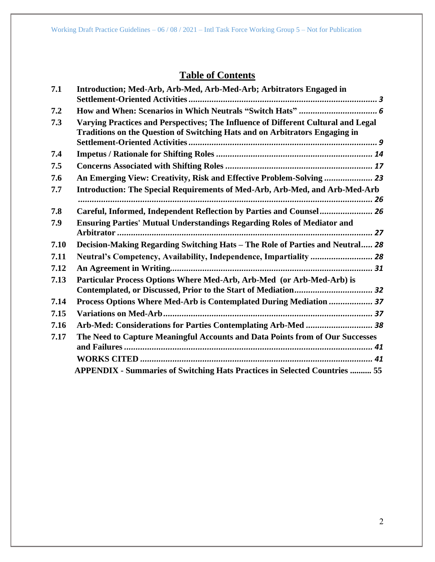# **Table of Contents**

<span id="page-1-0"></span>

| 7.1  | Introduction; Med-Arb, Arb-Med, Arb-Med-Arb; Arbitrators Engaged in                                                                                              |  |  |  |
|------|------------------------------------------------------------------------------------------------------------------------------------------------------------------|--|--|--|
| 7.2  |                                                                                                                                                                  |  |  |  |
| 7.3  | Varying Practices and Perspectives; The Influence of Different Cultural and Legal<br>Traditions on the Question of Switching Hats and on Arbitrators Engaging in |  |  |  |
| 7.4  |                                                                                                                                                                  |  |  |  |
| 7.5  |                                                                                                                                                                  |  |  |  |
| 7.6  | An Emerging View: Creativity, Risk and Effective Problem-Solving  23                                                                                             |  |  |  |
| 7.7  | Introduction: The Special Requirements of Med-Arb, Arb-Med, and Arb-Med-Arb                                                                                      |  |  |  |
| 7.8  | Careful, Informed, Independent Reflection by Parties and Counsel 26                                                                                              |  |  |  |
| 7.9  | <b>Ensuring Parties' Mutual Understandings Regarding Roles of Mediator and</b>                                                                                   |  |  |  |
| 7.10 | Decision-Making Regarding Switching Hats - The Role of Parties and Neutral 28                                                                                    |  |  |  |
| 7.11 | Neutral's Competency, Availability, Independence, Impartiality  28                                                                                               |  |  |  |
| 7.12 |                                                                                                                                                                  |  |  |  |
| 7.13 | Particular Process Options Where Med-Arb, Arb-Med (or Arb-Med-Arb) is<br>Contemplated, or Discussed, Prior to the Start of Mediation 32                          |  |  |  |
| 7.14 | Process Options Where Med-Arb is Contemplated During Mediation  37                                                                                               |  |  |  |
| 7.15 |                                                                                                                                                                  |  |  |  |
| 7.16 | Arb-Med: Considerations for Parties Contemplating Arb-Med  38                                                                                                    |  |  |  |
| 7.17 | The Need to Capture Meaningful Accounts and Data Points from of Our Successes                                                                                    |  |  |  |
|      |                                                                                                                                                                  |  |  |  |
|      | <b>APPENDIX - Summaries of Switching Hats Practices in Selected Countries  55</b>                                                                                |  |  |  |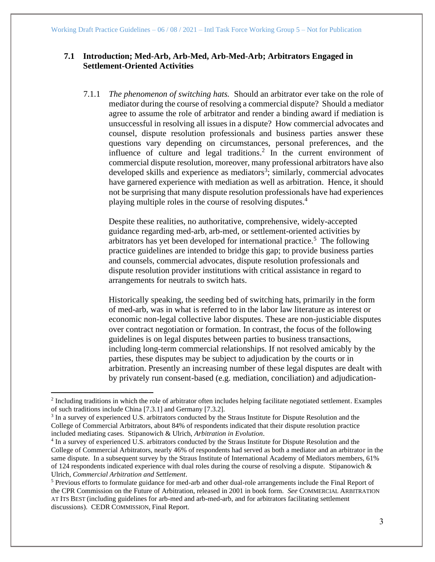## **7.1 Introduction; Med-Arb, Arb-Med, Arb-Med-Arb; Arbitrators Engaged in Settlement-Oriented Activities**

7.1.1 *The phenomenon of switching hats.* Should an arbitrator ever take on the role of mediator during the course of resolving a commercial dispute? Should a mediator agree to assume the role of arbitrator and render a binding award if mediation is unsuccessful in resolving all issues in a dispute? How commercial advocates and counsel, dispute resolution professionals and business parties answer these questions vary depending on circumstances, personal preferences, and the influence of culture and legal traditions. 2 In the current environment of commercial dispute resolution, moreover, many professional arbitrators have also developed skills and experience as mediators<sup>3</sup>; similarly, commercial advocates have garnered experience with mediation as well as arbitration. Hence, it should not be surprising that many dispute resolution professionals have had experiences playing multiple roles in the course of resolving disputes. 4

<span id="page-2-0"></span>Despite these realities, no authoritative, comprehensive, widely-accepted guidance regarding med-arb, arb-med, or settlement-oriented activities by arbitrators has yet been developed for international practice.<sup>5</sup> The following practice guidelines are intended to bridge this gap; to provide business parties and counsels, commercial advocates, dispute resolution professionals and dispute resolution provider institutions with critical assistance in regard to arrangements for neutrals to switch hats.

Historically speaking, the seeding bed of switching hats, primarily in the form of med-arb, was in what is referred to in the labor law literature as interest or economic non-legal collective labor disputes. These are non-justiciable disputes over contract negotiation or formation. In contrast, the focus of the following guidelines is on legal disputes between parties to business transactions, including long-term commercial relationships. If not resolved amicably by the parties, these disputes may be subject to adjudication by the courts or in arbitration. Presently an increasing number of these legal disputes are dealt with by privately run consent-based (e.g. mediation, conciliation) and adjudication-

<sup>&</sup>lt;sup>2</sup> Including traditions in which the role of arbitrator often includes helping facilitate negotiated settlement. Examples of such traditions include China [7.3.1] and Germany [7.3.2].

<sup>&</sup>lt;sup>3</sup> In a survey of experienced U.S. arbitrators conducted by the Straus Institute for Dispute Resolution and the College of Commercial Arbitrators, about 84% of respondents indicated that their dispute resolution practice included mediating cases. Stipanowich & Ulrich, *Arbitration in Evolution*.

<sup>&</sup>lt;sup>4</sup> In a survey of experienced U.S. arbitrators conducted by the Straus Institute for Dispute Resolution and the College of Commercial Arbitrators, nearly 46% of respondents had served as both a mediator and an arbitrator in the same dispute. In a subsequent survey by the Straus Institute of International Academy of Mediators members, 61% of 124 respondents indicated experience with dual roles during the course of resolving a dispute. Stipanowich  $\&$ Ulrich, *Commercial Arbitration and Settlement*.

<sup>5</sup> Previous efforts to formulate guidance for med-arb and other dual-role arrangements include the Final Report of the CPR Commission on the Future of Arbitration, released in 2001 in book form. *See* COMMERCIAL ARBITRATION AT ITS BEST (including guidelines for arb-med and arb-med-arb, and for arbitrators facilitating settlement discussions). CEDR COMMISSION, Final Report.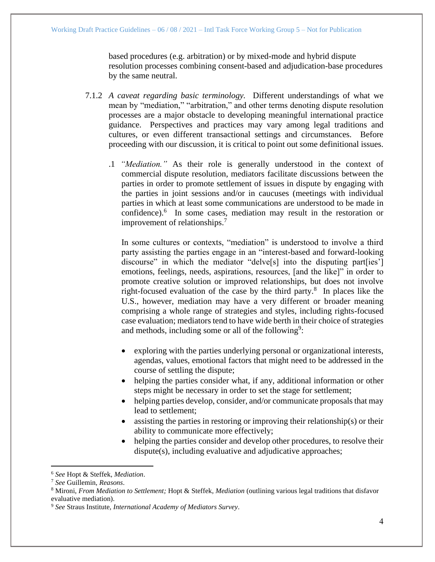based procedures (e.g. arbitration) or by mixed-mode and hybrid dispute resolution processes combining consent-based and adjudication-base procedures by the same neutral.

- 7.1.2 *A caveat regarding basic terminology.* Different understandings of what we mean by "mediation," "arbitration," and other terms denoting dispute resolution processes are a major obstacle to developing meaningful international practice guidance. Perspectives and practices may vary among legal traditions and cultures, or even different transactional settings and circumstances. Before proceeding with our discussion, it is critical to point out some definitional issues.
	- .1 *"Mediation."* As their role is generally understood in the context of commercial dispute resolution, mediators facilitate discussions between the parties in order to promote settlement of issues in dispute by engaging with the parties in joint sessions and/or in caucuses (meetings with individual parties in which at least some communications are understood to be made in confidence).<sup>6</sup> In some cases, mediation may result in the restoration or improvement of relationships.<sup>7</sup>

In some cultures or contexts, "mediation" is understood to involve a third party assisting the parties engage in an "interest-based and forward-looking discourse" in which the mediator "delve[s] into the disputing part[ies'] emotions, feelings, needs, aspirations, resources, [and the like]" in order to promote creative solution or improved relationships, but does not involve right-focused evaluation of the case by the third party. $8$  In places like the U.S., however, mediation may have a very different or broader meaning comprising a whole range of strategies and styles, including rights-focused case evaluation; mediators tend to have wide berth in their choice of strategies and methods, including some or all of the following<sup>9</sup>:

- exploring with the parties underlying personal or organizational interests, agendas, values, emotional factors that might need to be addressed in the course of settling the dispute;
- helping the parties consider what, if any, additional information or other steps might be necessary in order to set the stage for settlement;
- helping parties develop, consider, and/or communicate proposals that may lead to settlement;
- assisting the parties in restoring or improving their relationship(s) or their ability to communicate more effectively;
- helping the parties consider and develop other procedures, to resolve their dispute(s), including evaluative and adjudicative approaches;

<sup>6</sup> *See* Hopt & Steffek, *Mediation*.

<sup>7</sup> *See* Guillemin, *Reasons*.

<sup>8</sup> Mironi, *From Mediation to Settlement;* Hopt & Steffek, *Mediation* (outlining various legal traditions that disfavor evaluative mediation).

<sup>9</sup> *See* Straus Institute, *International Academy of Mediators Survey*.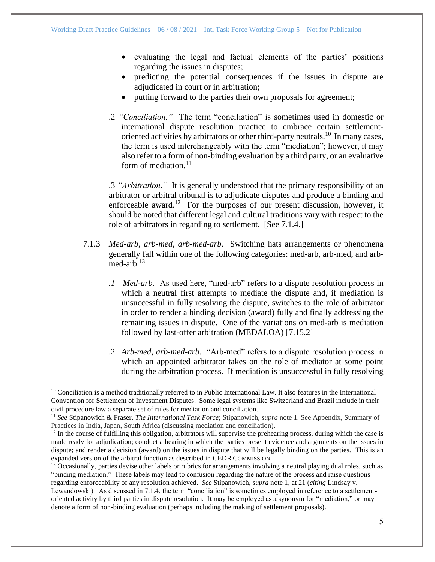- evaluating the legal and factual elements of the parties' positions regarding the issues in disputes;
- predicting the potential consequences if the issues in dispute are adjudicated in court or in arbitration;
- putting forward to the parties their own proposals for agreement;
- .2 *"Conciliation."* The term "conciliation" is sometimes used in domestic or international dispute resolution practice to embrace certain settlementoriented activities by arbitrators or other third-party neutrals.<sup>10</sup> In many cases, the term is used interchangeably with the term "mediation"; however, it may also refer to a form of non-binding evaluation by a third party, or an evaluative form of mediation.<sup>11</sup>

.3 *"Arbitration."* It is generally understood that the primary responsibility of an arbitrator or arbitral tribunal is to adjudicate disputes and produce a binding and enforceable award.<sup>12</sup> For the purposes of our present discussion, however, it should be noted that different legal and cultural traditions vary with respect to the role of arbitrators in regarding to settlement. [See 7.1.4.]

- 7.1.3 *Med-arb, arb-med, arb-med-arb.* Switching hats arrangements or phenomena generally fall within one of the following categories: med-arb, arb-med, and arbmed-arb. $13$ 
	- *.1 Med-arb.* As used here, "med-arb" refers to a dispute resolution process in which a neutral first attempts to mediate the dispute and, if mediation is unsuccessful in fully resolving the dispute, switches to the role of arbitrator in order to render a binding decision (award) fully and finally addressing the remaining issues in dispute. One of the variations on med-arb is mediation followed by last-offer arbitration (MEDALOA) [7.15.2]
	- .2 *Arb-med, arb-med-arb.* "Arb-med" refers to a dispute resolution process in which an appointed arbitrator takes on the role of mediator at some point during the arbitration process. If mediation is unsuccessful in fully resolving

 $10$  Conciliation is a method traditionally referred to in Public International Law. It also features in the International Convention for Settlement of Investment Disputes. Some legal systems like Switzerland and Brazil include in their civil procedure law a separate set of rules for mediation and conciliation.

<sup>11</sup> *See* Stipanowich & Fraser, *The International Task Force*; Stipanowich, *supra* note 1. See Appendix, Summary of Practices in India, Japan, South Africa (discussing mediation and conciliation).

 $12$  In the course of fulfilling this obligation, arbitrators will supervise the prehearing process, during which the case is made ready for adjudication; conduct a hearing in which the parties present evidence and arguments on the issues in dispute; and render a decision (award) on the issues in dispute that will be legally binding on the parties. This is an expanded version of the arbitral function as described in CEDR COMMISSION.

<sup>&</sup>lt;sup>13</sup> Occasionally, parties devise other labels or rubrics for arrangements involving a neutral playing dual roles, such as "binding mediation." These labels may lead to confusion regarding the nature of the process and raise questions regarding enforceability of any resolution achieved. *See* Stipanowich, *supra* note 1, at 21 (*citing* Lindsay v. Lewandowski). As discussed in 7.1.4, the term "conciliation" is sometimes employed in reference to a settlement-

oriented activity by third parties in dispute resolution. It may be employed as a synonym for "mediation," or may denote a form of non-binding evaluation (perhaps including the making of settlement proposals).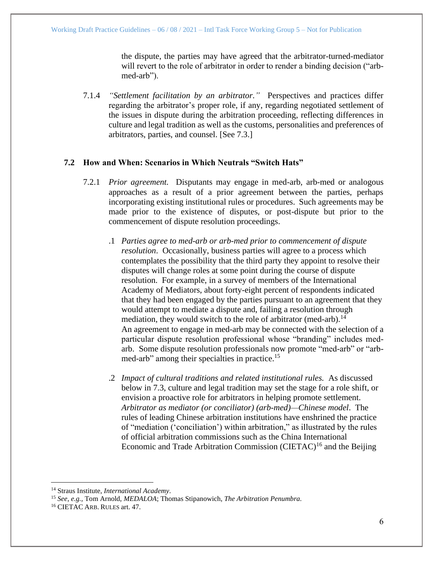the dispute, the parties may have agreed that the arbitrator-turned-mediator will revert to the role of arbitrator in order to render a binding decision ("arbmed-arb").

7.1.4 *"Settlement facilitation by an arbitrator."* Perspectives and practices differ regarding the arbitrator's proper role, if any, regarding negotiated settlement of the issues in dispute during the arbitration proceeding, reflecting differences in culture and legal tradition as well as the customs, personalities and preferences of arbitrators, parties, and counsel. [See 7.3.]

## <span id="page-5-0"></span>**7.2 How and When: Scenarios in Which Neutrals "Switch Hats"**

- 7.2.1 *Prior agreement.* Disputants may engage in med-arb, arb-med or analogous approaches as a result of a prior agreement between the parties, perhaps incorporating existing institutional rules or procedures. Such agreements may be made prior to the existence of disputes, or post-dispute but prior to the commencement of dispute resolution proceedings.
	- .1 *Parties agree to med-arb or arb-med prior to commencement of dispute resolution*. Occasionally, business parties will agree to a process which contemplates the possibility that the third party they appoint to resolve their disputes will change roles at some point during the course of dispute resolution. For example, in a survey of members of the International Academy of Mediators, about forty-eight percent of respondents indicated that they had been engaged by the parties pursuant to an agreement that they would attempt to mediate a dispute and, failing a resolution through mediation, they would switch to the role of arbitrator (med-arb).<sup>14</sup> An agreement to engage in med-arb may be connected with the selection of a particular dispute resolution professional whose "branding" includes medarb. Some dispute resolution professionals now promote "med-arb" or "arbmed-arb" among their specialties in practice.<sup>15</sup>
	- .2 *Impact of cultural traditions and related institutional rules.* As discussed below in 7.3, culture and legal tradition may set the stage for a role shift, or envision a proactive role for arbitrators in helping promote settlement. *Arbitrator as mediator (or conciliator) (arb-med)—Chinese model*. The rules of leading Chinese arbitration institutions have enshrined the practice of "mediation ('conciliation') within arbitration," as illustrated by the rules of official arbitration commissions such as the China International Economic and Trade Arbitration Commission (CIETAC)<sup>16</sup> and the Beijing

<sup>14</sup> Straus Institute, *International Academy*.

<sup>15</sup> *See, e.g.,* Tom Arnold, *MEDALOA*; Thomas Stipanowich, *The Arbitration Penumbra.*

<sup>16</sup> CIETAC ARB. RULES art. 47.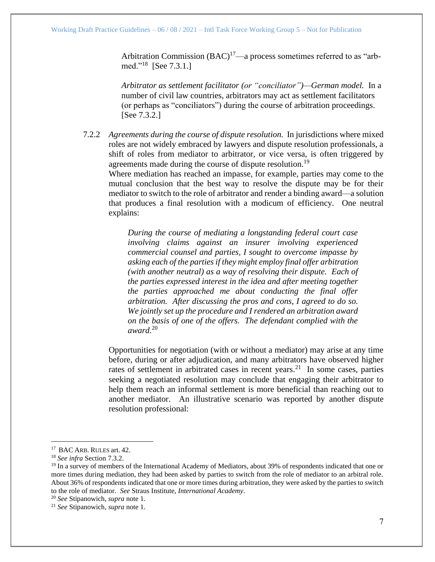Arbitration Commission  $(BAC)^{17}$ —a process sometimes referred to as "arbmed."<sup>18</sup> [See 7.3.1.]

*Arbitrator as settlement facilitator (or "conciliator")—German model.* In a number of civil law countries, arbitrators may act as settlement facilitators (or perhaps as "conciliators") during the course of arbitration proceedings. [See 7.3.2.]

7.2.2 *Agreements during the course of dispute resolution.* In jurisdictions where mixed roles are not widely embraced by lawyers and dispute resolution professionals, a shift of roles from mediator to arbitrator, or vice versa, is often triggered by agreements made during the course of dispute resolution.<sup>19</sup>

Where mediation has reached an impasse, for example, parties may come to the mutual conclusion that the best way to resolve the dispute may be for their mediator to switch to the role of arbitrator and render a binding award—a solution that produces a final resolution with a modicum of efficiency. One neutral explains:

*During the course of mediating a longstanding federal court case involving claims against an insurer involving experienced commercial counsel and parties, I sought to overcome impasse by asking each of the parties if they might employ final offer arbitration (with another neutral) as a way of resolving their dispute. Each of the parties expressed interest in the idea and after meeting together the parties approached me about conducting the final offer arbitration. After discussing the pros and cons, I agreed to do so. We jointly set up the procedure and I rendered an arbitration award on the basis of one of the offers. The defendant complied with the award.*<sup>20</sup>

Opportunities for negotiation (with or without a mediator) may arise at any time before, during or after adjudication, and many arbitrators have observed higher rates of settlement in arbitrated cases in recent years.<sup>21</sup> In some cases, parties seeking a negotiated resolution may conclude that engaging their arbitrator to help them reach an informal settlement is more beneficial than reaching out to another mediator. An illustrative scenario was reported by another dispute resolution professional:

<sup>20</sup> *See* Stipanowich, *supra* note 1.

<sup>&</sup>lt;sup>17</sup> BAC ARB. RULES art. 42.

<sup>18</sup> *See infra* Section 7.3.2.

<sup>&</sup>lt;sup>19</sup> In a survey of members of the International Academy of Mediators, about 39% of respondents indicated that one or more times during mediation, they had been asked by parties to switch from the role of mediator to an arbitral role. About 36% of respondents indicated that one or more times during arbitration, they were asked by the parties to switch to the role of mediator. *See* Straus Institute, *International Academy*.

<sup>21</sup> *See* Stipanowich, *supra* note 1.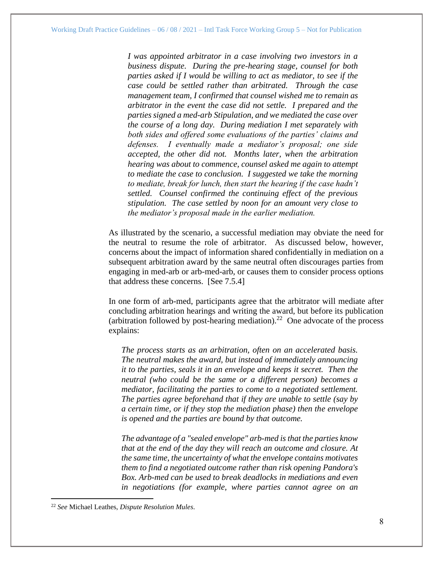*I was appointed arbitrator in a case involving two investors in a business dispute. During the pre-hearing stage, counsel for both parties asked if I would be willing to act as mediator, to see if the case could be settled rather than arbitrated. Through the case management team, I confirmed that counsel wished me to remain as arbitrator in the event the case did not settle. I prepared and the parties signed a med-arb Stipulation, and we mediated the case over the course of a long day. During mediation I met separately with both sides and offered some evaluations of the parties' claims and defenses. I eventually made a mediator's proposal; one side accepted, the other did not. Months later, when the arbitration hearing was about to commence, counsel asked me again to attempt to mediate the case to conclusion. I suggested we take the morning to mediate, break for lunch, then start the hearing if the case hadn't settled. Counsel confirmed the continuing effect of the previous stipulation. The case settled by noon for an amount very close to the mediator's proposal made in the earlier mediation.*

As illustrated by the scenario, a successful mediation may obviate the need for the neutral to resume the role of arbitrator. As discussed below, however, concerns about the impact of information shared confidentially in mediation on a subsequent arbitration award by the same neutral often discourages parties from engaging in med-arb or arb-med-arb, or causes them to consider process options that address these concerns. [See 7.5.4]

In one form of arb-med, participants agree that the arbitrator will mediate after concluding arbitration hearings and writing the award, but before its publication (arbitration followed by post-hearing mediation).<sup>22</sup> One advocate of the process explains:

*The process starts as an arbitration, often on an accelerated basis. The neutral makes the award, but instead of immediately announcing it to the parties, seals it in an envelope and keeps it secret. Then the neutral (who could be the same or a different person) becomes a mediator, facilitating the parties to come to a negotiated settlement. The parties agree beforehand that if they are unable to settle (say by a certain time, or if they stop the mediation phase) then the envelope is opened and the parties are bound by that outcome.*

*The advantage of a "sealed envelope" arb-med is that the parties know that at the end of the day they will reach an outcome and closure. At the same time, the uncertainty of what the envelope contains motivates them to find a negotiated outcome rather than risk opening Pandora's Box. Arb-med can be used to break deadlocks in mediations and even in negotiations (for example, where parties cannot agree on an* 

<sup>22</sup> *See* Michael Leathes, *Dispute Resolution Mules*.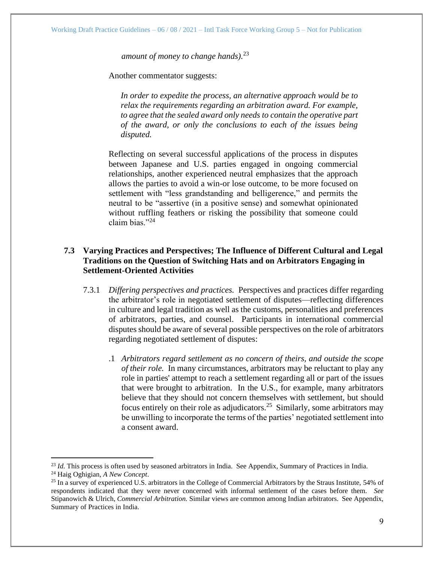*amount of money to change hands).*<sup>23</sup>

Another commentator suggests:

*In order to expedite the process, an alternative approach would be to relax the requirements regarding an arbitration award. For example, to agree that the sealed award only needs to contain the operative part of the award, or only the conclusions to each of the issues being disputed.*

Reflecting on several successful applications of the process in disputes between Japanese and U.S. parties engaged in ongoing commercial relationships, another experienced neutral emphasizes that the approach allows the parties to avoid a win-or lose outcome, to be more focused on settlement with "less grandstanding and belligerence," and permits the neutral to be "assertive (in a positive sense) and somewhat opinionated without ruffling feathers or risking the possibility that someone could claim bias."<sup>24</sup>

## <span id="page-8-0"></span>**7.3 Varying Practices and Perspectives; The Influence of Different Cultural and Legal Traditions on the Question of Switching Hats and on Arbitrators Engaging in Settlement-Oriented Activities**

- 7.3.1 *Differing perspectives and practices.* Perspectives and practices differ regarding the arbitrator's role in negotiated settlement of disputes—reflecting differences in culture and legal tradition as well as the customs, personalities and preferences of arbitrators, parties, and counsel. Participants in international commercial disputes should be aware of several possible perspectives on the role of arbitrators regarding negotiated settlement of disputes:
	- .1 *Arbitrators regard settlement as no concern of theirs, and outside the scope of their role.* In many circumstances, arbitrators may be reluctant to play any role in parties' attempt to reach a settlement regarding all or part of the issues that were brought to arbitration. In the U.S., for example, many arbitrators believe that they should not concern themselves with settlement, but should focus entirely on their role as adjudicators.<sup>25</sup> Similarly, some arbitrators may be unwilling to incorporate the terms of the parties' negotiated settlement into a consent award.

<sup>&</sup>lt;sup>23</sup> *Id.* This process is often used by seasoned arbitrators in India. See Appendix, Summary of Practices in India.

<sup>24</sup> Haig Oghigian, *A New Concept*.

<sup>&</sup>lt;sup>25</sup> In a survey of experienced U.S. arbitrators in the College of Commercial Arbitrators by the Straus Institute, 54% of respondents indicated that they were never concerned with informal settlement of the cases before them. *See*  Stipanowich & Ulrich, *Commercial Arbitration.* Similar views are common among Indian arbitrators. See Appendix, Summary of Practices in India.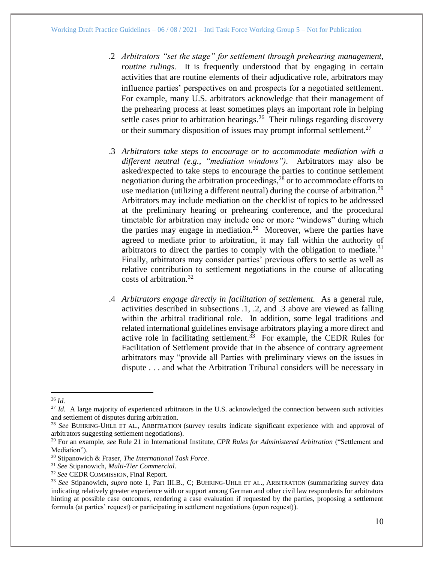- .2 *Arbitrators "set the stage" for settlement through prehearing management, routine rulings.* It is frequently understood that by engaging in certain activities that are routine elements of their adjudicative role, arbitrators may influence parties' perspectives on and prospects for a negotiated settlement. For example, many U.S. arbitrators acknowledge that their management of the prehearing process at least sometimes plays an important role in helping settle cases prior to arbitration hearings. $26$  Their rulings regarding discovery or their summary disposition of issues may prompt informal settlement.<sup>27</sup>
- .3 *Arbitrators take steps to encourage or to accommodate mediation with a different neutral (e.g., "mediation windows").* Arbitrators may also be asked/expected to take steps to encourage the parties to continue settlement negotiation during the arbitration proceedings, $^{28}$  or to accommodate efforts to use mediation (utilizing a different neutral) during the course of arbitration.<sup>29</sup> Arbitrators may include mediation on the checklist of topics to be addressed at the preliminary hearing or prehearing conference, and the procedural timetable for arbitration may include one or more "windows" during which the parties may engage in mediation.<sup>30</sup> Moreover, where the parties have agreed to mediate prior to arbitration, it may fall within the authority of arbitrators to direct the parties to comply with the obligation to mediate.<sup>31</sup> Finally, arbitrators may consider parties' previous offers to settle as well as relative contribution to settlement negotiations in the course of allocating costs of arbitration.<sup>32</sup>
- .4 *Arbitrators engage directly in facilitation of settlement.* As a general rule, activities described in subsections .1, .2, and .3 above are viewed as falling within the arbitral traditional role. In addition, some legal traditions and related international guidelines envisage arbitrators playing a more direct and active role in facilitating settlement.<sup>33</sup> For example, the CEDR Rules for Facilitation of Settlement provide that in the absence of contrary agreement arbitrators may "provide all Parties with preliminary views on the issues in dispute . . . and what the Arbitration Tribunal considers will be necessary in

<sup>26</sup> *Id.*

<sup>&</sup>lt;sup>27</sup> *Id.* A large majority of experienced arbitrators in the U.S. acknowledged the connection between such activities and settlement of disputes during arbitration.

<sup>28</sup> *See* BUHRING-UHLE ET AL., ARBITRATION (survey results indicate significant experience with and approval of arbitrators suggesting settlement negotiations).

<sup>29</sup> For an example, *see* Rule 21 in International Institute, *CPR Rules for Administered Arbitration* ("Settlement and Mediation").

<sup>30</sup> Stipanowich & Fraser, *The International Task Force*.

<sup>31</sup> *See* Stipanowich, *Multi-Tier Commercial*.

<sup>32</sup> *See* CEDR COMMISSION, Final Report.

<sup>33</sup> *See* Stipanowich, *supra* note 1, Part III.B., C; BUHRING-UHLE ET AL., ARBITRATION (summarizing survey data indicating relatively greater experience with or support among German and other civil law respondents for arbitrators hinting at possible case outcomes, rendering a case evaluation if requested by the parties, proposing a settlement formula (at parties' request) or participating in settlement negotiations (upon request)).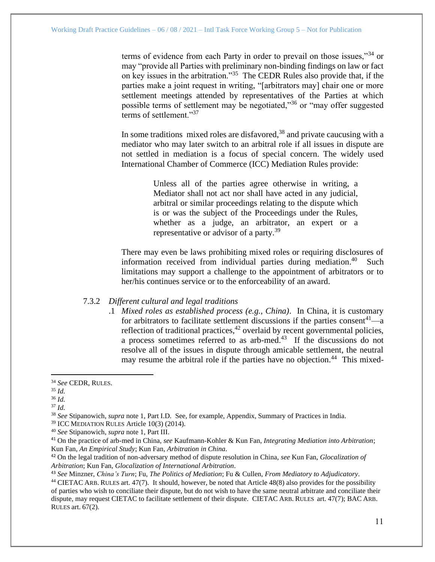terms of evidence from each Party in order to prevail on those issues,"<sup>34</sup> or may "provide all Parties with preliminary non-binding findings on law or fact on key issues in the arbitration."<sup>35</sup> The CEDR Rules also provide that, if the parties make a joint request in writing, "[arbitrators may] chair one or more settlement meetings attended by representatives of the Parties at which possible terms of settlement may be negotiated,"<sup>36</sup> or "may offer suggested terms of settlement."<sup>37</sup>

In some traditions mixed roles are disfavored,<sup>38</sup> and private caucusing with a mediator who may later switch to an arbitral role if all issues in dispute are not settled in mediation is a focus of special concern. The widely used International Chamber of Commerce (ICC) Mediation Rules provide:

> Unless all of the parties agree otherwise in writing, a Mediator shall not act nor shall have acted in any judicial, arbitral or similar proceedings relating to the dispute which is or was the subject of the Proceedings under the Rules, whether as a judge, an arbitrator, an expert or a representative or advisor of a party.<sup>39</sup>

There may even be laws prohibiting mixed roles or requiring disclosures of information received from individual parties during mediation. Such limitations may support a challenge to the appointment of arbitrators or to her/his continues service or to the enforceability of an award.

## 7.3.2 *Different cultural and legal traditions*

.1 *Mixed roles as established process (e.g., China)*. In China, it is customary for arbitrators to facilitate settlement discussions if the parties consent<sup>41</sup>—a reflection of traditional practices, $42$  overlaid by recent governmental policies, a process sometimes referred to as arb-med. $43$  If the discussions do not resolve all of the issues in dispute through amicable settlement, the neutral may resume the arbitral role if the parties have no objection.<sup>44</sup> This mixed-

<sup>34</sup> *See* CEDR, RULES.

<sup>35</sup> *Id.* 

<sup>36</sup> *Id.* 

 $37$  *Id.* 

<sup>38</sup> *See* Stipanowich, *supra* note 1, Part I.D. See, for example, Appendix, Summary of Practices in India.

<sup>39</sup> ICC MEDIATION RULES Article 10(3) (2014).

<sup>40</sup> *See* Stipanowich, *supra* note 1, Part III.

<sup>41</sup> On the practice of arb-med in China, *see* Kaufmann-Kohler & Kun Fan, *Integrating Mediation into Arbitration*; Kun Fan, *An Empirical Study*; Kun Fan, *Arbitration in China*.

<sup>42</sup> On the legal tradition of non-adversary method of dispute resolution in China, *see* Kun Fan, *Glocalization of Arbitration*; Kun Fan, *Glocalization of International Arbitration*.

<sup>43</sup> *See* Minzner, *China's Turn*; Fu, *The Politics of Mediation*; Fu & Cullen, *From Mediatory to Adjudicatory*.

<sup>44</sup> CIETAC ARB. RULES art. 47(7). It should, however, be noted that Article 48(8) also provides for the possibility of parties who wish to conciliate their dispute, but do not wish to have the same neutral arbitrate and conciliate their dispute, may request CIETAC to facilitate settlement of their dispute. CIETAC ARB. RULES art. 47(7); BAC ARB. RULES art. 67(2).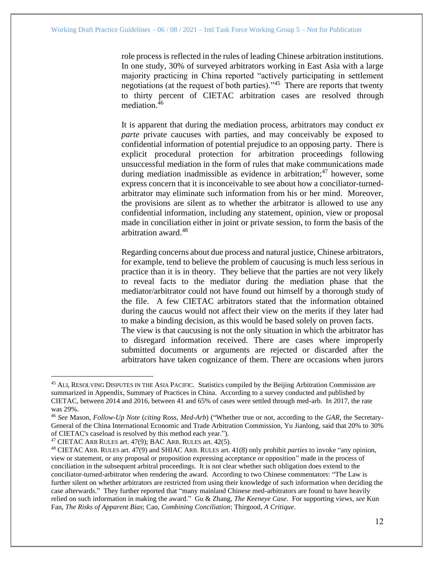role process is reflected in the rules of leading Chinese arbitration institutions. In one study, 30% of surveyed arbitrators working in East Asia with a large majority practicing in China reported "actively participating in settlement negotiations (at the request of both parties)."<sup>45</sup> There are reports that twenty to thirty percent of CIETAC arbitration cases are resolved through mediation. 46

It is apparent that during the mediation process, arbitrators may conduct *ex parte* private caucuses with parties, and may conceivably be exposed to confidential information of potential prejudice to an opposing party. There is explicit procedural protection for arbitration proceedings following unsuccessful mediation in the form of rules that make communications made during mediation inadmissible as evidence in arbitration;<sup>47</sup> however, some express concern that it is inconceivable to see about how a conciliator-turnedarbitrator may eliminate such information from his or her mind. Moreover, the provisions are silent as to whether the arbitrator is allowed to use any confidential information, including any statement, opinion, view or proposal made in conciliation either in joint or private session, to form the basis of the arbitration award.<sup>48</sup>

Regarding concerns about due process and natural justice, Chinese arbitrators, for example, tend to believe the problem of caucusing is much less serious in practice than it is in theory. They believe that the parties are not very likely to reveal facts to the mediator during the mediation phase that the mediator/arbitrator could not have found out himself by a thorough study of the file. A few CIETAC arbitrators stated that the information obtained during the caucus would not affect their view on the merits if they later had to make a binding decision, as this would be based solely on proven facts. The view is that caucusing is not the only situation in which the arbitrator has to disregard information received. There are cases where improperly submitted documents or arguments are rejected or discarded after the arbitrators have taken cognizance of them. There are occasions when jurors

<sup>&</sup>lt;sup>45</sup> ALI, RESOLVING DISPUTES IN THE ASIA PACIFIC. Statistics compiled by the Beijing Arbitration Commission are summarized in Appendix, Summary of Practices in China. According to a survey conducted and published by CIETAC, between 2014 and 2016, between 41 and 65% of cases were settled through med-arb. In 2017, the rate was 29%.

<sup>46</sup> *See* Mason, *Follow-Up Note* (*citing* Ross, *Med-Arb*) ("Whether true or not, according to the *GAR,* the Secretary-General of the China International Economic and Trade Arbitration Commission, Yu Jianlong, said that 20% to 30% of CIETAC's caseload is resolved by this method each year.").

<sup>47</sup> CIETAC ARB RULES art. 47(9); BAC ARB. RULES art. 42(5).

<sup>48</sup> CIETAC ARB. RULES art. 47(9) and SHIAC ARB. RULES art. 41(8) only prohibit *parties* to invoke "any opinion, view or statement, or any proposal or proposition expressing acceptance or opposition" made in the process of conciliation in the subsequent arbitral proceedings. It is not clear whether such obligation does extend to the conciliator-turned-arbitrator when rendering the award. According to two Chinese commentators: "The Law is further silent on whether arbitrators are restricted from using their knowledge of such information when deciding the case afterwards." They further reported that "many mainland Chinese med-arbitrators are found to have heavily relied on such information in making the award." Gu & Zhang, *The Keeneye Case*. For supporting views*, see* Kun Fan, *The Risks of Apparent Bias*; Cao, *Combining Conciliation*; Thirgood, *A Critique*.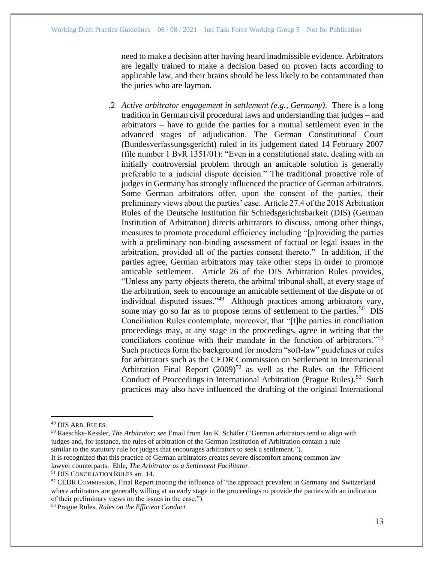need to make a decision after having heard inadmissible evidence. Arbitrators are legally trained to make a decision based on proven facts according to applicable law, and their brains should be less likely to be contaminated than the juries who are layman.

.2 *Active arbitrator engagement in settlement (e.g., Germany)*. There is a long tradition in German civil procedural laws and understanding that judges – and arbitrators – have to guide the parties for a mutual settlement even in the advanced stages of adjudication. The German Constitutional Court (Bundesverfassungsgericht) ruled in its judgement dated 14 February 2007 (file number 1 BvR 1351/01): "Even in a constitutional state, dealing with an initially controversial problem through an amicable solution is generally preferable to a judicial dispute decision." The traditional proactive role of judges in Germany has strongly influenced the practice of German arbitrators. Some German arbitrators offer, upon the consent of the parties, their preliminary views about the parties' case. Article 27.4 of the 2018 Arbitration Rules of the Deutsche Institution für Schiedsgerichtsbarkeit (DIS) (German Institution of Arbitration) directs arbitrators to discuss, among other things, measures to promote procedural efficiency including "[p]roviding the parties with a preliminary non-binding assessment of factual or legal issues in the arbitration, provided all of the parties consent thereto." In addition, if the parties agree, German arbitrators may take other steps in order to promote amicable settlement. Article 26 of the DIS Arbitration Rules provides, "Unless any party objects thereto, the arbitral tribunal shall, at every stage of the arbitration, seek to encourage an amicable settlement of the dispute or of individual disputed issues."<sup>49</sup> Although practices among arbitrators vary, some may go so far as to propose terms of settlement to the parties.<sup>50</sup> DIS Conciliation Rules contemplate, moreover, that "[t]he parties in conciliation proceedings may, at any stage in the proceedings, agree in writing that the conciliators continue with their mandate in the function of arbitrators."<sup>51</sup> Such practices form the background for modern "soft-law" guidelines or rules for arbitrators such as the CEDR Commission on Settlement in International Arbitration Final Report  $(2009)^{52}$  as well as the Rules on the Efficient Conduct of Proceedings in International Arbitration (Prague Rules).<sup>53</sup> Such practices may also have influenced the drafting of the original International

It is recognized that this practice of German arbitrators creates severe discomfort among common law lawyer counterparts. Ehle, *The Arbitrator as a Settlement Facilitator*.

<sup>49</sup> DIS ARB. RULES.

<sup>50</sup> Raeschke-Kessler, *The Arbitrator*; *see* Email from Jan K. Schäfer ("German arbitrators tend to align with judges and, for instance, the rules of arbitration of the German Institution of Arbitration contain a rule similar to the statutory rule for judges that encourages arbitrators to seek a settlement.").

<sup>51</sup> DIS CONCILIATION RULES art. 14.

<sup>52</sup> CEDR COMMISSION, Final Report (noting the influence of "the approach prevalent in Germany and Switzerland where arbitrators are generally willing at an early stage in the proceedings to provide the parties with an indication of their preliminary views on the issues in the case.").

<sup>53</sup> Prague Rules, *Rules on the Efficient Conduct*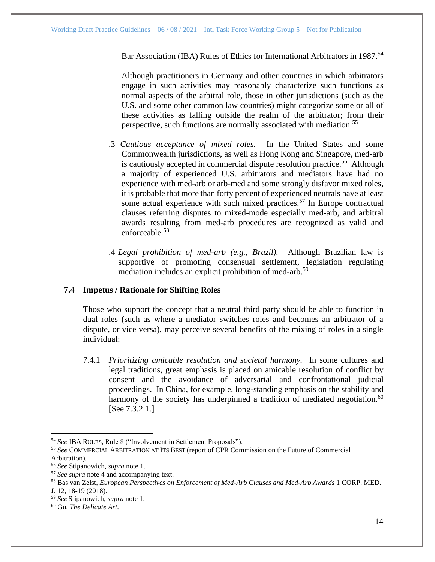Bar Association (IBA) Rules of Ethics for International Arbitrators in 1987.<sup>54</sup>

Although practitioners in Germany and other countries in which arbitrators engage in such activities may reasonably characterize such functions as normal aspects of the arbitral role, those in other jurisdictions (such as the U.S. and some other common law countries) might categorize some or all of these activities as falling outside the realm of the arbitrator; from their perspective, such functions are normally associated with mediation.<sup>55</sup>

- .3 *Cautious acceptance of mixed roles.* In the United States and some Commonwealth jurisdictions, as well as Hong Kong and Singapore, med-arb is cautiously accepted in commercial dispute resolution practice.<sup>56</sup> Although a majority of experienced U.S. arbitrators and mediators have had no experience with med-arb or arb-med and some strongly disfavor mixed roles, it is probable that more than forty percent of experienced neutrals have at least some actual experience with such mixed practices.<sup>57</sup> In Europe contractual clauses referring disputes to mixed-mode especially med-arb, and arbitral awards resulting from med-arb procedures are recognized as valid and enforceable.<sup>58</sup>
- .4 *Legal prohibition of med-arb (e.g., Brazil).* Although Brazilian law is supportive of promoting consensual settlement, legislation regulating mediation includes an explicit prohibition of med-arb.<sup>59</sup>

## <span id="page-13-0"></span>**7.4 Impetus / Rationale for Shifting Roles**

Those who support the concept that a neutral third party should be able to function in dual roles (such as where a mediator switches roles and becomes an arbitrator of a dispute, or vice versa), may perceive several benefits of the mixing of roles in a single individual:

7.4.1 *Prioritizing amicable resolution and societal harmony.* In some cultures and legal traditions, great emphasis is placed on amicable resolution of conflict by consent and the avoidance of adversarial and confrontational judicial proceedings. In China, for example, long-standing emphasis on the stability and harmony of the society has underpinned a tradition of mediated negotiation.<sup>60</sup> [See 7.3.2.1.]

<sup>54</sup> *See* IBA RULES, Rule 8 ("Involvement in Settlement Proposals").

<sup>55</sup> *See* COMMERCIAL ARBITRATION AT ITS BEST (report of CPR Commission on the Future of Commercial Arbitration).

<sup>56</sup> *See* Stipanowich, *supra* note 1.

<sup>57</sup> *See supra* note [4](#page-2-0) and accompanying text.

<sup>58</sup> Bas van Zelst, *European Perspectives on Enforcement of Med-Arb Clauses and Med-Arb Awards* 1 CORP. MED.

J. 12, 18-19 (2018).

<sup>59</sup> *See* Stipanowich, *supra* note 1.

<sup>60</sup> Gu, *The Delicate Art*.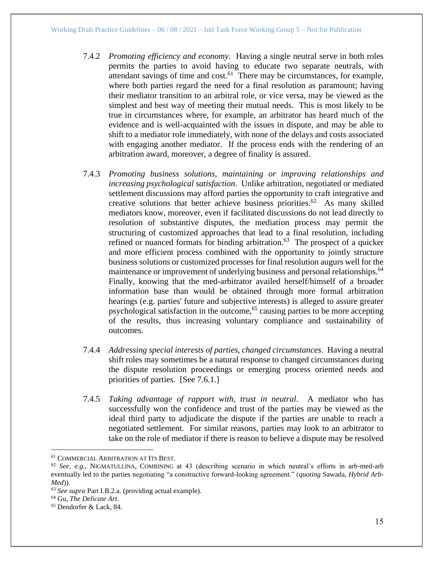- 7.4.2 *Promoting efficiency and economy.* Having a single neutral serve in both roles permits the parties to avoid having to educate two separate neutrals, with attendant savings of time and  $cost<sub>0</sub>$ <sup>61</sup>. There may be circumstances, for example, where both parties regard the need for a final resolution as paramount; having their mediator transition to an arbitral role, or vice versa, may be viewed as the simplest and best way of meeting their mutual needs. This is most likely to be true in circumstances where, for example, an arbitrator has heard much of the evidence and is well-acquainted with the issues in dispute, and may be able to shift to a mediator role immediately, with none of the delays and costs associated with engaging another mediator. If the process ends with the rendering of an arbitration award, moreover, a degree of finality is assured.
- 7.4.3 *Promoting business solutions, maintaining or improving relationships and increasing psychological satisfaction.* Unlike arbitration, negotiated or mediated settlement discussions may afford parties the opportunity to craft integrative and creative solutions that better achieve business priorities.<sup>62</sup> As many skilled mediators know, moreover, even if facilitated discussions do not lead directly to resolution of substantive disputes, the mediation process may permit the structuring of customized approaches that lead to a final resolution, including refined or nuanced formats for binding arbitration.<sup>63</sup> The prospect of a quicker and more efficient process combined with the opportunity to jointly structure business solutions or customized processes for final resolution augurs well for the maintenance or improvement of underlying business and personal relationships.<sup>64</sup> Finally, knowing that the med-arbitrator availed herself/himself of a broader information base than would be obtained through more formal arbitration hearings (e.g. parties' future and subjective interests) is alleged to assure greater psychological satisfaction in the outcome,<sup>65</sup> causing parties to be more accepting of the results, thus increasing voluntary compliance and sustainability of outcomes.
- 7.4.4 *Addressing special interests of parties, changed circumstances*. Having a neutral shift roles may sometimes be a natural response to changed circumstances during the dispute resolution proceedings or emerging process oriented needs and priorities of parties. [See 7.6.1.]
- 7.4.5 *Taking advantage of rapport with, trust in neutral.* A mediator who has successfully won the confidence and trust of the parties may be viewed as the ideal third party to adjudicate the dispute if the parties are unable to reach a negotiated settlement. For similar reasons, parties may look to an arbitrator to take on the role of mediator if there is reason to believe a dispute may be resolved

<sup>61</sup> COMMERCIAL ARBITRATION AT ITS BEST.

<sup>62</sup> *See, e.g.*, NIGMATULLINA, COMBINING at 43 (describing scenario in which neutral's efforts in arb-med-arb eventually led to the parties negotiating "a constructive forward-looking agreement." (*quoting* Sawada, *Hybrid Arb-Med*))*.*

<sup>63</sup> *See supra* Part I.B.2.a. (providing actual example).

<sup>64</sup> Gu, *The Delicate Art*.

<sup>65</sup> Dendorfer & Lack, 84.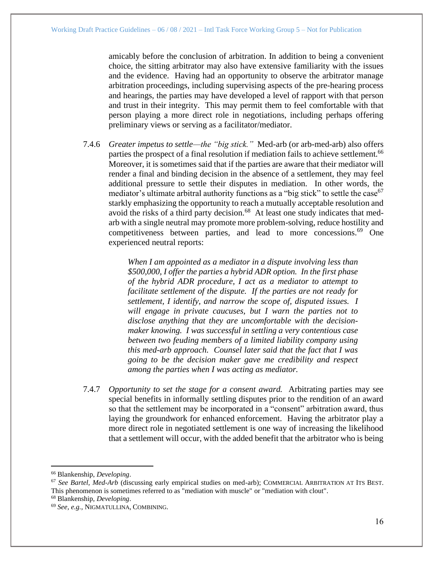amicably before the conclusion of arbitration. In addition to being a convenient choice, the sitting arbitrator may also have extensive familiarity with the issues and the evidence. Having had an opportunity to observe the arbitrator manage arbitration proceedings, including supervising aspects of the pre-hearing process and hearings, the parties may have developed a level of rapport with that person and trust in their integrity. This may permit them to feel comfortable with that person playing a more direct role in negotiations, including perhaps offering preliminary views or serving as a facilitator/mediator.

7.4.6 *Greater impetus to settle—the "big stick."* Med-arb (or arb-med-arb) also offers parties the prospect of a final resolution if mediation fails to achieve settlement.<sup>66</sup> Moreover, it is sometimes said that if the parties are aware that their mediator will render a final and binding decision in the absence of a settlement, they may feel additional pressure to settle their disputes in mediation. In other words, the mediator's ultimate arbitral authority functions as a "big stick" to settle the case  $67$ starkly emphasizing the opportunity to reach a mutually acceptable resolution and avoid the risks of a third party decision.<sup>68</sup> At least one study indicates that medarb with a single neutral may promote more problem-solving, reduce hostility and competitiveness between parties, and lead to more concessions.<sup>69</sup> One experienced neutral reports:

> *When I am appointed as a mediator in a dispute involving less than \$500,000, I offer the parties a hybrid ADR option. In the first phase of the hybrid ADR procedure, I act as a mediator to attempt to facilitate settlement of the dispute. If the parties are not ready for settlement, I identify, and narrow the scope of, disputed issues. I will engage in private caucuses, but I warn the parties not to disclose anything that they are uncomfortable with the decisionmaker knowing. I was successful in settling a very contentious case between two feuding members of a limited liability company using this med-arb approach. Counsel later said that the fact that I was going to be the decision maker gave me credibility and respect among the parties when I was acting as mediator.*

7.4.7 *Opportunity to set the stage for a consent award.* Arbitrating parties may see special benefits in informally settling disputes prior to the rendition of an award so that the settlement may be incorporated in a "consent" arbitration award, thus laying the groundwork for enhanced enforcement. Having the arbitrator play a more direct role in negotiated settlement is one way of increasing the likelihood that a settlement will occur, with the added benefit that the arbitrator who is being

<sup>68</sup> Blankenship, *Developing*.

<sup>66</sup> Blankenship, *Developing*.

<sup>&</sup>lt;sup>67</sup> See Bartel, Med-Arb (discussing early empirical studies on med-arb); COMMERCIAL ARBITRATION AT ITS BEST. This phenomenon is sometimes referred to as "mediation with muscle" or "mediation with clout".

<sup>69</sup> *See, e.g.*, NIGMATULLINA, COMBINING.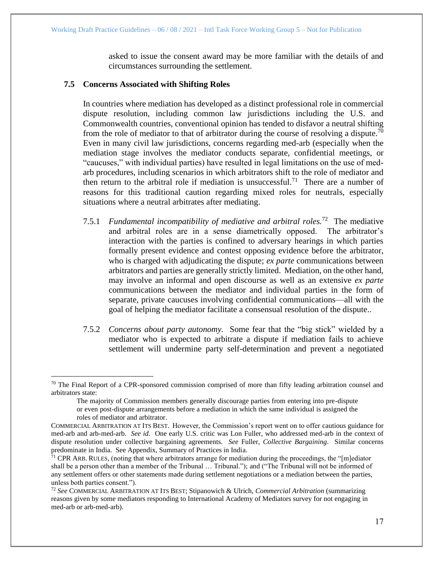asked to issue the consent award may be more familiar with the details of and circumstances surrounding the settlement.

## <span id="page-16-0"></span>**7.5 Concerns Associated with Shifting Roles**

In countries where mediation has developed as a distinct professional role in commercial dispute resolution, including common law jurisdictions including the U.S. and Commonwealth countries, conventional opinion has tended to disfavor a neutral shifting from the role of mediator to that of arbitrator during the course of resolving a dispute.<sup>70</sup> Even in many civil law jurisdictions, concerns regarding med-arb (especially when the mediation stage involves the mediator conducts separate, confidential meetings, or "caucuses," with individual parties) have resulted in legal limitations on the use of medarb procedures, including scenarios in which arbitrators shift to the role of mediator and then return to the arbitral role if mediation is unsuccessful.<sup>71</sup> There are a number of reasons for this traditional caution regarding mixed roles for neutrals, especially situations where a neutral arbitrates after mediating.

- 7.5.1 *Fundamental incompatibility of mediative and arbitral roles.*<sup>72</sup> The mediative and arbitral roles are in a sense diametrically opposed. The arbitrator's interaction with the parties is confined to adversary hearings in which parties formally present evidence and contest opposing evidence before the arbitrator, who is charged with adjudicating the dispute; *ex parte* communications between arbitrators and parties are generally strictly limited. Mediation, on the other hand, may involve an informal and open discourse as well as an extensive *ex parte* communications between the mediator and individual parties in the form of separate, private caucuses involving confidential communications—all with the goal of helping the mediator facilitate a consensual resolution of the dispute..
- 7.5.2 *Concerns about party autonomy.* Some fear that the "big stick" wielded by a mediator who is expected to arbitrate a dispute if mediation fails to achieve settlement will undermine party self-determination and prevent a negotiated

 $70$  The Final Report of a CPR-sponsored commission comprised of more than fifty leading arbitration counsel and arbitrators state:

The majority of Commission members generally discourage parties from entering into pre-dispute or even post-dispute arrangements before a mediation in which the same individual is assigned the roles of mediator and arbitrator.

COMMERCIAL ARBITRATION AT ITS BEST. However, the Commission's report went on to offer cautious guidance for med-arb and arb-med-arb. *See id.* One early U.S. critic was Lon Fuller, who addressed med-arb in the context of dispute resolution under collective bargaining agreements. *See* Fuller, *Collective Bargaining*. Similar concerns predominate in India. See Appendix, Summary of Practices in India.

 $71$  CPR ARB. RULES, (noting that where arbitrators arrange for mediation during the proceedings, the "[m]ediator shall be a person other than a member of the Tribunal … Tribunal."); and ("The Tribunal will not be informed of any settlement offers or other statements made during settlement negotiations or a mediation between the parties, unless both parties consent.").

<sup>72</sup> *See* COMMERCIAL ARBITRATION AT ITS BEST; Stipanowich & Ulrich, *Commercial Arbitration* (summarizing reasons given by some mediators responding to International Academy of Mediators survey for not engaging in med-arb or arb-med-arb).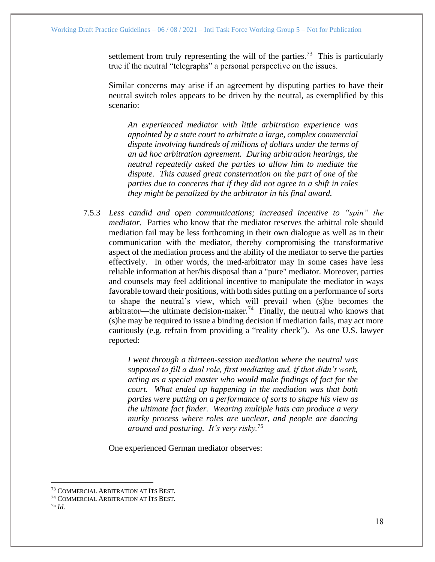settlement from truly representing the will of the parties.<sup>73</sup> This is particularly true if the neutral "telegraphs" a personal perspective on the issues.

Similar concerns may arise if an agreement by disputing parties to have their neutral switch roles appears to be driven by the neutral, as exemplified by this scenario:

*An experienced mediator with little arbitration experience was appointed by a state court to arbitrate a large, complex commercial dispute involving hundreds of millions of dollars under the terms of an ad hoc arbitration agreement. During arbitration hearings, the neutral repeatedly asked the parties to allow him to mediate the dispute. This caused great consternation on the part of one of the parties due to concerns that if they did not agree to a shift in roles they might be penalized by the arbitrator in his final award.* 

7.5.3 *Less candid and open communications; increased incentive to "spin" the mediator.* Parties who know that the mediator reserves the arbitral role should mediation fail may be less forthcoming in their own dialogue as well as in their communication with the mediator, thereby compromising the transformative aspect of the mediation process and the ability of the mediator to serve the parties effectively. In other words, the med-arbitrator may in some cases have less reliable information at her/his disposal than a "pure" mediator. Moreover, parties and counsels may feel additional incentive to manipulate the mediator in ways favorable toward their positions, with both sides putting on a performance of sorts to shape the neutral's view, which will prevail when (s)he becomes the arbitrator—the ultimate decision-maker.<sup>74</sup> Finally, the neutral who knows that (s)he may be required to issue a binding decision if mediation fails, may act more cautiously (e.g. refrain from providing a "reality check"). As one U.S. lawyer reported:

> *I went through a thirteen-session mediation where the neutral was supposed to fill a dual role, first mediating and, if that didn't work, acting as a special master who would make findings of fact for the court. What ended up happening in the mediation was that both parties were putting on a performance of sorts to shape his view as the ultimate fact finder. Wearing multiple hats can produce a very murky process where roles are unclear, and people are dancing around and posturing. It's very risky.*<sup>75</sup>

One experienced German mediator observes:

<sup>75</sup> *Id.*

<sup>73</sup> COMMERCIAL ARBITRATION AT ITS BEST.

<sup>74</sup> COMMERCIAL ARBITRATION AT ITS BEST.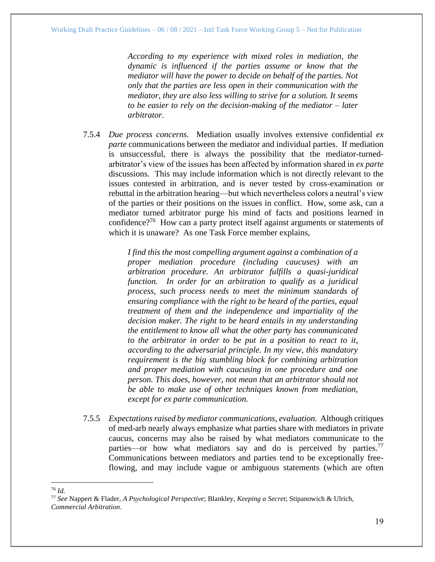*According to my experience with mixed roles in mediation, the dynamic is influenced if the parties assume or know that the mediator will have the power to decide on behalf of the parties. Not only that the parties are less open in their communication with the mediator, they are also less willing to strive for a solution. It seems to be easier to rely on the decision-making of the mediator – later arbitrator.*

7.5.4 *Due process concerns.* Mediation usually involves extensive confidential *ex parte* communications between the mediator and individual parties. If mediation is unsuccessful, there is always the possibility that the mediator-turnedarbitrator's view of the issues has been affected by information shared in *ex parte* discussions. This may include information which is not directly relevant to the issues contested in arbitration, and is never tested by cross-examination or rebuttal in the arbitration hearing—but which nevertheless colors a neutral's view of the parties or their positions on the issues in conflict. How, some ask, can a mediator turned arbitrator purge his mind of facts and positions learned in confidence?<sup>76</sup> How can a party protect itself against arguments or statements of which it is unaware? As one Task Force member explains,

> *I find this the most compelling argument against a combination of a proper mediation procedure (including caucuses) with an arbitration procedure. An arbitrator fulfills a quasi-juridical function. In order for an arbitration to qualify as a juridical process, such process needs to meet the minimum standards of ensuring compliance with the right to be heard of the parties, equal treatment of them and the independence and impartiality of the decision maker. The right to be heard entails in my understanding the entitlement to know all what the other party has communicated to the arbitrator in order to be put in a position to react to it, according to the adversarial principle. In my view, this mandatory requirement is the big stumbling block for combining arbitration and proper mediation with caucusing in one procedure and one person. This does, however, not mean that an arbitrator should not be able to make use of other techniques known from mediation, except for ex parte communication.*

7.5.5 *Expectations raised by mediator communications, evaluation.* Although critiques of med-arb nearly always emphasize what parties share with mediators in private caucus, concerns may also be raised by what mediators communicate to the parties—or how what mediators say and do is perceived by parties.<sup>77</sup> Communications between mediators and parties tend to be exceptionally freeflowing, and may include vague or ambiguous statements (which are often

<sup>76</sup> *Id.*

<sup>77</sup> *See* Nappert & Flader, *A Psychological Perspective*; Blankley, *Keeping a Secret*; Stipanowich & Ulrich, *Commercial Arbitration*.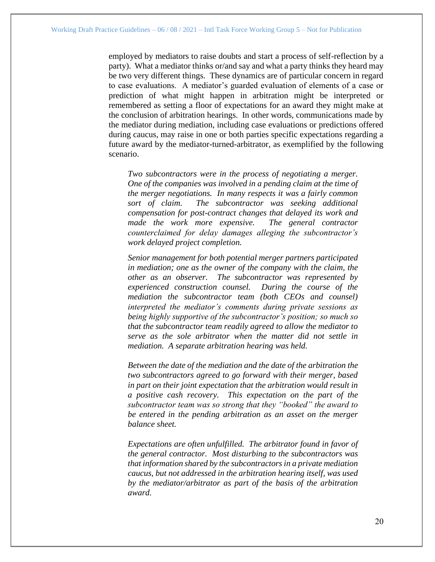employed by mediators to raise doubts and start a process of self-reflection by a party). What a mediator thinks or/and say and what a party thinks they heard may be two very different things. These dynamics are of particular concern in regard to case evaluations. A mediator's guarded evaluation of elements of a case or prediction of what might happen in arbitration might be interpreted or remembered as setting a floor of expectations for an award they might make at the conclusion of arbitration hearings. In other words, communications made by the mediator during mediation, including case evaluations or predictions offered during caucus, may raise in one or both parties specific expectations regarding a future award by the mediator-turned-arbitrator, as exemplified by the following scenario.

*Two subcontractors were in the process of negotiating a merger. One of the companies was involved in a pending claim at the time of the merger negotiations. In many respects it was a fairly common sort of claim. The subcontractor was seeking additional compensation for post-contract changes that delayed its work and made the work more expensive. The general contractor counterclaimed for delay damages alleging the subcontractor's work delayed project completion.*

*Senior management for both potential merger partners participated in mediation; one as the owner of the company with the claim, the other as an observer. The subcontractor was represented by experienced construction counsel. During the course of the mediation the subcontractor team (both CEOs and counsel) interpreted the mediator's comments during private sessions as being highly supportive of the subcontractor's position; so much so that the subcontractor team readily agreed to allow the mediator to serve as the sole arbitrator when the matter did not settle in mediation. A separate arbitration hearing was held.*

*Between the date of the mediation and the date of the arbitration the two subcontractors agreed to go forward with their merger, based in part on their joint expectation that the arbitration would result in a positive cash recovery. This expectation on the part of the subcontractor team was so strong that they "booked" the award to be entered in the pending arbitration as an asset on the merger balance sheet.*

*Expectations are often unfulfilled. The arbitrator found in favor of the general contractor. Most disturbing to the subcontractors was that information shared by the subcontractors in a private mediation caucus, but not addressed in the arbitration hearing itself, was used by the mediator/arbitrator as part of the basis of the arbitration award.*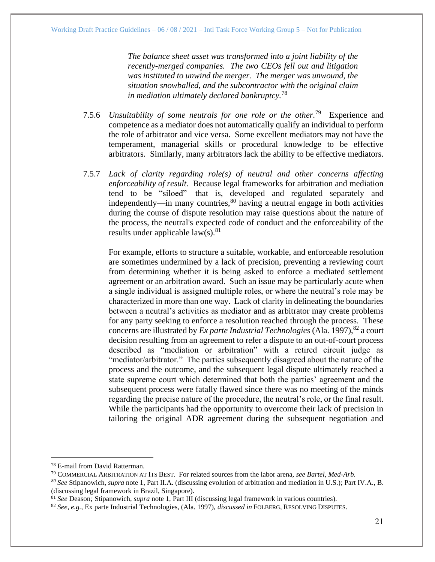*The balance sheet asset was transformed into a joint liability of the recently-merged companies. The two CEOs fell out and litigation was instituted to unwind the merger. The merger was unwound, the situation snowballed, and the subcontractor with the original claim in mediation ultimately declared bankruptcy.*<sup>78</sup>

- 7.5.6 *Unsuitability of some neutrals for one role or the other.*<sup>79</sup> Experience and competence as a mediator does not automatically qualify an individual to perform the role of arbitrator and vice versa. Some excellent mediators may not have the temperament, managerial skills or procedural knowledge to be effective arbitrators. Similarly, many arbitrators lack the ability to be effective mediators.
- 7.5.7 *Lack of clarity regarding role(s) of neutral and other concerns affecting enforceability of result.* Because legal frameworks for arbitration and mediation tend to be "siloed"—that is, developed and regulated separately and independently—in many countries,  $80$  having a neutral engage in both activities during the course of dispute resolution may raise questions about the nature of the process, the neutral's expected code of conduct and the enforceability of the results under applicable  $law(s)$ .<sup>81</sup>

For example, efforts to structure a suitable, workable, and enforceable resolution are sometimes undermined by a lack of precision, preventing a reviewing court from determining whether it is being asked to enforce a mediated settlement agreement or an arbitration award. Such an issue may be particularly acute when a single individual is assigned multiple roles, or where the neutral's role may be characterized in more than one way. Lack of clarity in delineating the boundaries between a neutral's activities as mediator and as arbitrator may create problems for any party seeking to enforce a resolution reached through the process. These concerns are illustrated by *Ex parte Industrial Technologies* (Ala. 1997),<sup>82</sup> a court decision resulting from an agreement to refer a dispute to an out-of-court process described as "mediation or arbitration" with a retired circuit judge as "mediator/arbitrator." The parties subsequently disagreed about the nature of the process and the outcome, and the subsequent legal dispute ultimately reached a state supreme court which determined that both the parties' agreement and the subsequent process were fatally flawed since there was no meeting of the minds regarding the precise nature of the procedure, the neutral's role, or the final result. While the participants had the opportunity to overcome their lack of precision in tailoring the original ADR agreement during the subsequent negotiation and

<sup>78</sup> E-mail from David Ratterman.

<sup>79</sup> COMMERCIAL ARBITRATION AT ITS BEST. For related sources from the labor arena, *see Bartel, Med-Arb.*

*<sup>80</sup> See* Stipanowich*, supra* note 1, Part II.A. (discussing evolution of arbitration and mediation in U.S.); Part IV.A., B. (discussing legal framework in Brazil, Singapore).

<sup>81</sup> *See* Deason*;* Stipanowich, *supra* note 1, Part III (discussing legal framework in various countries).

<sup>82</sup> *See, e.g.*, Ex parte Industrial Technologies, (Ala. 1997), *discussed in* FOLBERG, RESOLVING DISPUTES.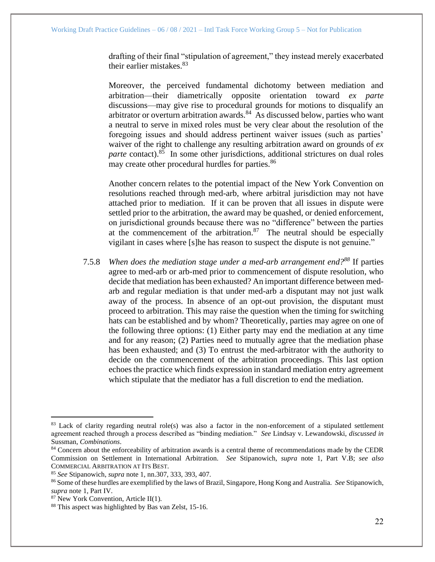drafting of their final "stipulation of agreement," they instead merely exacerbated their earlier mistakes.  $83$ 

Moreover, the perceived fundamental dichotomy between mediation and arbitration—their diametrically opposite orientation toward *ex parte* discussions—may give rise to procedural grounds for motions to disqualify an arbitrator or overturn arbitration awards. $84$  As discussed below, parties who want a neutral to serve in mixed roles must be very clear about the resolution of the foregoing issues and should address pertinent waiver issues (such as parties' waiver of the right to challenge any resulting arbitration award on grounds of *ex*  parte contact).<sup>85</sup> In some other jurisdictions, additional strictures on dual roles may create other procedural hurdles for parties.<sup>86</sup>

Another concern relates to the potential impact of the New York Convention on resolutions reached through med-arb, where arbitral jurisdiction may not have attached prior to mediation. If it can be proven that all issues in dispute were settled prior to the arbitration, the award may be quashed, or denied enforcement, on jurisdictional grounds because there was no "difference" between the parties at the commencement of the arbitration. $87$  The neutral should be especially vigilant in cases where [s]he has reason to suspect the dispute is not genuine."

7.5.8 *When does the mediation stage under a med-arb arrangement end?<sup>88</sup>* If parties agree to med-arb or arb-med prior to commencement of dispute resolution, who decide that mediation has been exhausted? An important difference between medarb and regular mediation is that under med-arb a disputant may not just walk away of the process. In absence of an opt-out provision, the disputant must proceed to arbitration. This may raise the question when the timing for switching hats can be established and by whom? Theoretically, parties may agree on one of the following three options: (1) Either party may end the mediation at any time and for any reason; (2) Parties need to mutually agree that the mediation phase has been exhausted; and (3) To entrust the med-arbitrator with the authority to decide on the commencement of the arbitration proceedings. This last option echoes the practice which finds expression in standard mediation entry agreement which stipulate that the mediator has a full discretion to end the mediation.

 $83$  Lack of clarity regarding neutral role(s) was also a factor in the non-enforcement of a stipulated settlement agreement reached through a process described as "binding mediation." *See* Lindsay v. Lewandowski, *discussed in* Sussman, *Combinations*.

<sup>&</sup>lt;sup>84</sup> Concern about the enforceability of arbitration awards is a central theme of recommendations made by the CEDR Commission on Settlement in International Arbitration. *See* Stipanowich, *supra* note 1, Part V.B; *see also* COMMERCIAL ARBITRATION AT ITS BEST.

<sup>85</sup> *See* Stipanowich, *supra* note 1, nn.307, 333, 393, 407.

<sup>86</sup> Some of these hurdles are exemplified by the laws of Brazil, Singapore, Hong Kong and Australia. *See* Stipanowich, *supra* note 1, Part IV.

 $87$  New York Convention, Article II(1).

<sup>88</sup> This aspect was highlighted by Bas van Zelst, 15-16.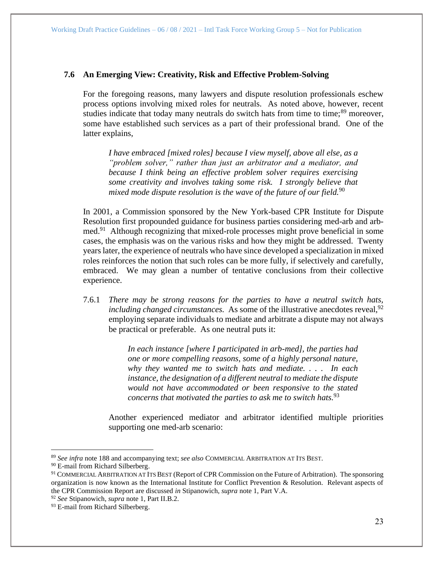## <span id="page-22-0"></span>**7.6 An Emerging View: Creativity, Risk and Effective Problem-Solving**

For the foregoing reasons, many lawyers and dispute resolution professionals eschew process options involving mixed roles for neutrals. As noted above, however, recent studies indicate that today many neutrals do switch hats from time to time;<sup>89</sup> moreover, some have established such services as a part of their professional brand. One of the latter explains,

*I have embraced [mixed roles] because I view myself, above all else, as a "problem solver," rather than just an arbitrator and a mediator, and because I think being an effective problem solver requires exercising some creativity and involves taking some risk. I strongly believe that mixed mode dispute resolution is the wave of the future of our field.*<sup>90</sup> 

In 2001, a Commission sponsored by the New York-based CPR Institute for Dispute Resolution first propounded guidance for business parties considering med-arb and arbmed.<sup>91</sup> Although recognizing that mixed-role processes might prove beneficial in some cases, the emphasis was on the various risks and how they might be addressed. Twenty years later, the experience of neutrals who have since developed a specialization in mixed roles reinforces the notion that such roles can be more fully, if selectively and carefully, embraced. We may glean a number of tentative conclusions from their collective experience.

7.6.1 *There may be strong reasons for the parties to have a neutral switch hats, including changed circumstances.* As some of the illustrative anecdotes reveal,  $92$ employing separate individuals to mediate and arbitrate a dispute may not always be practical or preferable. As one neutral puts it:

> *In each instance [where I participated in arb-med], the parties had one or more compelling reasons, some of a highly personal nature, why they wanted me to switch hats and mediate. . . . In each instance, the designation of a different neutral to mediate the dispute would not have accommodated or been responsive to the stated concerns that motivated the parties to ask me to switch hats.*<sup>93</sup>

Another experienced mediator and arbitrator identified multiple priorities supporting one med-arb scenario:

<sup>89</sup> *See infra* note 188 and accompanying text; *see also* COMMERCIAL ARBITRATION AT ITS BEST.

<sup>&</sup>lt;sup>90</sup> E-mail from Richard Silberberg.

<sup>91</sup> COMMERCIAL ARBITRATION AT ITS BEST (Report of CPR Commission on the Future of Arbitration). The sponsoring organization is now known as the International Institute for Conflict Prevention & Resolution. Relevant aspects of the CPR Commission Report are discussed *in* Stipanowich, *supra* note 1, Part V.A.

<sup>92</sup> *See* Stipanowich, *supra* note 1, Part II.B.2.

<sup>&</sup>lt;sup>93</sup> E-mail from Richard Silberberg.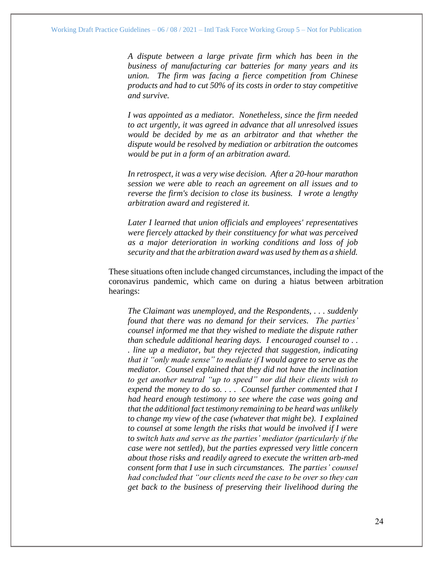*A dispute between a large private firm which has been in the business of manufacturing car batteries for many years and its union. The firm was facing a fierce competition from Chinese products and had to cut 50% of its costs in order to stay competitive and survive.* 

*I was appointed as a mediator. Nonetheless, since the firm needed to act urgently, it was agreed in advance that all unresolved issues would be decided by me as an arbitrator and that whether the dispute would be resolved by mediation or arbitration the outcomes would be put in a form of an arbitration award.*

*In retrospect, it was a very wise decision. After a 20-hour marathon session we were able to reach an agreement on all issues and to reverse the firm's decision to close its business. I wrote a lengthy arbitration award and registered it.* 

*Later I learned that union officials and employees' representatives were fiercely attacked by their constituency for what was perceived as a major deterioration in working conditions and loss of job security and that the arbitration award was used by them as a shield.*

These situations often include changed circumstances, including the impact of the coronavirus pandemic, which came on during a hiatus between arbitration hearings:

*The Claimant was unemployed, and the Respondents, . . . suddenly found that there was no demand for their services. The parties' counsel informed me that they wished to mediate the dispute rather than schedule additional hearing days. I encouraged counsel to . . . line up a mediator, but they rejected that suggestion, indicating that it "only made sense" to mediate if I would agree to serve as the mediator. Counsel explained that they did not have the inclination to get another neutral "up to speed" nor did their clients wish to expend the money to do so. . . . Counsel further commented that I had heard enough testimony to see where the case was going and that the additional fact testimony remaining to be heard was unlikely to change my view of the case (whatever that might be). I explained to counsel at some length the risks that would be involved if I were to switch hats and serve as the parties' mediator (particularly if the case were not settled), but the parties expressed very little concern about those risks and readily agreed to execute the written arb-med consent form that I use in such circumstances. The parties' counsel had concluded that "our clients need the case to be over so they can get back to the business of preserving their livelihood during the*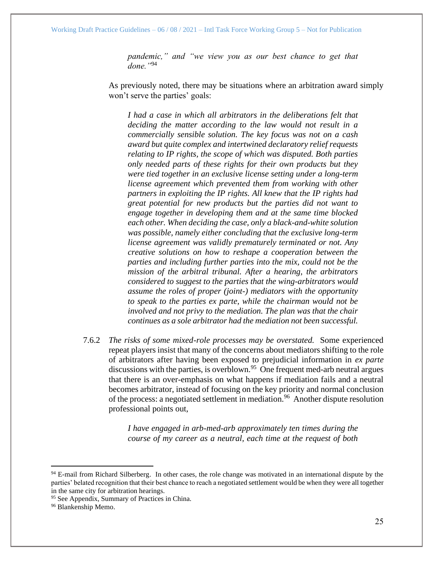*pandemic," and "we view you as our best chance to get that done."*<sup>94</sup>

As previously noted, there may be situations where an arbitration award simply won't serve the parties' goals:

*I had a case in which all arbitrators in the deliberations felt that deciding the matter according to the law would not result in a commercially sensible solution. The key focus was not on a cash award but quite complex and intertwined declaratory relief requests relating to IP rights, the scope of which was disputed. Both parties only needed parts of these rights for their own products but they were tied together in an exclusive license setting under a long-term license agreement which prevented them from working with other partners in exploiting the IP rights. All knew that the IP rights had great potential for new products but the parties did not want to engage together in developing them and at the same time blocked each other. When deciding the case, only a black-and-white solution was possible, namely either concluding that the exclusive long-term license agreement was validly prematurely terminated or not. Any creative solutions on how to reshape a cooperation between the parties and including further parties into the mix, could not be the mission of the arbitral tribunal. After a hearing, the arbitrators considered to suggest to the parties that the wing-arbitrators would assume the roles of proper (joint-) mediators with the opportunity to speak to the parties ex parte, while the chairman would not be involved and not privy to the mediation. The plan was that the chair continues as a sole arbitrator had the mediation not been successful.*

7.6.2 *The risks of some mixed-role processes may be overstated.* Some experienced repeat players insist that many of the concerns about mediators shifting to the role of arbitrators after having been exposed to prejudicial information in *ex parte* discussions with the parties, is overblown.<sup>95</sup> One frequent med-arb neutral argues that there is an over-emphasis on what happens if mediation fails and a neutral becomes arbitrator, instead of focusing on the key priority and normal conclusion of the process: a negotiated settlement in mediation.<sup>96</sup> Another dispute resolution professional points out,

> *I have engaged in arb-med-arb approximately ten times during the course of my career as a neutral, each time at the request of both*

<sup>&</sup>lt;sup>94</sup> E-mail from Richard Silberberg. In other cases, the role change was motivated in an international dispute by the parties' belated recognition that their best chance to reach a negotiated settlement would be when they were all together in the same city for arbitration hearings.

<sup>&</sup>lt;sup>95</sup> See Appendix, Summary of Practices in China.

<sup>96</sup> Blankenship Memo.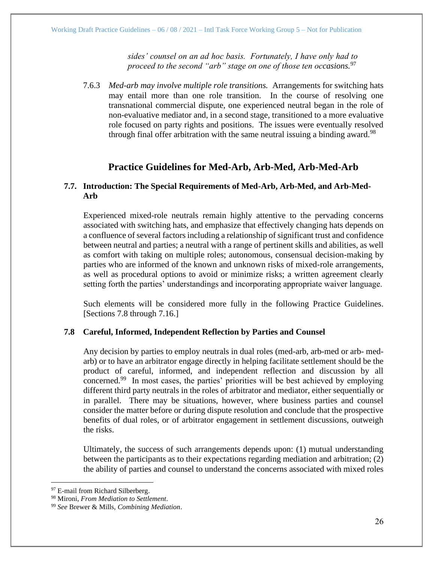*sides' counsel on an ad hoc basis. Fortunately, I have only had to*  proceed to the second "arb" stage on one of those ten occasions.<sup>97</sup>

7.6.3 *Med-arb may involve multiple role transitions.* Arrangements for switching hats may entail more than one role transition. In the course of resolving one transnational commercial dispute, one experienced neutral began in the role of non-evaluative mediator and, in a second stage, transitioned to a more evaluative role focused on party rights and positions. The issues were eventually resolved through final offer arbitration with the same neutral issuing a binding award.<sup>98</sup>

# **Practice Guidelines for Med-Arb, Arb-Med, Arb-Med-Arb**

## <span id="page-25-0"></span>**7.7. Introduction: The Special Requirements of Med-Arb, Arb-Med, and Arb-Med-Arb**

Experienced mixed-role neutrals remain highly attentive to the pervading concerns associated with switching hats, and emphasize that effectively changing hats depends on a confluence of several factors including a relationship of significant trust and confidence between neutral and parties; a neutral with a range of pertinent skills and abilities, as well as comfort with taking on multiple roles; autonomous, consensual decision-making by parties who are informed of the known and unknown risks of mixed-role arrangements, as well as procedural options to avoid or minimize risks; a written agreement clearly setting forth the parties' understandings and incorporating appropriate waiver language.

Such elements will be considered more fully in the following Practice Guidelines. [Sections 7.8 through 7.16.]

# <span id="page-25-1"></span>**7.8 Careful, Informed, Independent Reflection by Parties and Counsel**

Any decision by parties to employ neutrals in dual roles (med-arb, arb-med or arb- medarb) or to have an arbitrator engage directly in helping facilitate settlement should be the product of careful, informed, and independent reflection and discussion by all concerned.<sup>99</sup> In most cases, the parties' priorities will be best achieved by employing different third party neutrals in the roles of arbitrator and mediator, either sequentially or in parallel. There may be situations, however, where business parties and counsel consider the matter before or during dispute resolution and conclude that the prospective benefits of dual roles, or of arbitrator engagement in settlement discussions, outweigh the risks.

Ultimately, the success of such arrangements depends upon: (1) mutual understanding between the participants as to their expectations regarding mediation and arbitration; (2) the ability of parties and counsel to understand the concerns associated with mixed roles

<sup>&</sup>lt;sup>97</sup> E-mail from Richard Silberberg.

<sup>98</sup> Mironi, *From Mediation to Settlement*.

<sup>99</sup> *See* Brewer & Mills, *Combining Mediation*.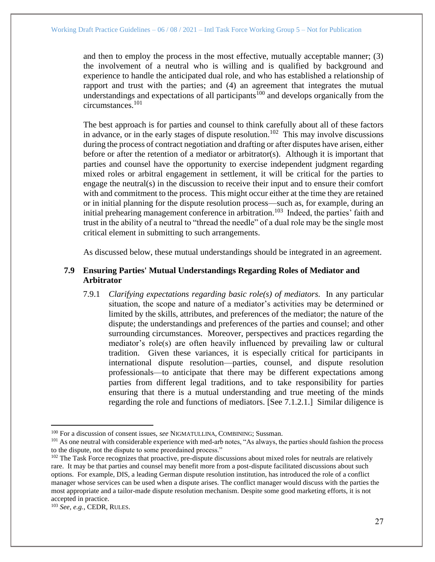and then to employ the process in the most effective, mutually acceptable manner; (3) the involvement of a neutral who is willing and is qualified by background and experience to handle the anticipated dual role, and who has established a relationship of rapport and trust with the parties; and (4) an agreement that integrates the mutual understandings and expectations of all participants<sup>100</sup> and develops organically from the circumstances.<sup>101</sup>

The best approach is for parties and counsel to think carefully about all of these factors in advance, or in the early stages of dispute resolution.<sup>102</sup> This may involve discussions during the process of contract negotiation and drafting or after disputes have arisen, either before or after the retention of a mediator or arbitrator(s). Although it is important that parties and counsel have the opportunity to exercise independent judgment regarding mixed roles or arbitral engagement in settlement, it will be critical for the parties to engage the neutral(s) in the discussion to receive their input and to ensure their comfort with and commitment to the process. This might occur either at the time they are retained or in initial planning for the dispute resolution process—such as, for example, during an initial prehearing management conference in arbitration.<sup>103</sup> Indeed, the parties' faith and trust in the ability of a neutral to "thread the needle" of a dual role may be the single most critical element in submitting to such arrangements.

As discussed below, these mutual understandings should be integrated in an agreement.

# <span id="page-26-0"></span>**7.9 Ensuring Parties' Mutual Understandings Regarding Roles of Mediator and Arbitrator**

7.9.1 *Clarifying expectations regarding basic role(s) of mediators.* In any particular situation, the scope and nature of a mediator's activities may be determined or limited by the skills, attributes, and preferences of the mediator; the nature of the dispute; the understandings and preferences of the parties and counsel; and other surrounding circumstances. Moreover, perspectives and practices regarding the mediator's role(s) are often heavily influenced by prevailing law or cultural tradition. Given these variances, it is especially critical for participants in international dispute resolution—parties, counsel, and dispute resolution professionals—to anticipate that there may be different expectations among parties from different legal traditions, and to take responsibility for parties ensuring that there is a mutual understanding and true meeting of the minds regarding the role and functions of mediators. [See 7.1.2.1.] Similar diligence is

<sup>100</sup> For a discussion of consent issues, *see* NIGMATULLINA, COMBINING; Sussman.

<sup>&</sup>lt;sup>101</sup> As one neutral with considerable experience with med-arb notes, "As always, the parties should fashion the process to the dispute, not the dispute to some preordained process."

 $102$  The Task Force recognizes that proactive, pre-dispute discussions about mixed roles for neutrals are relatively rare. It may be that parties and counsel may benefit more from a post-dispute facilitated discussions about such options. For example, DIS, a leading German dispute resolution institution, has introduced the role of a conflict manager whose services can be used when a dispute arises. The conflict manager would discuss with the parties the most appropriate and a tailor-made dispute resolution mechanism. Despite some good marketing efforts, it is not accepted in practice.

<sup>103</sup> *See, e.g.*, CEDR, RULES.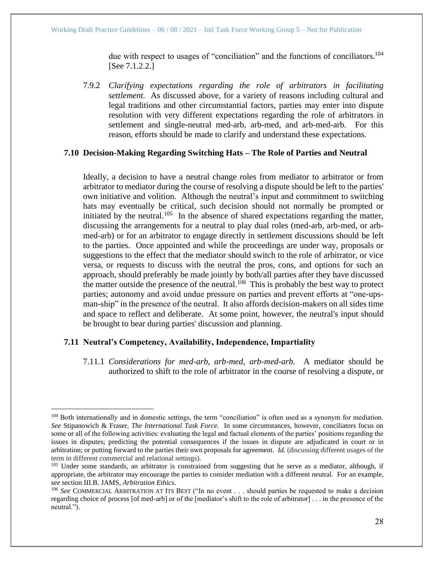due with respect to usages of "conciliation" and the functions of conciliators.<sup>104</sup> [See 7.1.2.2.]

7.9.2 *Clarifying expectations regarding the role of arbitrators in facilitating settlement.* As discussed above, for a variety of reasons including cultural and legal traditions and other circumstantial factors, parties may enter into dispute resolution with very different expectations regarding the role of arbitrators in settlement and single-neutral med-arb, arb-med, and arb-med-arb. For this reason, efforts should be made to clarify and understand these expectations.

## <span id="page-27-0"></span>**7.10 Decision-Making Regarding Switching Hats – The Role of Parties and Neutral**

Ideally, a decision to have a neutral change roles from mediator to arbitrator or from arbitrator to mediator during the course of resolving a dispute should be left to the parties' own initiative and volition. Although the neutral's input and commitment to switching hats may eventually be critical, such decision should not normally be prompted or initiated by the neutral.<sup>105</sup> In the absence of shared expectations regarding the matter, discussing the arrangements for a neutral to play dual roles (med-arb, arb-med, or arbmed-arb) or for an arbitrator to engage directly in settlement discussions should be left to the parties. Once appointed and while the proceedings are under way, proposals or suggestions to the effect that the mediator should switch to the role of arbitrator, or vice versa, or requests to discuss with the neutral the pros, cons, and options for such an approach, should preferably be made jointly by both/all parties after they have discussed the matter outside the presence of the neutral.<sup>106</sup> This is probably the best way to protect parties; autonomy and avoid undue pressure on parties and prevent efforts at "one-upsman-ship" in the presence of the neutral. It also affords decision-makers on all sides time and space to reflect and deliberate. At some point, however, the neutral's input should be brought to bear during parties' discussion and planning.

## <span id="page-27-1"></span>**7.11 Neutral's Competency, Availability, Independence, Impartiality**

7.11.1 *Considerations for med-arb, arb-med, arb-med-arb.* A mediator should be authorized to shift to the role of arbitrator in the course of resolving a dispute, or

<sup>&</sup>lt;sup>104</sup> Both internationally and in domestic settings, the term "conciliation" is often used as a synonym for mediation. *See* Stipanowich & Fraser, *The International Task Force*. In some circumstances, however, conciliators focus on some or all of the following activities: evaluating the legal and factual elements of the parties' positions regarding the issues in disputes; predicting the potential consequences if the issues in dispute are adjudicated in court or in arbitration; or putting forward to the parties their own proposals for agreement. *Id.* (discussing different usages of the term in different commercial and relational settings).

<sup>&</sup>lt;sup>105</sup> Under some standards, an arbitrator is constrained from suggesting that he serve as a mediator, although, if appropriate, the arbitrator may encourage the parties to consider mediation with a different neutral. For an example, *see* section III.B. JAMS, *Arbitration Ethics*.

<sup>106</sup> *See* COMMERCIAL ARBITRATION AT ITS BEST ("In no event . . . should parties be requested to make a decision regarding choice of process [of med-arb] or of the [mediator's shift to the role of arbitrator] . . . in the presence of the neutral.").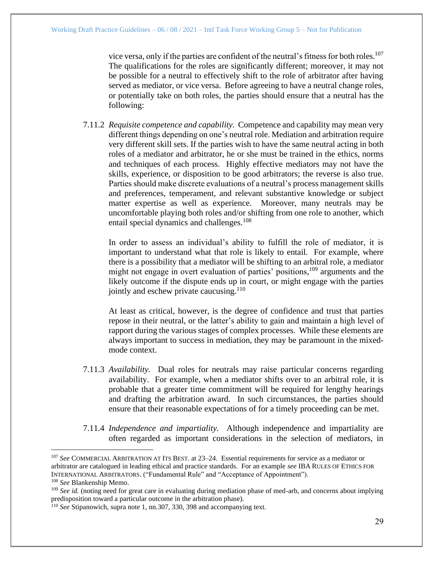vice versa, only if the parties are confident of the neutral's fitness for both roles. 107 The qualifications for the roles are significantly different; moreover, it may not be possible for a neutral to effectively shift to the role of arbitrator after having served as mediator, or vice versa. Before agreeing to have a neutral change roles, or potentially take on both roles, the parties should ensure that a neutral has the following:

7.11.2 *Requisite competence and capability.* Competence and capability may mean very different things depending on one's neutral role. Mediation and arbitration require very different skill sets. If the parties wish to have the same neutral acting in both roles of a mediator and arbitrator, he or she must be trained in the ethics, norms and techniques of each process. Highly effective mediators may not have the skills, experience, or disposition to be good arbitrators; the reverse is also true. Parties should make discrete evaluations of a neutral's process management skills and preferences, temperament, and relevant substantive knowledge or subject matter expertise as well as experience. Moreover, many neutrals may be uncomfortable playing both roles and/or shifting from one role to another, which entail special dynamics and challenges.<sup>108</sup>

In order to assess an individual's ability to fulfill the role of mediator, it is important to understand what that role is likely to entail. For example, where there is a possibility that a mediator will be shifting to an arbitral role, a mediator might not engage in overt evaluation of parties' positions, <sup>109</sup> arguments and the likely outcome if the dispute ends up in court, or might engage with the parties jointly and eschew private caucusing.<sup>110</sup>

At least as critical, however, is the degree of confidence and trust that parties repose in their neutral, or the latter's ability to gain and maintain a high level of rapport during the various stages of complex processes. While these elements are always important to success in mediation, they may be paramount in the mixedmode context.

- 7.11.3 *Availability.* Dual roles for neutrals may raise particular concerns regarding availability. For example, when a mediator shifts over to an arbitral role, it is probable that a greater time commitment will be required for lengthy hearings and drafting the arbitration award. In such circumstances, the parties should ensure that their reasonable expectations of for a timely proceeding can be met.
- 7.11.4 *Independence and impartiality.* Although independence and impartiality are often regarded as important considerations in the selection of mediators, in

<sup>107</sup> *See* COMMERCIAL ARBITRATION AT ITS BEST*.* at 23–24. Essential requirements for service as a mediator or arbitrator are catalogued in leading ethical and practice standards. For an example *see* IBA RULES OF ETHICS FOR INTERNATIONAL ARBITRATORS. ("Fundamental Rule" and "Acceptance of Appointment").

<sup>108</sup> *See* Blankenship Memo.

<sup>109</sup> *See id.* (noting need for great care in evaluating during mediation phase of med-arb, and concerns about implying predisposition toward a particular outcome in the arbitration phase).

<sup>110</sup> *See* Stipanowich*,* supra note 1, nn.307, 330, 398 and accompanying text.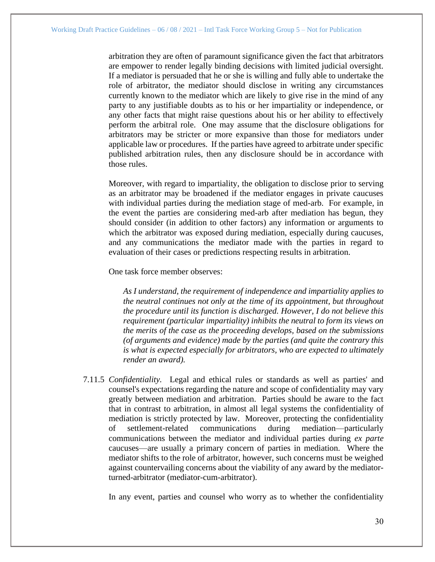arbitration they are often of paramount significance given the fact that arbitrators are empower to render legally binding decisions with limited judicial oversight. If a mediator is persuaded that he or she is willing and fully able to undertake the role of arbitrator, the mediator should disclose in writing any circumstances currently known to the mediator which are likely to give rise in the mind of any party to any justifiable doubts as to his or her impartiality or independence, or any other facts that might raise questions about his or her ability to effectively perform the arbitral role. One may assume that the disclosure obligations for arbitrators may be stricter or more expansive than those for mediators under applicable law or procedures. If the parties have agreed to arbitrate under specific published arbitration rules, then any disclosure should be in accordance with those rules.

Moreover, with regard to impartiality, the obligation to disclose prior to serving as an arbitrator may be broadened if the mediator engages in private caucuses with individual parties during the mediation stage of med-arb. For example, in the event the parties are considering med-arb after mediation has begun, they should consider (in addition to other factors) any information or arguments to which the arbitrator was exposed during mediation, especially during caucuses, and any communications the mediator made with the parties in regard to evaluation of their cases or predictions respecting results in arbitration.

One task force member observes:

*As I understand, the requirement of independence and impartiality applies to the neutral continues not only at the time of its appointment, but throughout the procedure until its function is discharged. However, I do not believe this requirement (particular impartiality) inhibits the neutral to form its views on the merits of the case as the proceeding develops, based on the submissions (of arguments and evidence) made by the parties (and quite the contrary this is what is expected especially for arbitrators, who are expected to ultimately render an award).*

7.11.5 *Confidentiality.* Legal and ethical rules or standards as well as parties' and counsel's expectations regarding the nature and scope of confidentiality may vary greatly between mediation and arbitration. Parties should be aware to the fact that in contrast to arbitration, in almost all legal systems the confidentiality of mediation is strictly protected by law. Moreover, protecting the confidentiality of settlement-related communications during mediation—particularly communications between the mediator and individual parties during *ex parte* caucuses—are usually a primary concern of parties in mediation. Where the mediator shifts to the role of arbitrator, however, such concerns must be weighed against countervailing concerns about the viability of any award by the mediatorturned-arbitrator (mediator-cum-arbitrator).

In any event, parties and counsel who worry as to whether the confidentiality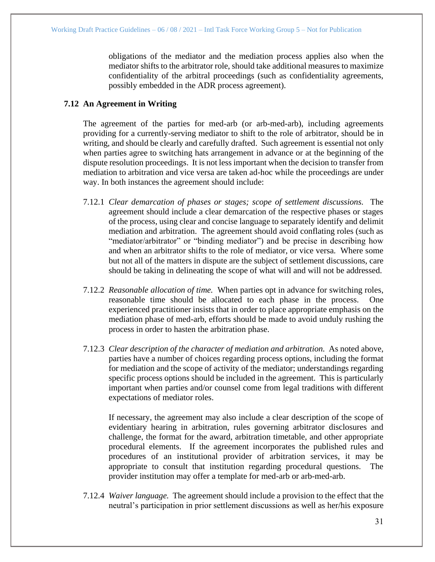obligations of the mediator and the mediation process applies also when the mediator shifts to the arbitrator role, should take additional measures to maximize confidentiality of the arbitral proceedings (such as confidentiality agreements, possibly embedded in the ADR process agreement).

## <span id="page-30-0"></span>**7.12 An Agreement in Writing**

The agreement of the parties for med-arb (or arb-med-arb), including agreements providing for a currently-serving mediator to shift to the role of arbitrator, should be in writing, and should be clearly and carefully drafted. Such agreement is essential not only when parties agree to switching hats arrangement in advance or at the beginning of the dispute resolution proceedings. It is not less important when the decision to transfer from mediation to arbitration and vice versa are taken ad-hoc while the proceedings are under way. In both instances the agreement should include:

- 7.12.1 *Clear demarcation of phases or stages; scope of settlement discussions.* The agreement should include a clear demarcation of the respective phases or stages of the process, using clear and concise language to separately identify and delimit mediation and arbitration. The agreement should avoid conflating roles (such as "mediator/arbitrator" or "binding mediator") and be precise in describing how and when an arbitrator shifts to the role of mediator, or vice versa. Where some but not all of the matters in dispute are the subject of settlement discussions, care should be taking in delineating the scope of what will and will not be addressed.
- 7.12.2 *Reasonable allocation of time.* When parties opt in advance for switching roles, reasonable time should be allocated to each phase in the process. One experienced practitioner insists that in order to place appropriate emphasis on the mediation phase of med-arb, efforts should be made to avoid unduly rushing the process in order to hasten the arbitration phase.
- 7.12.3 *Clear description of the character of mediation and arbitration.* As noted above, parties have a number of choices regarding process options, including the format for mediation and the scope of activity of the mediator; understandings regarding specific process options should be included in the agreement. This is particularly important when parties and/or counsel come from legal traditions with different expectations of mediator roles.

If necessary, the agreement may also include a clear description of the scope of evidentiary hearing in arbitration, rules governing arbitrator disclosures and challenge, the format for the award, arbitration timetable, and other appropriate procedural elements. If the agreement incorporates the published rules and procedures of an institutional provider of arbitration services, it may be appropriate to consult that institution regarding procedural questions. The provider institution may offer a template for med-arb or arb-med-arb.

7.12.4 *Waiver language.* The agreement should include a provision to the effect that the neutral's participation in prior settlement discussions as well as her/his exposure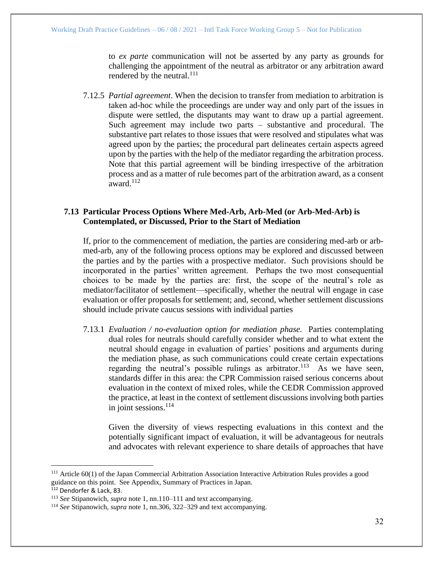to *ex parte* communication will not be asserted by any party as grounds for challenging the appointment of the neutral as arbitrator or any arbitration award rendered by the neutral. $^{111}$ 

7.12.5 *Partial agreement*. When the decision to transfer from mediation to arbitration is taken ad-hoc while the proceedings are under way and only part of the issues in dispute were settled, the disputants may want to draw up a partial agreement. Such agreement may include two parts – substantive and procedural. The substantive part relates to those issues that were resolved and stipulates what was agreed upon by the parties; the procedural part delineates certain aspects agreed upon by the parties with the help of the mediator regarding the arbitration process. Note that this partial agreement will be binding irrespective of the arbitration process and as a matter of rule becomes part of the arbitration award, as a consent award.<sup>112</sup>

## <span id="page-31-0"></span>**7.13 Particular Process Options Where Med-Arb, Arb-Med (or Arb-Med-Arb) is Contemplated, or Discussed, Prior to the Start of Mediation**

If, prior to the commencement of mediation, the parties are considering med-arb or arbmed-arb, any of the following process options may be explored and discussed between the parties and by the parties with a prospective mediator. Such provisions should be incorporated in the parties' written agreement. Perhaps the two most consequential choices to be made by the parties are: first, the scope of the neutral's role as mediator/facilitator of settlement—specifically, whether the neutral will engage in case evaluation or offer proposals for settlement; and, second, whether settlement discussions should include private caucus sessions with individual parties

7.13.1 *Evaluation / no-evaluation option for mediation phase.* Parties contemplating dual roles for neutrals should carefully consider whether and to what extent the neutral should engage in evaluation of parties' positions and arguments during the mediation phase, as such communications could create certain expectations regarding the neutral's possible rulings as arbitrator.<sup>113</sup> As we have seen, standards differ in this area: the CPR Commission raised serious concerns about evaluation in the context of mixed roles, while the CEDR Commission approved the practice, at least in the context of settlement discussions involving both parties in joint sessions. $^{114}$ 

Given the diversity of views respecting evaluations in this context and the potentially significant impact of evaluation, it will be advantageous for neutrals and advocates with relevant experience to share details of approaches that have

<sup>&</sup>lt;sup>111</sup> Article 60(1) of the Japan Commercial Arbitration Association Interactive Arbitration Rules provides a good guidance on this point. See Appendix, Summary of Practices in Japan. 112 Dendorfer & Lack, 83.

<sup>113</sup> *See* Stipanowich, *supra* note 1, nn.110–111 and text accompanying.

<sup>114</sup> *See* Stipanowich, *supra* note 1, nn.306, 322–329 and text accompanying.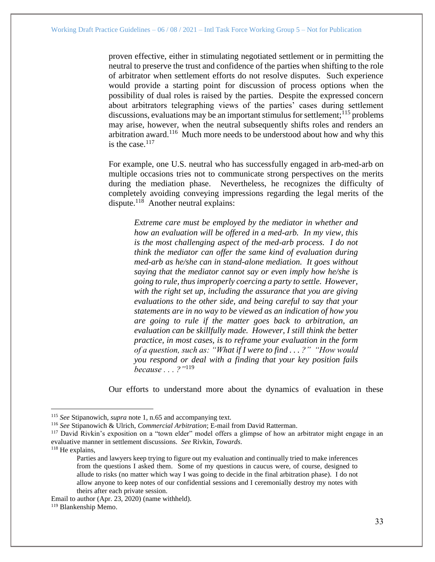proven effective, either in stimulating negotiated settlement or in permitting the neutral to preserve the trust and confidence of the parties when shifting to the role of arbitrator when settlement efforts do not resolve disputes. Such experience would provide a starting point for discussion of process options when the possibility of dual roles is raised by the parties. Despite the expressed concern about arbitrators telegraphing views of the parties' cases during settlement discussions, evaluations may be an important stimulus for settlement;  $115$  problems may arise, however, when the neutral subsequently shifts roles and renders an arbitration award.<sup>116</sup> Much more needs to be understood about how and why this is the case. $117$ 

For example, one U.S. neutral who has successfully engaged in arb-med-arb on multiple occasions tries not to communicate strong perspectives on the merits during the mediation phase. Nevertheless, he recognizes the difficulty of completely avoiding conveying impressions regarding the legal merits of the dispute.<sup>118</sup> Another neutral explains:

*Extreme care must be employed by the mediator in whether and how an evaluation will be offered in a med-arb. In my view, this is the most challenging aspect of the med-arb process. I do not think the mediator can offer the same kind of evaluation during med-arb as he/she can in stand-alone mediation. It goes without saying that the mediator cannot say or even imply how he/she is going to rule, thus improperly coercing a party to settle. However, with the right set up, including the assurance that you are giving evaluations to the other side, and being careful to say that your statements are in no way to be viewed as an indication of how you are going to rule if the matter goes back to arbitration, an evaluation can be skillfully made. However, I still think the better practice, in most cases, is to reframe your evaluation in the form of a question, such as: "What if I were to find . . . ?" "How would you respond or deal with a finding that your key position fails because . . . ?"*<sup>119</sup>

Our efforts to understand more about the dynamics of evaluation in these

<sup>118</sup> He explains,

<sup>115</sup> *See* Stipanowich, *supra* note 1, n.65 and accompanying text.

<sup>116</sup> *See* Stipanowich & Ulrich, *Commercial Arbitration*; E-mail from David Ratterman.

<sup>&</sup>lt;sup>117</sup> David Rivkin's exposition on a "town elder" model offers a glimpse of how an arbitrator might engage in an evaluative manner in settlement discussions. *See* Rivkin, *Towards*.

Parties and lawyers keep trying to figure out my evaluation and continually tried to make inferences from the questions I asked them. Some of my questions in caucus were, of course, designed to allude to risks (no matter which way I was going to decide in the final arbitration phase). I do not allow anyone to keep notes of our confidential sessions and I ceremonially destroy my notes with theirs after each private session.

Email to author (Apr. 23, 2020) (name withheld). <sup>119</sup> Blankenship Memo.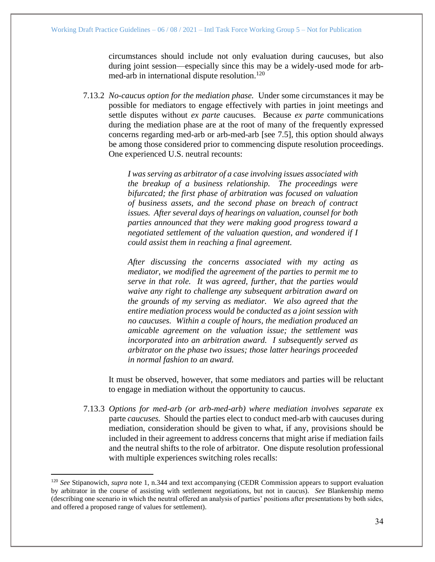circumstances should include not only evaluation during caucuses, but also during joint session—especially since this may be a widely-used mode for arbmed-arb in international dispute resolution.<sup>120</sup>

7.13.2 *No-caucus option for the mediation phase.* Under some circumstances it may be possible for mediators to engage effectively with parties in joint meetings and settle disputes without *ex parte* caucuses. Because *ex parte* communications during the mediation phase are at the root of many of the frequently expressed concerns regarding med-arb or arb-med-arb [see 7.5], this option should always be among those considered prior to commencing dispute resolution proceedings. One experienced U.S. neutral recounts:

> *I was serving as arbitrator of a case involving issues associated with the breakup of a business relationship. The proceedings were bifurcated; the first phase of arbitration was focused on valuation of business assets, and the second phase on breach of contract issues. After several days of hearings on valuation, counsel for both parties announced that they were making good progress toward a negotiated settlement of the valuation question, and wondered if I could assist them in reaching a final agreement.*

> *After discussing the concerns associated with my acting as mediator, we modified the agreement of the parties to permit me to serve in that role. It was agreed, further, that the parties would waive any right to challenge any subsequent arbitration award on the grounds of my serving as mediator. We also agreed that the entire mediation process would be conducted as a joint session with no caucuses. Within a couple of hours, the mediation produced an amicable agreement on the valuation issue; the settlement was incorporated into an arbitration award. I subsequently served as arbitrator on the phase two issues; those latter hearings proceeded in normal fashion to an award.*

It must be observed, however, that some mediators and parties will be reluctant to engage in mediation without the opportunity to caucus.

7.13.3 *Options for med-arb (or arb-med-arb) where mediation involves separate* ex parte *caucuses.* Should the parties elect to conduct med-arb with caucuses during mediation, consideration should be given to what, if any, provisions should be included in their agreement to address concerns that might arise if mediation fails and the neutral shifts to the role of arbitrator. One dispute resolution professional with multiple experiences switching roles recalls:

<sup>120</sup> *See* Stipanowich, *supra* note 1, n.344 and text accompanying (CEDR Commission appears to support evaluation by arbitrator in the course of assisting with settlement negotiations, but not in caucus). *See* Blankenship memo (describing one scenario in which the neutral offered an analysis of parties' positions after presentations by both sides, and offered a proposed range of values for settlement).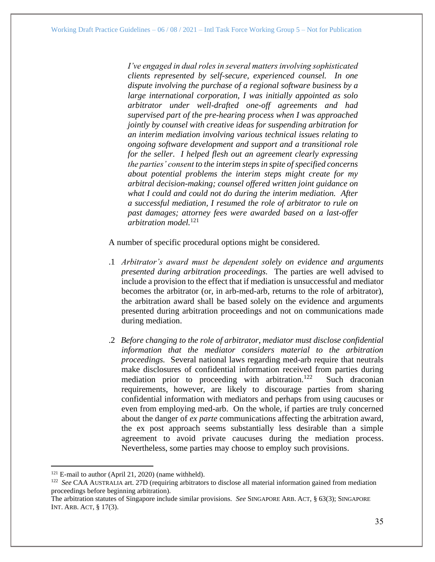*I've engaged in dual roles in several matters involving sophisticated clients represented by self-secure, experienced counsel. In one dispute involving the purchase of a regional software business by a large international corporation, I was initially appointed as solo arbitrator under well-drafted one-off agreements and had supervised part of the pre-hearing process when I was approached jointly by counsel with creative ideas for suspending arbitration for an interim mediation involving various technical issues relating to ongoing software development and support and a transitional role for the seller. I helped flesh out an agreement clearly expressing the parties' consent to the interim steps in spite of specified concerns about potential problems the interim steps might create for my arbitral decision-making; counsel offered written joint guidance on what I could and could not do during the interim mediation. After a successful mediation, I resumed the role of arbitrator to rule on past damages; attorney fees were awarded based on a last-offer arbitration model.*<sup>121</sup>

A number of specific procedural options might be considered.

- .1 *Arbitrator's award must be dependent solely on evidence and arguments presented during arbitration proceedings.* The parties are well advised to include a provision to the effect that if mediation is unsuccessful and mediator becomes the arbitrator (or, in arb-med-arb, returns to the role of arbitrator), the arbitration award shall be based solely on the evidence and arguments presented during arbitration proceedings and not on communications made during mediation.
- .2 *Before changing to the role of arbitrator, mediator must disclose confidential information that the mediator considers material to the arbitration proceedings.* Several national laws regarding med-arb require that neutrals make disclosures of confidential information received from parties during mediation prior to proceeding with arbitration.<sup>122</sup> Such draconian requirements, however, are likely to discourage parties from sharing confidential information with mediators and perhaps from using caucuses or even from employing med-arb. On the whole, if parties are truly concerned about the danger of *ex parte* communications affecting the arbitration award, the ex post approach seems substantially less desirable than a simple agreement to avoid private caucuses during the mediation process. Nevertheless, some parties may choose to employ such provisions.

 $121$  E-mail to author (April 21, 2020) (name withheld).

<sup>&</sup>lt;sup>122</sup> *See* CAA AUSTRALIA art. 27D (requiring arbitrators to disclose all material information gained from mediation proceedings before beginning arbitration).

The arbitration statutes of Singapore include similar provisions. *See* SINGAPORE ARB. ACT, § 63(3); SINGAPORE INT. ARB. ACT, § 17(3).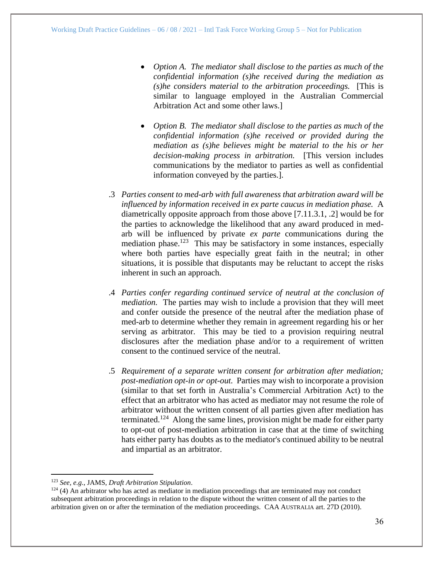- *Option A. The mediator shall disclose to the parties as much of the confidential information (s)he received during the mediation as (s)he considers material to the arbitration proceedings.* [This is similar to language employed in the Australian Commercial Arbitration Act and some other laws.]
- *Option B. The mediator shall disclose to the parties as much of the confidential information (s)he received or provided during the mediation as (s)he believes might be material to the his or her decision-making process in arbitration.* [This version includes communications by the mediator to parties as well as confidential information conveyed by the parties.].
- .3 *Parties consent to med-arb with full awareness that arbitration award will be influenced by information received in ex parte caucus in mediation phase.* A diametrically opposite approach from those above [7.11.3.1, .2] would be for the parties to acknowledge the likelihood that any award produced in medarb will be influenced by private *ex parte* communications during the mediation phase.<sup>123</sup> This may be satisfactory in some instances, especially where both parties have especially great faith in the neutral; in other situations, it is possible that disputants may be reluctant to accept the risks inherent in such an approach.
- .4 *Parties confer regarding continued service of neutral at the conclusion of mediation.* The parties may wish to include a provision that they will meet and confer outside the presence of the neutral after the mediation phase of med-arb to determine whether they remain in agreement regarding his or her serving as arbitrator. This may be tied to a provision requiring neutral disclosures after the mediation phase and/or to a requirement of written consent to the continued service of the neutral.
- .5 *Requirement of a separate written consent for arbitration after mediation; post-mediation opt-in or opt-out.* Parties may wish to incorporate a provision (similar to that set forth in Australia's Commercial Arbitration Act) to the effect that an arbitrator who has acted as mediator may not resume the role of arbitrator without the written consent of all parties given after mediation has terminated.<sup>124</sup> Along the same lines, provision might be made for either party to opt-out of post-mediation arbitration in case that at the time of switching hats either party has doubts as to the mediator's continued ability to be neutral and impartial as an arbitrator.

<sup>123</sup> *See, e.g*., JAMS, *Draft Arbitration Stipulation*.

 $124$  (4) An arbitrator who has acted as mediator in mediation proceedings that are terminated may not conduct subsequent arbitration proceedings in relation to the dispute without the written consent of all the parties to the arbitration given on or after the termination of the mediation proceedings. CAA AUSTRALIA art. 27D (2010).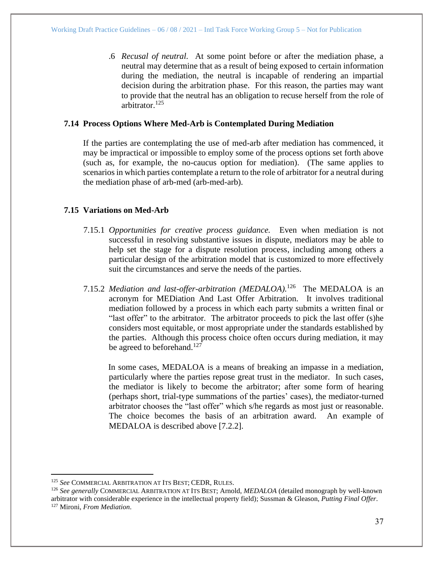.6 *Recusal of neutral.* At some point before or after the mediation phase, a neutral may determine that as a result of being exposed to certain information during the mediation, the neutral is incapable of rendering an impartial decision during the arbitration phase. For this reason, the parties may want to provide that the neutral has an obligation to recuse herself from the role of arbitrator.<sup>125</sup>

### <span id="page-36-0"></span>**7.14 Process Options Where Med-Arb is Contemplated During Mediation**

If the parties are contemplating the use of med-arb after mediation has commenced, it may be impractical or impossible to employ some of the process options set forth above (such as, for example, the no-caucus option for mediation). (The same applies to scenarios in which parties contemplate a return to the role of arbitrator for a neutral during the mediation phase of arb-med (arb-med-arb).

## <span id="page-36-1"></span>**7.15 Variations on Med-Arb**

- 7.15.1 *Opportunities for creative process guidance.* Even when mediation is not successful in resolving substantive issues in dispute, mediators may be able to help set the stage for a dispute resolution process, including among others a particular design of the arbitration model that is customized to more effectively suit the circumstances and serve the needs of the parties.
- 7.15.2 *Mediation and last-offer-arbitration (MEDALOA).*<sup>126</sup> The MEDALOA is an acronym for MEDiation And Last Offer Arbitration. It involves traditional mediation followed by a process in which each party submits a written final or "last offer" to the arbitrator. The arbitrator proceeds to pick the last offer (s)he considers most equitable, or most appropriate under the standards established by the parties. Although this process choice often occurs during mediation, it may be agreed to beforehand.<sup>127</sup>

In some cases, MEDALOA is a means of breaking an impasse in a mediation, particularly where the parties repose great trust in the mediator. In such cases, the mediator is likely to become the arbitrator; after some form of hearing (perhaps short, trial-type summations of the parties' cases), the mediator-turned arbitrator chooses the "last offer" which s/he regards as most just or reasonable. The choice becomes the basis of an arbitration award. An example of MEDALOA is described above [7.2.2].

<sup>125</sup> *See* COMMERCIAL ARBITRATION AT ITS BEST; CEDR, RULES.

<sup>126</sup> *See generally* COMMERCIAL ARBITRATION AT ITS BEST; Arnold, *MEDALOA* (detailed monograph by well-known arbitrator with considerable experience in the intellectual property field); Sussman & Gleason, *Putting Final Offer*. <sup>127</sup> Mironi, *From Mediation*.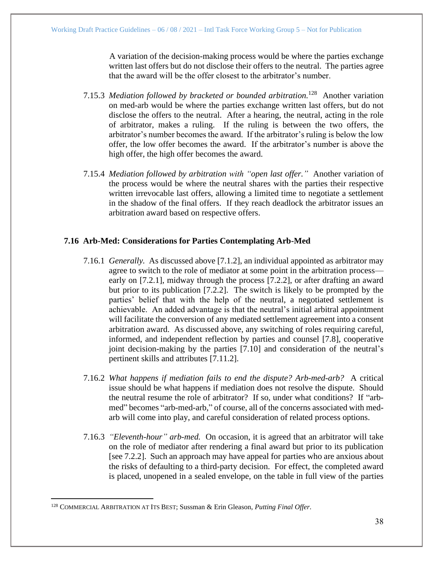A variation of the decision-making process would be where the parties exchange written last offers but do not disclose their offers to the neutral. The parties agree that the award will be the offer closest to the arbitrator's number.

- 7.15.3 *Mediation followed by bracketed or bounded arbitration.*<sup>128</sup> Another variation on med-arb would be where the parties exchange written last offers, but do not disclose the offers to the neutral. After a hearing, the neutral, acting in the role of arbitrator, makes a ruling. If the ruling is between the two offers, the arbitrator's number becomes the award. If the arbitrator's ruling is below the low offer, the low offer becomes the award. If the arbitrator's number is above the high offer, the high offer becomes the award.
- 7.15.4 *Mediation followed by arbitration with "open last offer."* Another variation of the process would be where the neutral shares with the parties their respective written irrevocable last offers, allowing a limited time to negotiate a settlement in the shadow of the final offers. If they reach deadlock the arbitrator issues an arbitration award based on respective offers.

## <span id="page-37-0"></span>**7.16 Arb-Med: Considerations for Parties Contemplating Arb-Med**

- 7.16.1 *Generally.* As discussed above [7.1.2], an individual appointed as arbitrator may agree to switch to the role of mediator at some point in the arbitration process early on [7.2.1], midway through the process [7.2.2], or after drafting an award but prior to its publication [7.2.2]. The switch is likely to be prompted by the parties' belief that with the help of the neutral, a negotiated settlement is achievable. An added advantage is that the neutral's initial arbitral appointment will facilitate the conversion of any mediated settlement agreement into a consent arbitration award. As discussed above, any switching of roles requiring careful, informed, and independent reflection by parties and counsel [7.8], cooperative joint decision-making by the parties [7.10] and consideration of the neutral's pertinent skills and attributes [7.11.2].
- 7.16.2 *What happens if mediation fails to end the dispute? Arb-med-arb?* A critical issue should be what happens if mediation does not resolve the dispute. Should the neutral resume the role of arbitrator? If so, under what conditions? If "arbmed" becomes "arb-med-arb," of course, all of the concerns associated with medarb will come into play, and careful consideration of related process options.
- 7.16.3 *"Eleventh-hour" arb-med.* On occasion, it is agreed that an arbitrator will take on the role of mediator after rendering a final award but prior to its publication [see 7.2.2]. Such an approach may have appeal for parties who are anxious about the risks of defaulting to a third-party decision. For effect, the completed award is placed, unopened in a sealed envelope, on the table in full view of the parties

<sup>128</sup> COMMERCIAL ARBITRATION AT ITS BEST; Sussman & Erin Gleason, *Putting Final Offer*.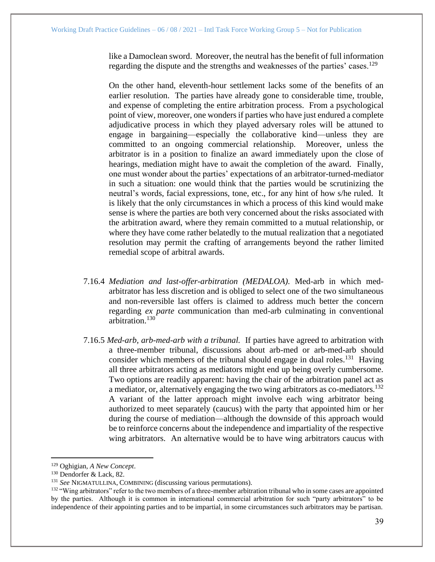like a Damoclean sword. Moreover, the neutral has the benefit of full information regarding the dispute and the strengths and weaknesses of the parties' cases.<sup>129</sup>

On the other hand, eleventh-hour settlement lacks some of the benefits of an earlier resolution. The parties have already gone to considerable time, trouble, and expense of completing the entire arbitration process. From a psychological point of view, moreover, one wonders if parties who have just endured a complete adjudicative process in which they played adversary roles will be attuned to engage in bargaining—especially the collaborative kind—unless they are committed to an ongoing commercial relationship. Moreover, unless the arbitrator is in a position to finalize an award immediately upon the close of hearings, mediation might have to await the completion of the award. Finally, one must wonder about the parties' expectations of an arbitrator-turned-mediator in such a situation: one would think that the parties would be scrutinizing the neutral's words, facial expressions, tone, etc., for any hint of how s/he ruled. It is likely that the only circumstances in which a process of this kind would make sense is where the parties are both very concerned about the risks associated with the arbitration award, where they remain committed to a mutual relationship, or where they have come rather belatedly to the mutual realization that a negotiated resolution may permit the crafting of arrangements beyond the rather limited remedial scope of arbitral awards.

- 7.16.4 *Mediation and last-offer-arbitration (MEDALOA).* Med-arb in which medarbitrator has less discretion and is obliged to select one of the two simultaneous and non-reversible last offers is claimed to address much better the concern regarding *ex parte* communication than med-arb culminating in conventional arbitration.<sup>130</sup>
- 7.16.5 *Med-arb, arb-med-arb with a tribunal.* If parties have agreed to arbitration with a three-member tribunal, discussions about arb-med or arb-med-arb should consider which members of the tribunal should engage in dual roles.<sup>131</sup> Having all three arbitrators acting as mediators might end up being overly cumbersome. Two options are readily apparent: having the chair of the arbitration panel act as a mediator, or, alternatively engaging the two wing arbitrators as co-mediators.<sup>132</sup> A variant of the latter approach might involve each wing arbitrator being authorized to meet separately (caucus) with the party that appointed him or her during the course of mediation—although the downside of this approach would be to reinforce concerns about the independence and impartiality of the respective wing arbitrators. An alternative would be to have wing arbitrators caucus with

<sup>129</sup> Oghigian, *A New Concept*.

<sup>130</sup> Dendorfer & Lack, 82.

<sup>131</sup> *See* NIGMATULLINA, COMBINING (discussing various permutations).

<sup>&</sup>lt;sup>132</sup> "Wing arbitrators" refer to the two members of a three-member arbitration tribunal who in some cases are appointed by the parties. Although it is common in international commercial arbitration for such "party arbitrators" to be independence of their appointing parties and to be impartial, in some circumstances such arbitrators may be partisan.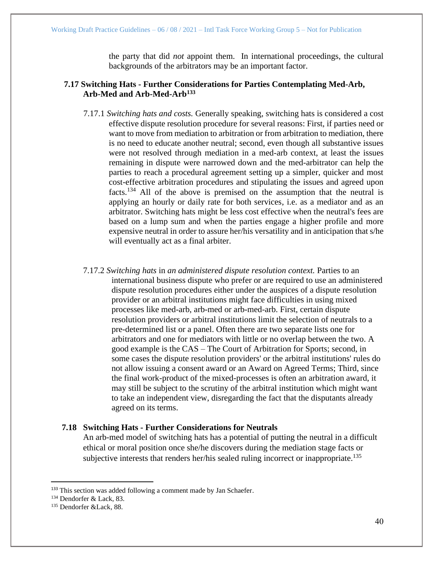the party that did *not* appoint them. In international proceedings, the cultural backgrounds of the arbitrators may be an important factor.

## **7.17 Switching Hats - Further Considerations for Parties Contemplating Med-Arb, Arb-Med and Arb-Med-Arb<sup>133</sup>**

- 7.17.1 *Switching hats and costs.* Generally speaking, switching hats is considered a cost effective dispute resolution procedure for several reasons: First, if parties need or want to move from mediation to arbitration or from arbitration to mediation, there is no need to educate another neutral; second, even though all substantive issues were not resolved through mediation in a med-arb context, at least the issues remaining in dispute were narrowed down and the med-arbitrator can help the parties to reach a procedural agreement setting up a simpler, quicker and most cost-effective arbitration procedures and stipulating the issues and agreed upon facts.<sup>134</sup> All of the above is premised on the assumption that the neutral is applying an hourly or daily rate for both services, i.e. as a mediator and as an arbitrator. Switching hats might be less cost effective when the neutral's fees are based on a lump sum and when the parties engage a higher profile and more expensive neutral in order to assure her/his versatility and in anticipation that s/he will eventually act as a final arbiter.
- 7.17.2 *Switching hats* in *an administered dispute resolution context.* Parties to an international business dispute who prefer or are required to use an administered dispute resolution procedures either under the auspices of a dispute resolution provider or an arbitral institutions might face difficulties in using mixed processes like med-arb, arb-med or arb-med-arb. First, certain dispute resolution providers or arbitral institutions limit the selection of neutrals to a pre-determined list or a panel. Often there are two separate lists one for arbitrators and one for mediators with little or no overlap between the two. A good example is the CAS – The Court of Arbitration for Sports; second, in some cases the dispute resolution providers' or the arbitral institutions' rules do not allow issuing a consent award or an Award on Agreed Terms; Third, since the final work-product of the mixed-processes is often an arbitration award, it may still be subject to the scrutiny of the arbitral institution which might want to take an independent view, disregarding the fact that the disputants already agreed on its terms.

## **7.18 Switching Hats - Further Considerations for Neutrals**

An arb-med model of switching hats has a potential of putting the neutral in a difficult ethical or moral position once she/he discovers during the mediation stage facts or subjective interests that renders her/his sealed ruling incorrect or inappropriate.<sup>135</sup>

<sup>&</sup>lt;sup>133</sup> This section was added following a comment made by Jan Schaefer.

<sup>134</sup> Dendorfer & Lack, 83.

<sup>135</sup> Dendorfer &Lack, 88.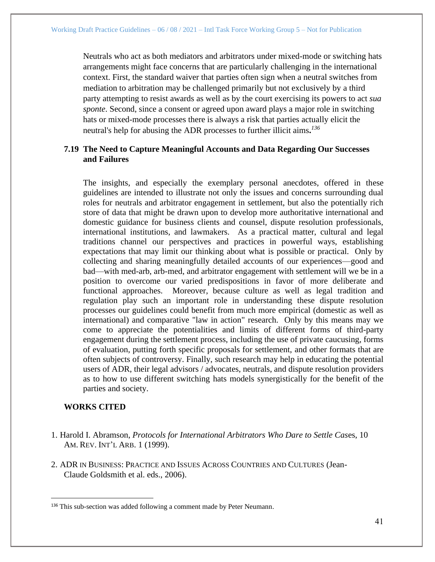Neutrals who act as both mediators and arbitrators under mixed-mode or switching hats arrangements might face concerns that are particularly challenging in the international context. First, the standard waiver that parties often sign when a neutral switches from mediation to arbitration may be challenged primarily but not exclusively by a third party attempting to resist awards as well as by the court exercising its powers to act *sua sponte*. Second, since a consent or agreed upon award plays a major role in switching hats or mixed-mode processes there is always a risk that parties actually elicit the neutral's help for abusing the ADR processes to further illicit aims**.** *136*

## <span id="page-40-0"></span>**7.19 The Need to Capture Meaningful Accounts and Data Regarding Our Successes and Failures**

The insights, and especially the exemplary personal anecdotes, offered in these guidelines are intended to illustrate not only the issues and concerns surrounding dual roles for neutrals and arbitrator engagement in settlement, but also the potentially rich store of data that might be drawn upon to develop more authoritative international and domestic guidance for business clients and counsel, dispute resolution professionals, international institutions, and lawmakers. As a practical matter, cultural and legal traditions channel our perspectives and practices in powerful ways, establishing expectations that may limit our thinking about what is possible or practical. Only by collecting and sharing meaningfully detailed accounts of our experiences—good and bad—with med-arb, arb-med, and arbitrator engagement with settlement will we be in a position to overcome our varied predispositions in favor of more deliberate and functional approaches. Moreover, because culture as well as legal tradition and regulation play such an important role in understanding these dispute resolution processes our guidelines could benefit from much more empirical (domestic as well as international) and comparative "law in action" research. Only by this means may we come to appreciate the potentialities and limits of different forms of third-party engagement during the settlement process, including the use of private caucusing, forms of evaluation, putting forth specific proposals for settlement, and other formats that are often subjects of controversy. Finally, such research may help in educating the potential users of ADR, their legal advisors / advocates, neutrals, and dispute resolution providers as to how to use different switching hats models synergistically for the benefit of the parties and society.

## <span id="page-40-1"></span>**WORKS CITED**

- 1. Harold I. Abramson, *Protocols for International Arbitrators Who Dare to Settle Cas*es, 10 AM. REV. INT'L ARB. 1 (1999).
- 2. ADR IN BUSINESS: PRACTICE AND ISSUES ACROSS COUNTRIES AND CULTURES (Jean-Claude Goldsmith et al. eds., 2006).

<sup>&</sup>lt;sup>136</sup> This sub-section was added following a comment made by Peter Neumann.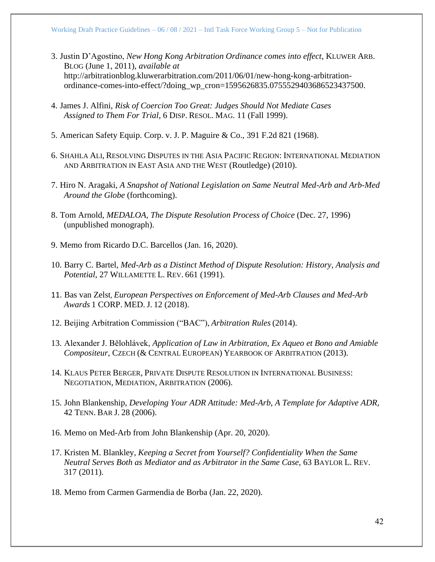- 3. Justin D'Agostino, *New Hong Kong Arbitration Ordinance comes into effect*, KLUWER ARB. BLOG (June 1, 2011), *available at* http://arbitrationblog.kluwerarbitration.com/2011/06/01/new-hong-kong-arbitrationordinance-comes-into-effect/?doing\_wp\_cron=1595626835.0755529403686523437500.
- 4. James J. Alfini, *Risk of Coercion Too Great: Judges Should Not Mediate Cases Assigned to Them For Trial*, 6 DISP. RESOL. MAG. 11 (Fall 1999).
- 5. American Safety Equip. Corp. v. J. P. Maguire & Co., 391 F.2d 821 (1968).
- 6. SHAHLA ALI, RESOLVING DISPUTES IN THE ASIA PACIFIC REGION: INTERNATIONAL MEDIATION AND ARBITRATION IN EAST ASIA AND THE WEST (Routledge) (2010).
- 7. Hiro N. Aragaki, *A Snapshot of National Legislation on Same Neutral Med-Arb and Arb-Med Around the Globe* (forthcoming).
- 8. Tom Arnold, *MEDALOA, The Dispute Resolution Process of Choice* (Dec. 27, 1996) (unpublished monograph).
- 9. Memo from Ricardo D.C. Barcellos (Jan. 16, 2020).
- 10. Barry C. Bartel, *Med-Arb as a Distinct Method of Dispute Resolution: History, Analysis and Potential*, 27 WILLAMETTE L. REV. 661 (1991).
- 11. Bas van Zelst, *European Perspectives on Enforcement of Med-Arb Clauses and Med-Arb Awards* 1 CORP. MED. J. 12 (2018).
- 12. Beijing Arbitration Commission ("BAC"), *Arbitration Rules* (2014).
- 13. Alexander J. Bělohlávek, *Application of Law in Arbitration, Ex Aqueo et Bono and Amiable Compositeur*, CZECH (& CENTRAL EUROPEAN) YEARBOOK OF ARBITRATION (2013).
- 14. KLAUS PETER BERGER, PRIVATE DISPUTE RESOLUTION IN INTERNATIONAL BUSINESS: NEGOTIATION, MEDIATION, ARBITRATION (2006).
- 15. John Blankenship, *Developing Your ADR Attitude: Med-Arb, A Template for Adaptive ADR*, 42 TENN. BAR J. 28 (2006).
- 16. Memo on Med-Arb from John Blankenship (Apr. 20, 2020).
- 17. Kristen M. Blankley, *Keeping a Secret from Yourself? Confidentiality When the Same Neutral Serves Both as Mediator and as Arbitrator in the Same Case,* 63 BAYLOR L. REV. 317 (2011).
- 18. Memo from Carmen Garmendia de Borba (Jan. 22, 2020).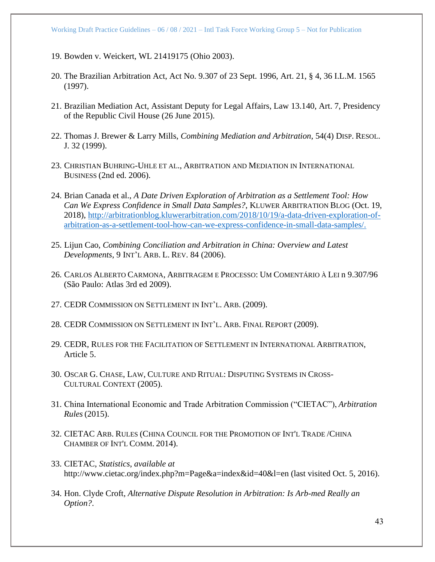- 19. Bowden v. Weickert, WL 21419175 (Ohio 2003).
- 20. The Brazilian Arbitration Act, Act No. 9.307 of 23 Sept. 1996, Art. 21, § 4, 36 I.L.M. 1565 (1997).
- 21. Brazilian Mediation Act, Assistant Deputy for Legal Affairs, Law 13.140, Art. 7, Presidency of the Republic Civil House (26 June 2015).
- 22. Thomas J. Brewer & Larry Mills, *Combining Mediation and Arbitration*, 54(4) DISP. RESOL. J. 32 (1999).
- 23. CHRISTIAN BUHRING-UHLE ET AL., ARBITRATION AND MEDIATION IN INTERNATIONAL BUSINESS (2nd ed. 2006).
- 24. Brian Canada et al., *A Date Driven Exploration of Arbitration as a Settlement Tool: How Can We Express Confidence in Small Data Samples?*, KLUWER ARBITRATION BLOG (Oct. 19, 2018), [http://arbitrationblog.kluwerarbitration.com/2018/10/19/a-data-driven-exploration-of](http://arbitrationblog.kluwerarbitration.com/2018/10/19/a-data-driven-exploration-of-arbitration-as-a-settlement-tool-how-can-we-express-confidence-in-small-data-samples/)[arbitration-as-a-settlement-tool-how-can-we-express-confidence-in-small-data-samples/.](http://arbitrationblog.kluwerarbitration.com/2018/10/19/a-data-driven-exploration-of-arbitration-as-a-settlement-tool-how-can-we-express-confidence-in-small-data-samples/)
- 25. Lijun Cao, *Combining Conciliation and Arbitration in China: Overview and Latest Developments*, 9 INT'L ARB. L. REV. 84 (2006).
- 26. CARLOS ALBERTO CARMONA, ARBITRAGEM E PROCESSO: UM COMENTÁRIO À LEI n 9.307/96 (São Paulo: Atlas 3rd ed 2009).
- 27. CEDR COMMISSION ON SETTLEMENT IN INT'L. ARB. (2009).
- 28. CEDR COMMISSION ON SETTLEMENT IN INT'L. ARB. FINAL REPORT (2009).
- 29. CEDR, RULES FOR THE FACILITATION OF SETTLEMENT IN INTERNATIONAL ARBITRATION, Article 5.
- 30. OSCAR G. CHASE, LAW, CULTURE AND RITUAL: DISPUTING SYSTEMS IN CROSS-CULTURAL CONTEXT (2005).
- 31. China International Economic and Trade Arbitration Commission ("CIETAC"), *Arbitration Rules* (2015).
- 32. CIETAC ARB. RULES (CHINA COUNCIL FOR THE PROMOTION OF INT'L TRADE /CHINA CHAMBER OF INT'L COMM. 2014).
- 33. CIETAC, *Statistics*, *available at* http://www.cietac.org/index.php?m=Page&a=index&id=40&l=en (last visited Oct. 5, 2016).
- 34. Hon. Clyde Croft, *Alternative Dispute Resolution in Arbitration: Is Arb-med Really an Option?*.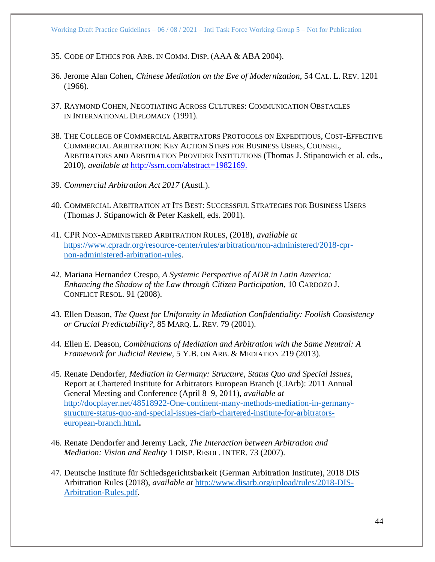- 35. CODE OF ETHICS FOR ARB. IN COMM. DISP. (AAA & ABA 2004).
- 36. Jerome Alan Cohen, *Chinese Mediation on the Eve of Modernization*, 54 CAL. L. REV. 1201 (1966).
- 37. RAYMOND COHEN, NEGOTIATING ACROSS CULTURES: COMMUNICATION OBSTACLES IN INTERNATIONAL DIPLOMACY (1991).
- 38. THE COLLEGE OF COMMERCIAL ARBITRATORS PROTOCOLS ON EXPEDITIOUS, COST-EFFECTIVE COMMERCIAL ARBITRATION: KEY ACTION STEPS FOR BUSINESS USERS, COUNSEL, ARBITRATORS AND ARBITRATION PROVIDER INSTITUTIONS (Thomas J. Stipanowich et al. eds., 2010), *available at* [http://ssrn.com/abstract=1982169.](http://ssrn.com/abstract=1982169)
- 39. *Commercial Arbitration Act 2017* (Austl.).
- 40. COMMERCIAL ARBITRATION AT ITS BEST: SUCCESSFUL STRATEGIES FOR BUSINESS USERS (Thomas J. Stipanowich & Peter Kaskell, eds. 2001).
- 41. CPR NON-ADMINISTERED ARBITRATION RULES, (2018), *available at*  [https://www.cpradr.org/resource-center/rules/arbitration/non-administered/2018-cpr](https://www.cpradr.org/resource-center/rules/arbitration/non-administered/2018-cpr-non-administered-arbitration-rules)[non-administered-arbitration-rules.](https://www.cpradr.org/resource-center/rules/arbitration/non-administered/2018-cpr-non-administered-arbitration-rules)
- 42. Mariana Hernandez Crespo, *A Systemic Perspective of ADR in Latin America: Enhancing the Shadow of the Law through Citizen Participation*, 10 CARDOZO J. CONFLICT RESOL. 91 (2008).
- 43. Ellen Deason, *The Quest for Uniformity in Mediation Confidentiality: Foolish Consistency or Crucial Predictability?*, 85 MARQ. L. REV. 79 (2001).
- 44. Ellen E. Deason, *Combinations of Mediation and Arbitration with the Same Neutral: A Framework for Judicial Review,* 5 Y.B. ON ARB. & MEDIATION 219 (2013).
- 45. Renate Dendorfer, *Mediation in Germany: Structure, Status Quo and Special Issues*, Report at Chartered Institute for Arbitrators European Branch (CIArb): 2011 Annual General Meeting and Conference (April 8–9, 2011), *available at*  [http://docplayer.net/48518922-One-continent-many-methods-mediation-in-germany](http://docplayer.net/48518922-One-continent-many-methods-mediation-in-germany-structure-status-quo-and-special-issues-ciarb-chartered-institute-for-arbitrators-european-branch.html)[structure-status-quo-and-special-issues-ciarb-chartered-institute-for-arbitrators](http://docplayer.net/48518922-One-continent-many-methods-mediation-in-germany-structure-status-quo-and-special-issues-ciarb-chartered-institute-for-arbitrators-european-branch.html)[european-branch.html](http://docplayer.net/48518922-One-continent-many-methods-mediation-in-germany-structure-status-quo-and-special-issues-ciarb-chartered-institute-for-arbitrators-european-branch.html)**.**
- 46. Renate Dendorfer and Jeremy Lack, *The Interaction between Arbitration and Mediation: Vision and Reality* 1 DISP. RESOL. INTER. 73 (2007).
- 47. Deutsche Institute für Schiedsgerichtsbarkeit (German Arbitration Institute), 2018 DIS Arbitration Rules (2018), *available at* [http://www.disarb.org/upload/rules/2018-DIS-](http://www.disarb.org/upload/rules/2018-DIS-Arbitration-Rules.pdf)[Arbitration-Rules.pdf.](http://www.disarb.org/upload/rules/2018-DIS-Arbitration-Rules.pdf)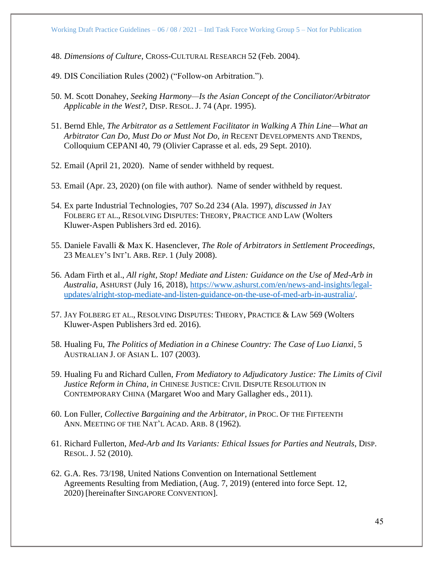48. *Dimensions of Culture*, CROSS-CULTURAL RESEARCH 52 (Feb. 2004).

49. DIS Conciliation Rules (2002) ("Follow-on Arbitration.").

- 50. M. Scott Donahey, *Seeking Harmony—Is the Asian Concept of the Conciliator/Arbitrator Applicable in the West?*, DISP. RESOL. J. 74 (Apr. 1995).
- 51. Bernd Ehle, *The Arbitrator as a Settlement Facilitator in Walking A Thin Line—What an Arbitrator Can Do, Must Do or Must Not Do, in* RECENT DEVELOPMENTS AND TRENDS*,*  Colloquium CEPANI 40, 79 (Olivier Caprasse et al. eds, 29 Sept. 2010).
- 52. Email (April 21, 2020). Name of sender withheld by request.
- 53. Email (Apr. 23, 2020) (on file with author). Name of sender withheld by request.
- 54. Ex parte Industrial Technologies, 707 So.2d 234 (Ala. 1997), *discussed in* JAY FOLBERG ET AL., RESOLVING DISPUTES: THEORY, PRACTICE AND LAW (Wolters Kluwer-Aspen Publishers 3rd ed. 2016).
- 55. Daniele Favalli & Max K. Hasenclever, *The Role of Arbitrators in Settlement Proceedings,* 23 MEALEY'S INT'L ARB. REP. 1 (July 2008).
- 56. Adam Firth et al., *All right, Stop! Mediate and Listen: Guidance on the Use of Med-Arb in Australia*, ASHURST (July 16, 2018), [https://www.ashurst.com/en/news-and-insights/legal](https://www.ashurst.com/en/news-and-insights/legal-updates/alright-stop-mediate-and-listen-guidance-on-the-use-of-med-arb-in-australia/)[updates/alright-stop-mediate-and-listen-guidance-on-the-use-of-med-arb-in-australia/.](https://www.ashurst.com/en/news-and-insights/legal-updates/alright-stop-mediate-and-listen-guidance-on-the-use-of-med-arb-in-australia/)
- 57. JAY FOLBERG ET AL., RESOLVING DISPUTES: THEORY, PRACTICE & LAW 569 (Wolters Kluwer-Aspen Publishers 3rd ed. 2016).
- 58. Hualing Fu, *The Politics of Mediation in a Chinese Country: The Case of Luo Lianxi*, 5 AUSTRALIAN J. OF ASIAN L. 107 (2003).
- 59. Hualing Fu and Richard Cullen, *From Mediatory to Adjudicatory Justice: The Limits of Civil Justice Reform in China*, *in* CHINESE JUSTICE: CIVIL DISPUTE RESOLUTION IN CONTEMPORARY CHINA (Margaret Woo and Mary Gallagher eds., 2011).
- 60. Lon Fuller, *Collective Bargaining and the Arbitrator, in* PROC. OF THE FIFTEENTH ANN. MEETING OF THE NAT'L ACAD. ARB. 8 (1962).
- 61. Richard Fullerton, *Med-Arb and Its Variants: Ethical Issues for Parties and Neutrals*, DISP. RESOL. J. 52 (2010).
- 62. G.A. Res. 73/198, United Nations Convention on International Settlement Agreements Resulting from Mediation, (Aug. 7, 2019) (entered into force Sept. 12, 2020) [hereinafter SINGAPORE CONVENTION].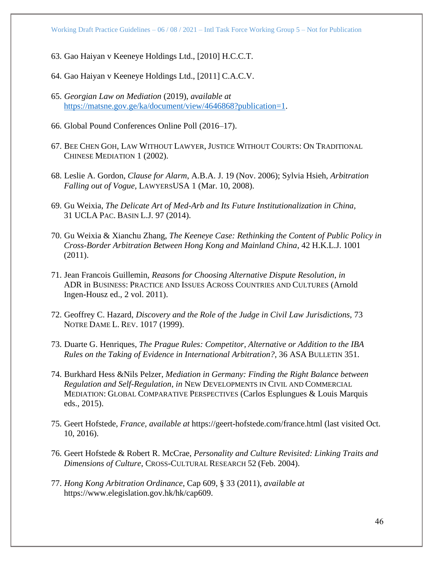- 63. Gao Haiyan v Keeneye Holdings Ltd., [2010] H.C.C.T.
- 64. Gao Haiyan v Keeneye Holdings Ltd., [2011] C.A.C.V.
- 65. *Georgian Law on Mediation* (2019), *available at* [https://matsne.gov.ge/ka/document/view/4646868?publication=1.](https://matsne.gov.ge/ka/document/view/4646868?publication=1)
- 66. Global Pound Conferences Online Poll (2016–17).
- 67. BEE CHEN GOH, LAW WITHOUT LAWYER, JUSTICE WITHOUT COURTS: ON TRADITIONAL CHINESE MEDIATION 1 (2002).
- 68. Leslie A. Gordon, *Clause for Alarm*, A.B.A. J. 19 (Nov. 2006); Sylvia Hsieh, *Arbitration Falling out of Vogue*, LAWYERSUSA 1 (Mar. 10, 2008).
- 69. Gu Weixia, *The Delicate Art of Med-Arb and Its Future Institutionalization in China,* 31 UCLA PAC. BASIN L.J. 97 (2014).
- 70. Gu Weixia & Xianchu Zhang, *The Keeneye Case: Rethinking the Content of Public Policy in Cross-Border Arbitration Between Hong Kong and Mainland China*, 42 H.K.L.J. 1001 (2011).
- 71. Jean Francois Guillemin, *Reasons for Choosing Alternative Dispute Resolution*, *in*  ADR in BUSINESS: PRACTICE AND ISSUES ACROSS COUNTRIES AND CULTURES (Arnold Ingen-Housz ed., 2 vol. 2011).
- 72. Geoffrey C. Hazard, *Discovery and the Role of the Judge in Civil Law Jurisdictions,* 73 NOTRE DAME L. REV. 1017 (1999).
- 73. Duarte G. Henriques, *The Prague Rules: Competitor, Alternative or Addition to the IBA Rules on the Taking of Evidence in International Arbitration?*, 36 ASA BULLETIN 351.
- 74. Burkhard Hess &Nils Pelzer, *Mediation in Germany: Finding the Right Balance between Regulation and Self-Regulation*, *in* NEW DEVELOPMENTS IN CIVIL AND COMMERCIAL MEDIATION: GLOBAL COMPARATIVE PERSPECTIVES (Carlos Esplungues & Louis Marquis eds., 2015).
- 75. Geert Hofstede, *France, available at* https://geert-hofstede.com/france.html (last visited Oct. 10, 2016).
- 76. Geert Hofstede & Robert R. McCrae, *Personality and Culture Revisited: Linking Traits and Dimensions of Culture*, CROSS-CULTURAL RESEARCH 52 (Feb. 2004).
- 77. *Hong Kong Arbitration Ordinance*, Cap 609, § 33 (2011), *available at* https://www.elegislation.gov.hk/hk/cap609.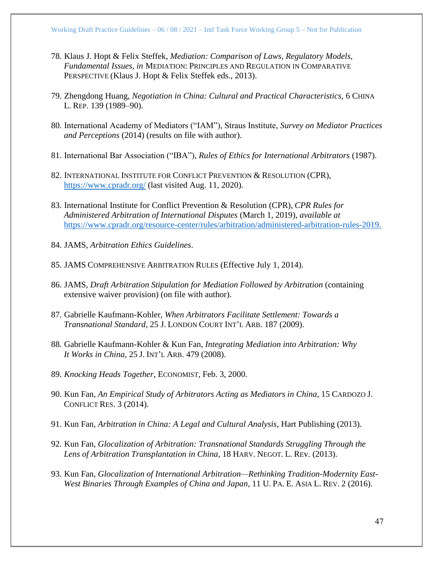- 78. Klaus J. Hopt & Felix Steffek, *Mediation: Comparison of Laws, Regulatory Models, Fundamental Issues, in* MEDIATION: PRINCIPLES AND REGULATION IN COMPARATIVE PERSPECTIVE (Klaus J. Hopt & Felix Steffek eds., 2013).
- 79. Zhengdong Huang, *Negotiation in China: Cultural and Practical Characteristics,* 6 CHINA L. REP. 139 (1989–90).
- 80. International Academy of Mediators ("IAM"), Straus Institute, *Survey on Mediator Practices and Perceptions* (2014) (results on file with author).
- 81. International Bar Association ("IBA"), *Rules of Ethics for International Arbitrators* (1987).
- 82. INTERNATIONAL INSTITUTE FOR CONFLICT PREVENTION & RESOLUTION (CPR), <https://www.cpradr.org/> (last visited Aug. 11, 2020).
- 83. International Institute for Conflict Prevention & Resolution (CPR), *CPR Rules for Administered Arbitration of International Disputes* (March 1, 2019), *available at*  [https://www.cpradr.org/resource-center/rules/arbitration/administered-arbitration-rules-2019.](https://www.cpradr.org/resource-center/rules/arbitration/administered-arbitration-rules-2019)
- 84. JAMS, *Arbitration Ethics Guidelines*.
- 85. JAMS COMPREHENSIVE ARBITRATION RULES (Effective July 1, 2014).
- 86. JAMS, *Draft Arbitration Stipulation for Mediation Followed by Arbitration* (containing extensive waiver provision) (on file with author).
- 87. Gabrielle Kaufmann-Kohler, *When Arbitrators Facilitate Settlement: Towards a Transnational Standard*, 25 J. LONDON COURT INT'L ARB. 187 (2009).
- 88. Gabrielle Kaufmann-Kohler & Kun Fan, *Integrating Mediation into Arbitration: Why It Works in China*, 25 J. INT'L ARB. 479 (2008).
- 89. *Knocking Heads Together*, ECONOMIST, Feb. 3, 2000.
- 90. Kun Fan, *An Empirical Study of Arbitrators Acting as Mediators in China*, 15 CARDOZO J. CONFLICT RES. 3 (2014).
- 91. Kun Fan, *Arbitration in China: A Legal and Cultural Analysis*, Hart Publishing (2013).
- 92. Kun Fan, *Glocalization of Arbitration: Transnational Standards Struggling Through the Lens of Arbitration Transplantation in China*, 18 HARV. NEGOT. L. REv. (2013).
- 93. Kun Fan, *Glocalization of International Arbitration—Rethinking Tradition-Modernity East-West Binaries Through Examples of China and Japan*, 11 U. PA. E. ASIA L. REV. 2 (2016).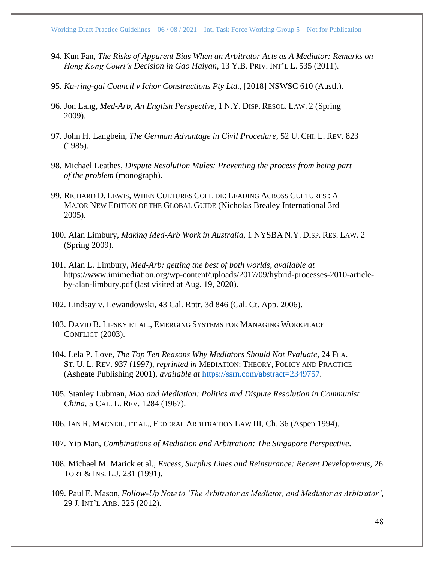- 94. Kun Fan, *The Risks of Apparent Bias When an Arbitrator Acts as A Mediator: Remarks on Hong Kong Court's Decision in Gao Haiyan*, 13 Y.B. PRIV. INT'L L. 535 (2011).
- 95. *Ku-ring-gai Council v Ichor Constructions Pty Ltd.*, [2018] NSWSC 610 (Austl.).
- 96. Jon Lang, *Med-Arb, An English Perspective*, 1 N.Y. DISP. RESOL. LAW. 2 (Spring 2009).
- 97. John H. Langbein, *The German Advantage in Civil Procedure,* 52 U. CHI. L. REV. 823 (1985).
- 98. Michael Leathes, *Dispute Resolution Mules: Preventing the process from being part of the problem* (monograph).
- 99. RICHARD D. LEWIS, WHEN CULTURES COLLIDE: LEADING ACROSS CULTURES : A MAJOR NEW EDITION OF THE GLOBAL GUIDE (Nicholas Brealey International 3rd 2005).
- 100. Alan Limbury, *Making Med-Arb Work in Australia*, 1 NYSBA N.Y. DISP. RES. LAW. 2 (Spring 2009).
- 101. Alan L. Limbury, *Med-Arb: getting the best of both worlds*, *available at* https://www.imimediation.org/wp-content/uploads/2017/09/hybrid-processes-2010-articleby-alan-limbury.pdf (last visited at Aug. 19, 2020).
- 102. Lindsay v. Lewandowski, 43 Cal. Rptr. 3d 846 (Cal. Ct. App. 2006).
- 103. DAVID B. LIPSKY ET AL., EMERGING SYSTEMS FOR MANAGING WORKPLACE CONFLICT (2003).
- 104. Lela P. Love, *The Top Ten Reasons Why Mediators Should Not Evaluate*, 24 FLA. ST. U. L. REV. 937 (1997), *reprinted in* MEDIATION: THEORY, POLICY AND PRACTICE (Ashgate Publishing 2001), *available at* [https://ssrn.com/abstract=2349757.](https://ssrn.com/abstract=2349757)
- 105. Stanley Lubman, *Mao and Mediation: Politics and Dispute Resolution in Communist China,* 5 CAL. L. REV. 1284 (1967).
- 106. IAN R. MACNEIL, ET AL., FEDERAL ARBITRATION LAW III, Ch. 36 (Aspen 1994).
- 107. Yip Man, *Combinations of Mediation and Arbitration: The Singapore Perspective*.
- 108. Michael M. Marick et al., *Excess, Surplus Lines and Reinsurance: Recent Developments*, 26 TORT & INS. L.J. 231 (1991).
- 109. Paul E. Mason, *Follow-Up Note to 'The Arbitrator as Mediator, and Mediator as Arbitrator'*, 29 J. INT'L ARB. 225 (2012).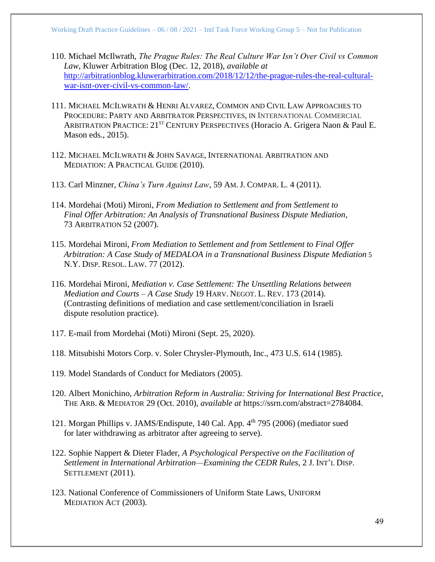- 110. Michael McIlwrath, *The Prague Rules: The Real Culture War Isn't Over Civil vs Common Law*, Kluwer Arbitration Blog (Dec. 12, 2018), *available at* [http://arbitrationblog.kluwerarbitration.com/2018/12/12/the-prague-rules-the-real-cultural](http://arbitrationblog.kluwerarbitration.com/2018/12/12/the-prague-rules-the-real-cultural-war-isnt-over-civil-vs-common-law/)[war-isnt-over-civil-vs-common-law/.](http://arbitrationblog.kluwerarbitration.com/2018/12/12/the-prague-rules-the-real-cultural-war-isnt-over-civil-vs-common-law/)
- 111. MICHAEL MCILWRATH & HENRI ALVAREZ, COMMON AND CIVIL LAW APPROACHES TO PROCEDURE: PARTY AND ARBITRATOR PERSPECTIVES, IN INTERNATIONAL COMMERCIAL ARBITRATION PRACTICE: 21<sup>ST</sup> CENTURY PERSPECTIVES (Horacio A. Grigera Naon & Paul E. Mason eds., 2015).
- 112. MICHAEL MCILWRATH & JOHN SAVAGE, INTERNATIONAL ARBITRATION AND MEDIATION: A PRACTICAL GUIDE (2010).
- 113. Carl Minzner, *China's Turn Against Law*, 59 AM.J. COMPAR. L. 4 (2011).
- 114. Mordehai (Moti) Mironi, *From Mediation to Settlement and from Settlement to Final Offer Arbitration: An Analysis of Transnational Business Dispute Mediation*, 73 ARBITRATION 52 (2007).
- 115. Mordehai Mironi, *From Mediation to Settlement and from Settlement to Final Offer Arbitration: A Case Study of MEDALOA in a Transnational Business Dispute Mediation* 5 N.Y. DISP. RESOL. LAW. 77 (2012).
- 116. Mordehai Mironi, *Mediation v. Case Settlement: The Unsettling Relations between Mediation and Courts – A Case Study* 19 HARV. NEGOT. L. REV. 173 (2014). (Contrasting definitions of mediation and case settlement/conciliation in Israeli dispute resolution practice).
- 117. E-mail from Mordehai (Moti) Mironi (Sept. 25, 2020).
- 118. Mitsubishi Motors Corp. v. Soler Chrysler-Plymouth, Inc., 473 U.S. 614 (1985).
- 119. Model Standards of Conduct for Mediators (2005).
- 120. Albert Monichino, *Arbitration Reform in Australia: Striving for International Best Practice*, THE ARB. & MEDIATOR 29 (Oct. 2010), *available at* https://ssrn.com/abstract=2784084.
- 121. Morgan Phillips v. JAMS/Endispute, 140 Cal. App. 4th 795 (2006) (mediator sued for later withdrawing as arbitrator after agreeing to serve).
- 122. Sophie Nappert & Dieter Flader, *A Psychological Perspective on the Facilitation of Settlement in International Arbitration—Examining the CEDR Rules*, 2 J. INT'L DISP. SETTLEMENT (2011).
- 123. National Conference of Commissioners of Uniform State Laws, UNIFORM MEDIATION ACT (2003).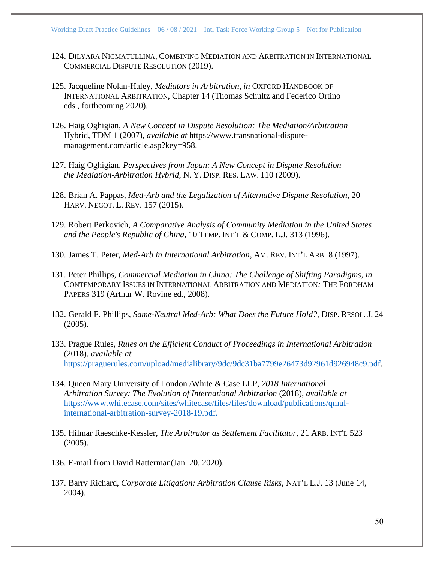- 124. DILYARA NIGMATULLINA, COMBINING MEDIATION AND ARBITRATION IN INTERNATIONAL COMMERCIAL DISPUTE RESOLUTION (2019).
- 125. Jacqueline Nolan-Haley, *Mediators in Arbitration*, *in* OXFORD HANDBOOK OF INTERNATIONAL ARBITRATION, Chapter 14 (Thomas Schultz and Federico Ortino eds., forthcoming 2020).
- 126. Haig Oghigian, *A New Concept in Dispute Resolution: The Mediation/Arbitration*  Hybrid, TDM 1 (2007), *available at* https://www.transnational-disputemanagement.com/article.asp?key=958.
- 127. Haig Oghigian, *Perspectives from Japan: A New Concept in Dispute Resolution the Mediation-Arbitration Hybrid,* N. Y. DISP. RES. LAW. 110 (2009).
- 128. Brian A. Pappas, *Med-Arb and the Legalization of Alternative Dispute Resolution,* 20 HARV. NEGOT. L. REV. 157 (2015).
- 129. Robert Perkovich, *A Comparative Analysis of Community Mediation in the United States and the People's Republic of China*, 10 TEMP. INT'L & COMP. L.J. 313 (1996).
- 130. James T. Peter, *Med-Arb in International Arbitration*, AM. REV. INT'L ARB. 8 (1997).
- 131. Peter Phillips, *Commercial Mediation in China: The Challenge of Shifting Paradigms*, *in*  CONTEMPORARY ISSUES IN INTERNATIONAL ARBITRATION AND MEDIATION*:* THE FORDHAM PAPERS 319 (Arthur W. Rovine ed., 2008).
- 132. Gerald F. Phillips, *Same-Neutral Med-Arb: What Does the Future Hold?*, DISP. RESOL. J. 24 (2005).
- 133. Prague Rules, *Rules on the Efficient Conduct of Proceedings in International Arbitration* (2018), *available at*  [https://praguerules.com/upload/medialibrary/9dc/9dc31ba7799e26473d92961d926948c9.pdf.](https://praguerules.com/upload/medialibrary/9dc/9dc31ba7799e26473d92961d926948c9.pdf)
- 134. Queen Mary University of London /White & Case LLP, *2018 International Arbitration Survey: The Evolution of International Arbitration* (2018), *available at* [https://www.whitecase.com/sites/whitecase/files/files/download/publications/qmul](https://www.whitecase.com/sites/whitecase/files/files/download/publications/qmul-international-arbitration-survey-2018-19.pdf)[international-arbitration-survey-2018-19.pdf.](https://www.whitecase.com/sites/whitecase/files/files/download/publications/qmul-international-arbitration-survey-2018-19.pdf)
- 135. Hilmar Raeschke-Kessler, *The Arbitrator as Settlement Facilitator*, 21 ARB. INT'L 523 (2005).
- 136. E-mail from David Ratterman(Jan. 20, 2020).
- 137. Barry Richard, *Corporate Litigation: Arbitration Clause Risks*, NAT'L L.J. 13 (June 14, 2004).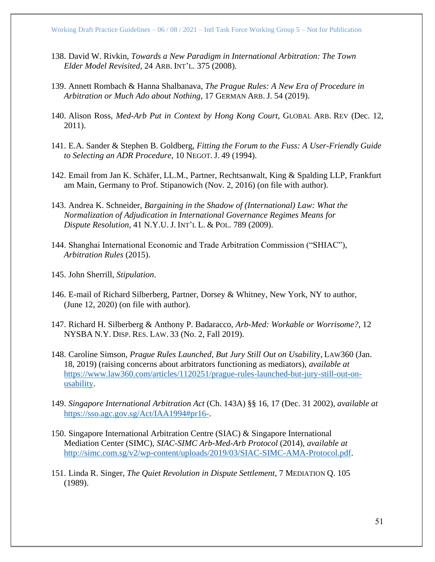- 138. David W. Rivkin, *Towards a New Paradigm in International Arbitration: The Town Elder Model Revisited*, 24 ARB. INT'L. 375 (2008).
- 139. Annett Rombach & Hanna Shalbanava, *The Prague Rules: A New Era of Procedure in Arbitration or Much Ado about Nothing*, 17 GERMAN ARB. J. 54 (2019).
- 140. Alison Ross, *Med-Arb Put in Context by Hong Kong Court,* GLOBAL ARB. REV (Dec. 12, 2011).
- 141. E.A. Sander & Stephen B. Goldberg, *Fitting the Forum to the Fuss: A User-Friendly Guide to Selecting an ADR Procedure*, 10 NEGOT. J. 49 (1994).
- 142. Email from Jan K. Schäfer, LL.M., Partner, Rechtsanwalt, King & Spalding LLP, Frankfurt am Main, Germany to Prof. Stipanowich (Nov. 2, 2016) (on file with author).
- 143. Andrea K. Schneider, *Bargaining in the Shadow of (International) Law: What the Normalization of Adjudication in International Governance Regimes Means for Dispute Resolution*, 41 N.Y.U. J. INT'L L. & POL. 789 (2009).
- 144. Shanghai International Economic and Trade Arbitration Commission ("SHIAC"), *Arbitration Rules* (2015).
- 145. John Sherrill, *Stipulation*.
- 146. E-mail of Richard Silberberg, Partner, Dorsey & Whitney, New York, NY to author, (June 12, 2020) (on file with author).
- 147. Richard H. Silberberg & Anthony P. Badaracco, *Arb-Med: Workable or Worrisome?*, 12 NYSBA N.Y. DISP. RES. LAW. 33 (No. 2, Fall 2019).
- 148. Caroline Simson, *Prague Rules Launched, But Jury Still Out on Usabilit*y, LAW360 (Jan. 18, 2019) (raising concerns about arbitrators functioning as mediators), *available at* [https://www.law360.com/articles/1120251/prague-rules-launched-but-jury-still-out-on](https://www.law360.com/articles/1120251/prague-rules-launched-but-jury-still-out-on-usability)[usability.](https://www.law360.com/articles/1120251/prague-rules-launched-but-jury-still-out-on-usability)
- 149. *Singapore International Arbitration Act* (Ch. 143A) §§ 16, 17 (Dec. 31 2002), *available at* [https://sso.agc.gov.sg/Act/IAA1994#pr16-.](https://sso.agc.gov.sg/Act/IAA1994#pr16-)
- 150. Singapore International Arbitration Centre (SIAC) & Singapore International Mediation Center (SIMC), *SIAC-SIMC Arb-Med-Arb Protocol* (2014), *available at* [http://simc.com.sg/v2/wp-content/uploads/2019/03/SIAC-SIMC-AMA-Protocol.pdf.](http://simc.com.sg/v2/wp-content/uploads/2019/03/SIAC-SIMC-AMA-Protocol.pdf)
- 151. Linda R. Singer, *The Quiet Revolution in Dispute Settlement*, 7 MEDIATION Q. 105 (1989).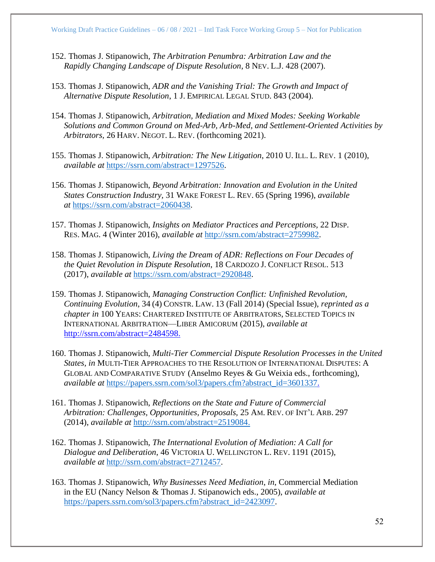- 152. Thomas J. Stipanowich*, The Arbitration Penumbra: Arbitration Law and the Rapidly Changing Landscape of Dispute Resolution*, 8 NEV. L.J. 428 (2007).
- 153. Thomas J. Stipanowich, *ADR and the Vanishing Trial: The Growth and Impact of Alternative Dispute Resolution*, 1 J. EMPIRICAL LEGAL STUD. 843 (2004).
- 154. Thomas J. Stipanowich, *Arbitration, Mediation and Mixed Modes: Seeking Workable Solutions and Common Ground on Med-Arb, Arb-Med, and Settlement-Oriented Activities by Arbitrators,* 26 HARV. NEGOT. L. REV. (forthcoming 2021).
- 155. Thomas J. Stipanowich, *Arbitration: The New Litigation*, 2010 U. ILL. L. REV. 1 (2010), *available at* [https://ssrn.com/abstract=1297526.](https://ssrn.com/abstract=1297526)
- 156. Thomas J. Stipanowich, *Beyond Arbitration: Innovation and Evolution in the United States Construction Industry,* 31 WAKE FOREST L. REV. 65 (Spring 1996), *available at* [https://ssrn.com/abstract=2060438.](https://ssrn.com/abstract=2060438)
- 157. Thomas J. Stipanowich, *Insights on Mediator Practices and Perceptions,* 22 DISP. RES. MAG. 4 (Winter 2016), *available at* [http://ssrn.com/abstract=2759982.](http://ssrn.com/abstract=2759982)
- 158. Thomas J. Stipanowich, *Living the Dream of ADR: Reflections on Four Decades of the Quiet Revolution in Dispute Resolution*, 18 CARDOZO J. CONFLICT RESOL. 513 (2017), *available at* [https://ssrn.com/abstract=2920848.](https://ssrn.com/abstract=2920848)
- 159. Thomas J. Stipanowich, *Managing Construction Conflict: Unfinished Revolution, Continuing Evolution*, 34 (4) CONSTR. LAW. 13 (Fall 2014) (Special Issue), *reprinted as a chapter in* 100 YEARS: CHARTERED INSTITUTE OF ARBITRATORS, SELECTED TOPICS IN INTERNATIONAL ARBITRATION—LIBER AMICORUM (2015), *available at* [http://ssrn.com/abstract=2484598.](http://ssrn.com/abstract=2484598)
- 160. Thomas J. Stipanowich, *Multi-Tier Commercial Dispute Resolution Processes in the United States, in* MULTI-TIER APPROACHES TO THE RESOLUTION OF INTERNATIONAL DISPUTES: A GLOBAL AND COMPARATIVE STUDY (Anselmo Reyes & Gu Weixia eds., forthcoming), *available at* [https://papers.ssrn.com/sol3/papers.cfm?abstract\\_id=3601337.](https://papers.ssrn.com/sol3/papers.cfm?abstract_id=3601337)
- 161. Thomas J. Stipanowich, *Reflections on the State and Future of Commercial Arbitration: Challenges, Opportunities, Proposals,* 25 AM. REV. OF INT'L ARB. 297 (2014), *available at* [http://ssrn.com/abstract=2519084.](http://ssrn.com/abstract=2519084)
- 162. Thomas J. Stipanowich, *The International Evolution of Mediation: A Call for Dialogue and Deliberation*, 46 VICTORIA U. WELLINGTON L. REV. 1191 (2015), *available at* [http://ssrn.com/abstract=2712457.](http://ssrn.com/abstract=2712457)
- 163. Thomas J. Stipanowich, *Why Businesses Need Mediation*, *in*, Commercial Mediation in the EU (Nancy Nelson & Thomas J. Stipanowich eds., 2005), *available at*  [https://papers.ssrn.com/sol3/papers.cfm?abstract\\_id=2423097.](https://papers.ssrn.com/sol3/papers.cfm?abstract_id=2423097)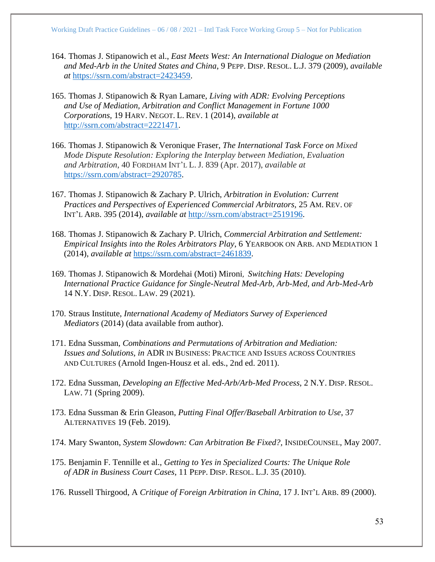- 164. Thomas J. Stipanowich et al., *East Meets West: An International Dialogue on Mediation and Med-Arb in the United States and China*, 9 PEPP. DISP. RESOL. L.J. 379 (2009), *available at* [https://ssrn.com/abstract=2423459.](https://ssrn.com/abstract=2423459)
- 165. Thomas J. Stipanowich & Ryan Lamare, *Living with ADR: Evolving Perceptions and Use of Mediation, Arbitration and Conflict Management in Fortune 1000 Corporations,* 19 HARV. NEGOT. L. REV. 1 (2014), *available at*  [http://ssrn.com/abstract=2221471.](http://ssrn.com/abstract=2221471)
- 166. Thomas J. Stipanowich & Veronique Fraser, *The International Task Force on Mixed Mode Dispute Resolution: Exploring the Interplay between Mediation, Evaluation and Arbitration*, 40 FORDHAM INT'L L. J. 839 (Apr. 2017), *available at*  [https://ssrn.com/abstract=2920785.](https://ssrn.com/abstract=2920785)
- 167. Thomas J. Stipanowich & Zachary P. Ulrich, *Arbitration in Evolution: Current Practices and Perspectives of Experienced Commercial Arbitrators,* 25 AM. REV. OF INT'L ARB. 395 (2014), *available at* [http://ssrn.com/abstract=2519196.](http://ssrn.com/abstract=2519196)
- 168. Thomas J. Stipanowich & Zachary P. Ulrich, *Commercial Arbitration and Settlement: Empirical Insights into the Roles Arbitrators Play*, 6 YEARBOOK ON ARB. AND MEDIATION 1 (2014), *available at* [https://ssrn.com/abstract=2461839.](https://ssrn.com/abstract=2461839)
- 169. Thomas J. Stipanowich & Mordehai (Moti) Mironi, *Switching Hats: Developing International Practice Guidance for Single-Neutral Med-Arb, Arb-Med, and Arb-Med-Arb* 14 N.Y. DISP. RESOL. LAW. 29 (2021).
- 170. Straus Institute, *International Academy of Mediators Survey of Experienced Mediators* (2014) (data available from author).
- 171. Edna Sussman, *Combinations and Permutations of Arbitration and Mediation: Issues and Solutions*, *in* ADR IN BUSINESS: PRACTICE AND ISSUES ACROSS COUNTRIES AND CULTURES (Arnold Ingen-Housz et al. eds., 2nd ed. 2011).
- 172. Edna Sussman, *Developing an Effective Med-Arb/Arb-Med Process*, 2 N.Y. DISP. RESOL. LAW. 71 (Spring 2009).
- 173. Edna Sussman & Erin Gleason, *Putting Final Offer/Baseball Arbitration to Use*, 37 ALTERNATIVES 19 (Feb. 2019).
- 174. Mary Swanton, *System Slowdown: Can Arbitration Be Fixed?,* INSIDECOUNSEL, May 2007.
- 175. Benjamin F. Tennille et al., *Getting to Yes in Specialized Courts: The Unique Role of ADR in Business Court Cases*, 11 PEPP. DISP. RESOL. L.J. 35 (2010).
- 176. Russell Thirgood, A *Critique of Foreign Arbitration in China*, 17 J. INT'L ARB. 89 (2000).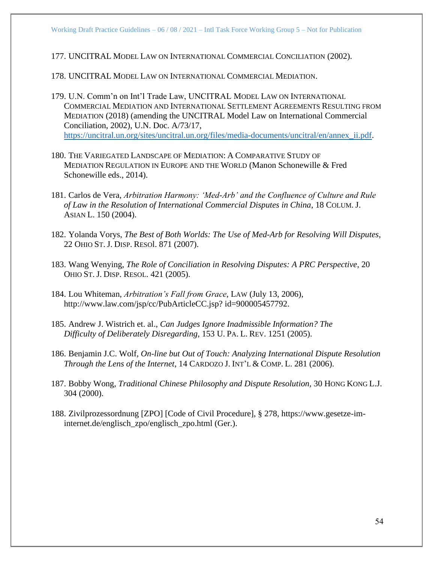177. UNCITRAL MODEL LAW ON INTERNATIONAL COMMERCIAL CONCILIATION (2002).

178. UNCITRAL MODEL LAW ON INTERNATIONAL COMMERCIAL MEDIATION.

- 179. U.N. Comm'n on Int'l Trade Law, UNCITRAL MODEL LAW ON INTERNATIONAL COMMERCIAL MEDIATION AND INTERNATIONAL SETTLEMENT AGREEMENTS RESULTING FROM MEDIATION (2018) (amending the UNCITRAL Model Law on International Commercial Conciliation, 2002), U.N. Doc. A/73/17, [https://uncitral.un.org/sites/uncitral.un.org/files/media-documents/uncitral/en/annex\\_ii.pdf.](https://uncitral.un.org/sites/uncitral.un.org/files/media-documents/uncitral/en/annex_ii.pdf)
- 180. THE VARIEGATED LANDSCAPE OF MEDIATION: A COMPARATIVE STUDY OF MEDIATION REGULATION IN EUROPE AND THE WORLD (Manon Schonewille & Fred Schonewille eds., 2014).
- 181. Carlos de Vera, *Arbitration Harmony: 'Med-Arb' and the Confluence of Culture and Rule of Law in the Resolution of International Commercial Disputes in China*, 18 COLUM. J. ASIAN L. 150 (2004).
- 182. Yolanda Vorys, *The Best of Both Worlds: The Use of Med-Arb for Resolving Will Disputes*, 22 OHIO ST. J. DISP. RESOl. 871 (2007).
- 183. Wang Wenying, *The Role of Conciliation in Resolving Disputes: A PRC Perspective*, 20 OHIO ST. J. DISP. RESOL. 421 (2005).
- 184. Lou Whiteman, *Arbitration's Fall from Grace*, LAW (July 13, 2006), http://www.law.com/jsp/cc/PubArticleCC.jsp? id=900005457792.
- 185. Andrew J. Wistrich et. al., *Can Judges Ignore Inadmissible Information? The Difficulty of Deliberately Disregarding*, 153 U. PA. L. REV. 1251 (2005).
- 186. Benjamin J.C. Wolf, *On-line but Out of Touch: Analyzing International Dispute Resolution Through the Lens of the Internet*, 14 CARDOZO J. INT'L & COMP. L. 281 (2006).
- 187. Bobby Wong, *Traditional Chinese Philosophy and Dispute Resolution,* 30 HONG KONG L.J. 304 (2000).
- 188. Zivilprozessordnung [ZPO] [Code of Civil Procedure], § 278, https://www.gesetze-iminternet.de/englisch\_zpo/englisch\_zpo.html (Ger.).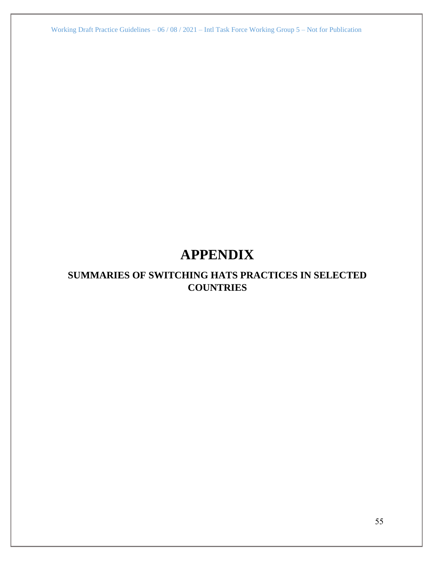# **APPENDIX**

# **SUMMARIES OF SWITCHING HATS PRACTICES IN SELECTED COUNTRIES**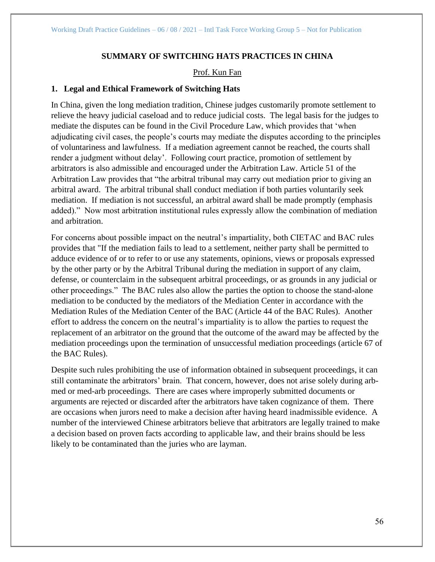## **SUMMARY OF SWITCHING HATS PRACTICES IN CHINA**

### Prof. Kun Fan

### **1. Legal and Ethical Framework of Switching Hats**

In China, given the long mediation tradition, Chinese judges customarily promote settlement to relieve the heavy judicial caseload and to reduce judicial costs. The legal basis for the judges to mediate the disputes can be found in the Civil Procedure Law, which provides that 'when adjudicating civil cases, the people's courts may mediate the disputes according to the principles of voluntariness and lawfulness. If a mediation agreement cannot be reached, the courts shall render a judgment without delay'. Following court practice, promotion of settlement by arbitrators is also admissible and encouraged under the Arbitration Law. Article 51 of the Arbitration Law provides that "the arbitral tribunal may carry out mediation prior to giving an arbitral award. The arbitral tribunal shall conduct mediation if both parties voluntarily seek mediation. If mediation is not successful, an arbitral award shall be made promptly (emphasis added)." Now most arbitration institutional rules expressly allow the combination of mediation and arbitration.

For concerns about possible impact on the neutral's impartiality, both CIETAC and BAC rules provides that "If the mediation fails to lead to a settlement, neither party shall be permitted to adduce evidence of or to refer to or use any statements, opinions, views or proposals expressed by the other party or by the Arbitral Tribunal during the mediation in support of any claim, defense, or counterclaim in the subsequent arbitral proceedings, or as grounds in any judicial or other proceedings." The BAC rules also allow the parties the option to choose the stand-alone mediation to be conducted by the mediators of the Mediation Center in accordance with the Mediation Rules of the Mediation Center of the BAC (Article 44 of the BAC Rules). Another effort to address the concern on the neutral's impartiality is to allow the parties to request the replacement of an arbitrator on the ground that the outcome of the award may be affected by the mediation proceedings upon the termination of unsuccessful mediation proceedings (article 67 of the BAC Rules).

Despite such rules prohibiting the use of information obtained in subsequent proceedings, it can still contaminate the arbitrators' brain. That concern, however, does not arise solely during arbmed or med-arb proceedings. There are cases where improperly submitted documents or arguments are rejected or discarded after the arbitrators have taken cognizance of them. There are occasions when jurors need to make a decision after having heard inadmissible evidence. A number of the interviewed Chinese arbitrators believe that arbitrators are legally trained to make a decision based on proven facts according to applicable law, and their brains should be less likely to be contaminated than the juries who are layman.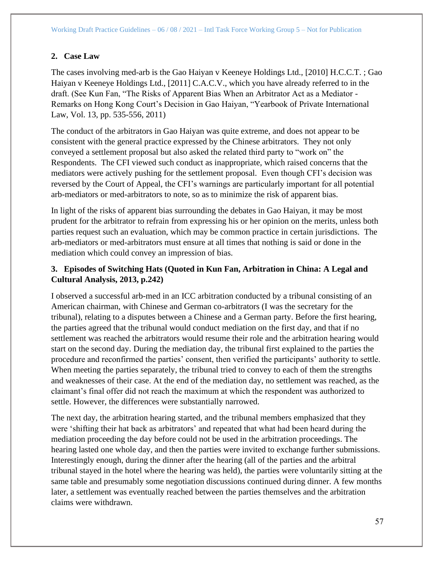## **2. Case Law**

The cases involving med-arb is the Gao Haiyan v Keeneye Holdings Ltd., [2010] H.C.C.T. ; Gao Haiyan v Keeneye Holdings Ltd., [2011] C.A.C.V., which you have already referred to in the draft. (See Kun Fan, "The Risks of Apparent Bias When an Arbitrator Act as a Mediator - Remarks on Hong Kong Court's Decision in Gao Haiyan, "Yearbook of Private International Law, Vol. 13, pp. 535-556, 2011)

The conduct of the arbitrators in Gao Haiyan was quite extreme, and does not appear to be consistent with the general practice expressed by the Chinese arbitrators. They not only conveyed a settlement proposal but also asked the related third party to "work on" the Respondents. The CFI viewed such conduct as inappropriate, which raised concerns that the mediators were actively pushing for the settlement proposal. Even though CFI's decision was reversed by the Court of Appeal, the CFI's warnings are particularly important for all potential arb-mediators or med-arbitrators to note, so as to minimize the risk of apparent bias.

In light of the risks of apparent bias surrounding the debates in Gao Haiyan, it may be most prudent for the arbitrator to refrain from expressing his or her opinion on the merits, unless both parties request such an evaluation, which may be common practice in certain jurisdictions. The arb-mediators or med-arbitrators must ensure at all times that nothing is said or done in the mediation which could convey an impression of bias.

# **3. Episodes of Switching Hats (Quoted in Kun Fan, Arbitration in China: A Legal and Cultural Analysis, 2013, p.242)**

I observed a successful arb-med in an ICC arbitration conducted by a tribunal consisting of an American chairman, with Chinese and German co-arbitrators (I was the secretary for the tribunal), relating to a disputes between a Chinese and a German party. Before the first hearing, the parties agreed that the tribunal would conduct mediation on the first day, and that if no settlement was reached the arbitrators would resume their role and the arbitration hearing would start on the second day. During the mediation day, the tribunal first explained to the parties the procedure and reconfirmed the parties' consent, then verified the participants' authority to settle. When meeting the parties separately, the tribunal tried to convey to each of them the strengths and weaknesses of their case. At the end of the mediation day, no settlement was reached, as the claimant's final offer did not reach the maximum at which the respondent was authorized to settle. However, the differences were substantially narrowed.

The next day, the arbitration hearing started, and the tribunal members emphasized that they were 'shifting their hat back as arbitrators' and repeated that what had been heard during the mediation proceeding the day before could not be used in the arbitration proceedings. The hearing lasted one whole day, and then the parties were invited to exchange further submissions. Interestingly enough, during the dinner after the hearing (all of the parties and the arbitral tribunal stayed in the hotel where the hearing was held), the parties were voluntarily sitting at the same table and presumably some negotiation discussions continued during dinner. A few months later, a settlement was eventually reached between the parties themselves and the arbitration claims were withdrawn.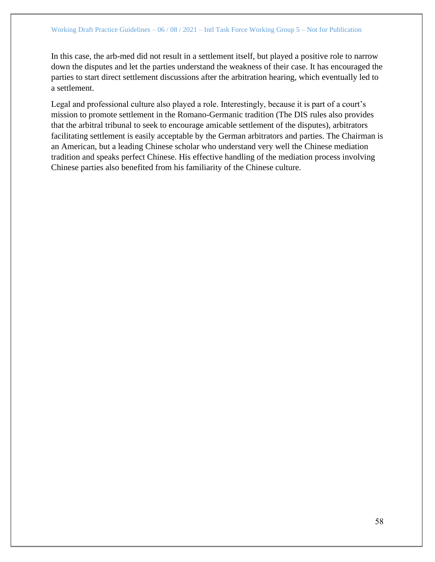In this case, the arb-med did not result in a settlement itself, but played a positive role to narrow down the disputes and let the parties understand the weakness of their case. It has encouraged the parties to start direct settlement discussions after the arbitration hearing, which eventually led to a settlement.

Legal and professional culture also played a role. Interestingly, because it is part of a court's mission to promote settlement in the Romano-Germanic tradition (The DIS rules also provides that the arbitral tribunal to seek to encourage amicable settlement of the disputes), arbitrators facilitating settlement is easily acceptable by the German arbitrators and parties. The Chairman is an American, but a leading Chinese scholar who understand very well the Chinese mediation tradition and speaks perfect Chinese. His effective handling of the mediation process involving Chinese parties also benefited from his familiarity of the Chinese culture.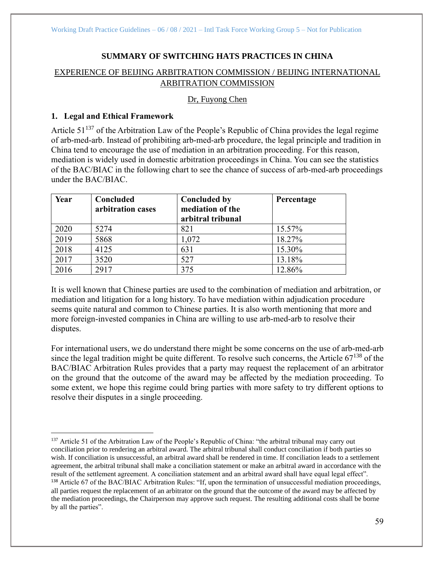## **SUMMARY OF SWITCHING HATS PRACTICES IN CHINA**

## EXPERIENCE OF BEIJING ARBITRATION COMMISSION / BEIJING INTERNATIONAL ARBITRATION COMMISSION

## Dr, Fuyong Chen

## **1. Legal and Ethical Framework**

Article  $51^{137}$  of the Arbitration Law of the People's Republic of China provides the legal regime of arb-med-arb. Instead of prohibiting arb-med-arb procedure, the legal principle and tradition in China tend to encourage the use of mediation in an arbitration proceeding. For this reason, mediation is widely used in domestic arbitration proceedings in China. You can see the statistics of the BAC/BIAC in the following chart to see the chance of success of arb-med-arb proceedings under the BAC/BIAC.

| Year | Concluded<br>arbitration cases | <b>Concluded by</b><br>mediation of the<br>arbitral tribunal | Percentage |
|------|--------------------------------|--------------------------------------------------------------|------------|
| 2020 | 5274                           | 821                                                          | 15.57%     |
| 2019 | 5868                           | 1,072                                                        | 18.27%     |
| 2018 | 4125                           | 631                                                          | 15.30%     |
| 2017 | 3520                           | 527                                                          | 13.18%     |
| 2016 | 2917                           | 375                                                          | 12.86%     |

It is well known that Chinese parties are used to the combination of mediation and arbitration, or mediation and litigation for a long history. To have mediation within adjudication procedure seems quite natural and common to Chinese parties. It is also worth mentioning that more and more foreign-invested companies in China are willing to use arb-med-arb to resolve their disputes.

For international users, we do understand there might be some concerns on the use of arb-med-arb since the legal tradition might be quite different. To resolve such concerns, the Article  $67^{138}$  of the BAC/BIAC Arbitration Rules provides that a party may request the replacement of an arbitrator on the ground that the outcome of the award may be affected by the mediation proceeding. To some extent, we hope this regime could bring parties with more safety to try different options to resolve their disputes in a single proceeding.

<sup>&</sup>lt;sup>137</sup> Article 51 of the Arbitration Law of the People's Republic of China: "the arbitral tribunal may carry out conciliation prior to rendering an arbitral award. The arbitral tribunal shall conduct conciliation if both parties so wish. If conciliation is unsuccessful, an arbitral award shall be rendered in time. If conciliation leads to a settlement agreement, the arbitral tribunal shall make a conciliation statement or make an arbitral award in accordance with the result of the settlement agreement. A conciliation statement and an arbitral award shall have equal legal effect". <sup>138</sup> Article 67 of the BAC/BIAC Arbitration Rules: "If, upon the termination of unsuccessful mediation proceedings, all parties request the replacement of an arbitrator on the ground that the outcome of the award may be affected by the mediation proceedings, the Chairperson may approve such request. The resulting additional costs shall be borne by all the parties".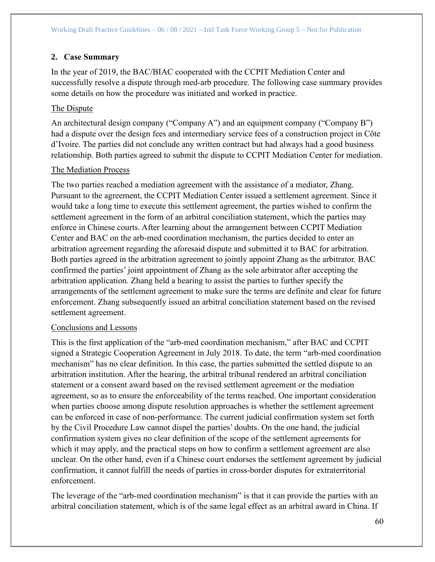# **2. Case Summary**

In the year of 2019, the BAC/BIAC cooperated with the CCPIT Mediation Center and successfully resolve a dispute through med-arb procedure. The following case summary provides some details on how the procedure was initiated and worked in practice.

## The Dispute

An architectural design company ("Company A") and an equipment company ("Company B") had a dispute over the design fees and intermediary service fees of a construction project in Côte d'Ivoire. The parties did not conclude any written contract but had always had a good business relationship. Both parties agreed to submit the dispute to CCPIT Mediation Center for mediation.

## The Mediation Process

The two parties reached a mediation agreement with the assistance of a mediator, Zhang. Pursuant to the agreement, the CCPIT Mediation Center issued a settlement agreement. Since it would take a long time to execute this settlement agreement, the parties wished to confirm the settlement agreement in the form of an arbitral conciliation statement, which the parties may enforce in Chinese courts. After learning about the arrangement between CCPIT Mediation Center and BAC on the arb-med coordination mechanism, the parties decided to enter an arbitration agreement regarding the aforesaid dispute and submitted it to BAC for arbitration. Both parties agreed in the arbitration agreement to jointly appoint Zhang as the arbitrator. BAC confirmed the parties' joint appointment of Zhang as the sole arbitrator after accepting the arbitration application. Zhang held a hearing to assist the parties to further specify the arrangements of the settlement agreement to make sure the terms are definite and clear for future enforcement. Zhang subsequently issued an arbitral conciliation statement based on the revised settlement agreement.

## Conclusions and Lessons

This is the first application of the "arb-med coordination mechanism," after BAC and CCPIT signed a Strategic Cooperation Agreement in July 2018. To date, the term "arb-med coordination mechanism" has no clear definition. In this case, the parties submitted the settled dispute to an arbitration institution. After the hearing, the arbitral tribunal rendered an arbitral conciliation statement or a consent award based on the revised settlement agreement or the mediation agreement, so as to ensure the enforceability of the terms reached. One important consideration when parties choose among dispute resolution approaches is whether the settlement agreement can be enforced in case of non-performance. The current judicial confirmation system set forth by the Civil Procedure Law cannot dispel the parties' doubts. On the one hand, the judicial confirmation system gives no clear definition of the scope of the settlement agreements for which it may apply, and the practical steps on how to confirm a settlement agreement are also unclear. On the other hand, even if a Chinese court endorses the settlement agreement by judicial confirmation, it cannot fulfill the needs of parties in cross-border disputes for extraterritorial enforcement.

The leverage of the "arb-med coordination mechanism" is that it can provide the parties with an arbitral conciliation statement, which is of the same legal effect as an arbitral award in China. If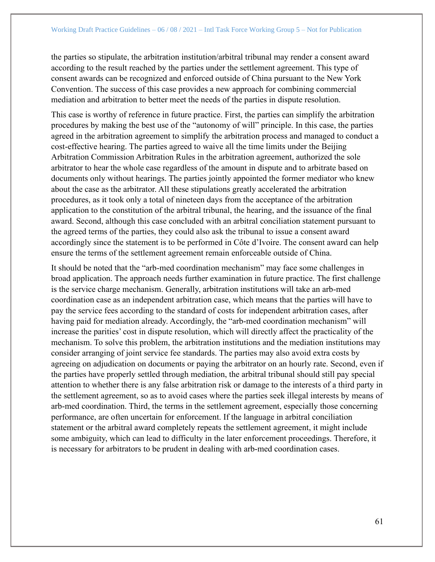the parties so stipulate, the arbitration institution/arbitral tribunal may render a consent award according to the result reached by the parties under the settlement agreement. This type of consent awards can be recognized and enforced outside of China pursuant to the New York Convention. The success of this case provides a new approach for combining commercial mediation and arbitration to better meet the needs of the parties in dispute resolution.

This case is worthy of reference in future practice. First, the parties can simplify the arbitration procedures by making the best use of the "autonomy of will" principle. In this case, the parties agreed in the arbitration agreement to simplify the arbitration process and managed to conduct a cost-effective hearing. The parties agreed to waive all the time limits under the Beijing Arbitration Commission Arbitration Rules in the arbitration agreement, authorized the sole arbitrator to hear the whole case regardless of the amount in dispute and to arbitrate based on documents only without hearings. The parties jointly appointed the former mediator who knew about the case as the arbitrator. All these stipulations greatly accelerated the arbitration procedures, as it took only a total of nineteen days from the acceptance of the arbitration application to the constitution of the arbitral tribunal, the hearing, and the issuance of the final award. Second, although this case concluded with an arbitral conciliation statement pursuant to the agreed terms of the parties, they could also ask the tribunal to issue a consent award accordingly since the statement is to be performed in Côte d'Ivoire. The consent award can help ensure the terms of the settlement agreement remain enforceable outside of China.

It should be noted that the "arb-med coordination mechanism" may face some challenges in broad application. The approach needs further examination in future practice. The first challenge is the service charge mechanism. Generally, arbitration institutions will take an arb-med coordination case as an independent arbitration case, which means that the parties will have to pay the service fees according to the standard of costs for independent arbitration cases, after having paid for mediation already. Accordingly, the "arb-med coordination mechanism" will increase the parities' cost in dispute resolution, which will directly affect the practicality of the mechanism. To solve this problem, the arbitration institutions and the mediation institutions may consider arranging of joint service fee standards. The parties may also avoid extra costs by agreeing on adjudication on documents or paying the arbitrator on an hourly rate. Second, even if the parties have properly settled through mediation, the arbitral tribunal should still pay special attention to whether there is any false arbitration risk or damage to the interests of a third party in the settlement agreement, so as to avoid cases where the parties seek illegal interests by means of arb-med coordination. Third, the terms in the settlement agreement, especially those concerning performance, are often uncertain for enforcement. If the language in arbitral conciliation statement or the arbitral award completely repeats the settlement agreement, it might include some ambiguity, which can lead to difficulty in the later enforcement proceedings. Therefore, it is necessary for arbitrators to be prudent in dealing with arb-med coordination cases.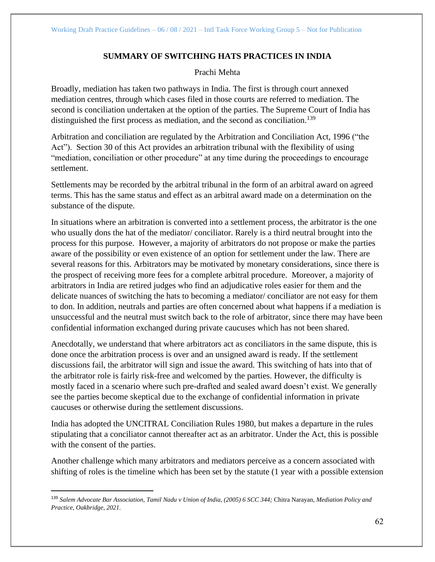# **SUMMARY OF SWITCHING HATS PRACTICES IN INDIA**

## Prachi Mehta

Broadly, mediation has taken two pathways in India. The first is through court annexed mediation centres, through which cases filed in those courts are referred to mediation. The second is conciliation undertaken at the option of the parties. The Supreme Court of India has distinguished the first process as mediation, and the second as conciliation.<sup>139</sup>

Arbitration and conciliation are regulated by the Arbitration and Conciliation Act, 1996 ("the Act"). Section 30 of this Act provides an arbitration tribunal with the flexibility of using "mediation, conciliation or other procedure" at any time during the proceedings to encourage settlement.

Settlements may be recorded by the arbitral tribunal in the form of an arbitral award on agreed terms. This has the same status and effect as an arbitral award made on a determination on the substance of the dispute.

In situations where an arbitration is converted into a settlement process, the arbitrator is the one who usually dons the hat of the mediator/ conciliator. Rarely is a third neutral brought into the process for this purpose. However, a majority of arbitrators do not propose or make the parties aware of the possibility or even existence of an option for settlement under the law. There are several reasons for this. Arbitrators may be motivated by monetary considerations, since there is the prospect of receiving more fees for a complete arbitral procedure. Moreover, a majority of arbitrators in India are retired judges who find an adjudicative roles easier for them and the delicate nuances of switching the hats to becoming a mediator/ conciliator are not easy for them to don. In addition, neutrals and parties are often concerned about what happens if a mediation is unsuccessful and the neutral must switch back to the role of arbitrator, since there may have been confidential information exchanged during private caucuses which has not been shared.

Anecdotally, we understand that where arbitrators act as conciliators in the same dispute, this is done once the arbitration process is over and an unsigned award is ready. If the settlement discussions fail, the arbitrator will sign and issue the award. This switching of hats into that of the arbitrator role is fairly risk-free and welcomed by the parties. However, the difficulty is mostly faced in a scenario where such pre-drafted and sealed award doesn't exist. We generally see the parties become skeptical due to the exchange of confidential information in private caucuses or otherwise during the settlement discussions.

India has adopted the UNCITRAL Conciliation Rules 1980, but makes a departure in the rules stipulating that a conciliator cannot thereafter act as an arbitrator. Under the Act, this is possible with the consent of the parties.

Another challenge which many arbitrators and mediators perceive as a concern associated with shifting of roles is the timeline which has been set by the statute (1 year with a possible extension

<sup>139</sup> *Salem Advocate Bar Association, Tamil Nadu v Union of India, (2005) 6 SCC 344;* Chitra Narayan*, Mediation Policy and Practice, Oakbridge, 2021.*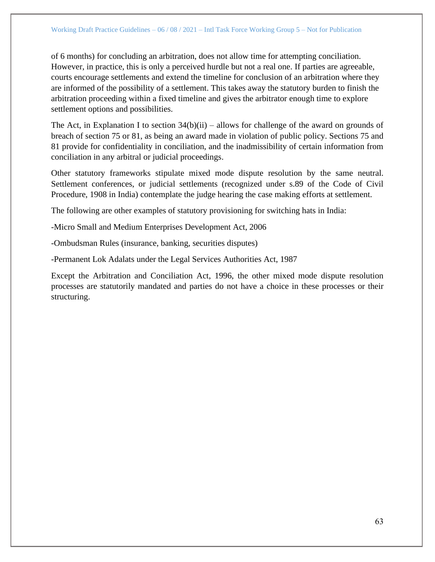of 6 months) for concluding an arbitration, does not allow time for attempting conciliation. However, in practice, this is only a perceived hurdle but not a real one. If parties are agreeable, courts encourage settlements and extend the timeline for conclusion of an arbitration where they are informed of the possibility of a settlement. This takes away the statutory burden to finish the arbitration proceeding within a fixed timeline and gives the arbitrator enough time to explore settlement options and possibilities.

The Act, in Explanation I to section  $34(b)(ii)$  – allows for challenge of the award on grounds of breach of section 75 or 81, as being an award made in violation of public policy. Sections 75 and 81 provide for confidentiality in conciliation, and the inadmissibility of certain information from conciliation in any arbitral or judicial proceedings.

Other statutory frameworks stipulate mixed mode dispute resolution by the same neutral. Settlement conferences, or judicial settlements (recognized under s.89 of the Code of Civil Procedure, 1908 in India) contemplate the judge hearing the case making efforts at settlement.

The following are other examples of statutory provisioning for switching hats in India:

-Micro Small and Medium Enterprises Development Act, 2006

-Ombudsman Rules (insurance, banking, securities disputes)

-Permanent Lok Adalats under the Legal Services Authorities Act, 1987

Except the Arbitration and Conciliation Act, 1996, the other mixed mode dispute resolution processes are statutorily mandated and parties do not have a choice in these processes or their structuring.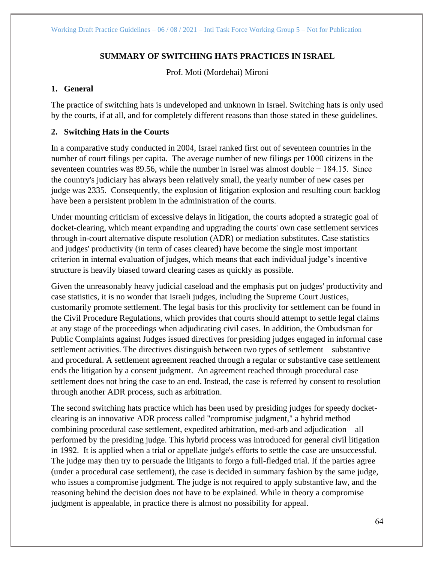## **SUMMARY OF SWITCHING HATS PRACTICES IN ISRAEL**

Prof. Moti (Mordehai) Mironi

## **1. General**

The practice of switching hats is undeveloped and unknown in Israel. Switching hats is only used by the courts, if at all, and for completely different reasons than those stated in these guidelines.

## **2. Switching Hats in the Courts**

In a comparative study conducted in 2004, Israel ranked first out of seventeen countries in the number of court filings per capita. The average number of new filings per 1000 citizens in the seventeen countries was 89.56, while the number in Israel was almost double − 184.15. Since the country's judiciary has always been relatively small, the yearly number of new cases per judge was 2335. Consequently, the explosion of litigation explosion and resulting court backlog have been a persistent problem in the administration of the courts.

Under mounting criticism of excessive delays in litigation, the courts adopted a strategic goal of docket-clearing, which meant expanding and upgrading the courts' own case settlement services through in-court alternative dispute resolution (ADR) or mediation substitutes. Case statistics and judges' productivity (in term of cases cleared) have become the single most important criterion in internal evaluation of judges, which means that each individual judge's incentive structure is heavily biased toward clearing cases as quickly as possible.

Given the unreasonably heavy judicial caseload and the emphasis put on judges' productivity and case statistics, it is no wonder that Israeli judges, including the Supreme Court Justices, customarily promote settlement. The legal basis for this proclivity for settlement can be found in the Civil Procedure Regulations, which provides that courts should attempt to settle legal claims at any stage of the proceedings when adjudicating civil cases. In addition, the Ombudsman for Public Complaints against Judges issued directives for presiding judges engaged in informal case settlement activities. The directives distinguish between two types of settlement – substantive and procedural. A settlement agreement reached through a regular or substantive case settlement ends the litigation by a consent judgment. An agreement reached through procedural case settlement does not bring the case to an end. Instead, the case is referred by consent to resolution through another ADR process, such as arbitration.

The second switching hats practice which has been used by presiding judges for speedy docketclearing is an innovative ADR process called "compromise judgment," a hybrid method combining procedural case settlement, expedited arbitration, med-arb and adjudication – all performed by the presiding judge. This hybrid process was introduced for general civil litigation in 1992. It is applied when a trial or appellate judge's efforts to settle the case are unsuccessful. The judge may then try to persuade the litigants to forgo a full-fledged trial. If the parties agree (under a procedural case settlement), the case is decided in summary fashion by the same judge, who issues a compromise judgment. The judge is not required to apply substantive law, and the reasoning behind the decision does not have to be explained. While in theory a compromise judgment is appealable, in practice there is almost no possibility for appeal.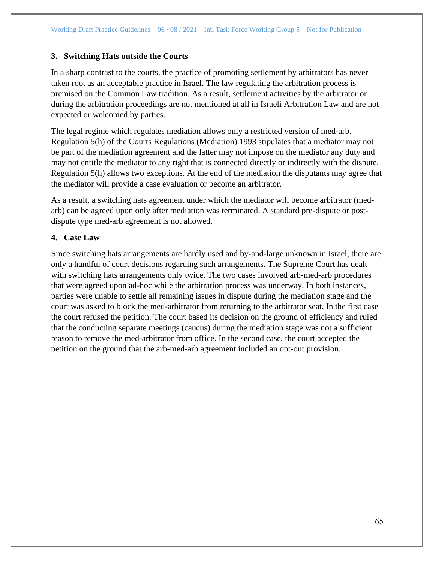## **3. Switching Hats outside the Courts**

In a sharp contrast to the courts, the practice of promoting settlement by arbitrators has never taken root as an acceptable practice in Israel. The law regulating the arbitration process is premised on the Common Law tradition. As a result, settlement activities by the arbitrator or during the arbitration proceedings are not mentioned at all in Israeli Arbitration Law and are not expected or welcomed by parties.

The legal regime which regulates mediation allows only a restricted version of med-arb. Regulation 5(h) of the Courts Regulations (Mediation) 1993 stipulates that a mediator may not be part of the mediation agreement and the latter may not impose on the mediator any duty and may not entitle the mediator to any right that is connected directly or indirectly with the dispute. Regulation 5(h) allows two exceptions. At the end of the mediation the disputants may agree that the mediator will provide a case evaluation or become an arbitrator.

As a result, a switching hats agreement under which the mediator will become arbitrator (medarb) can be agreed upon only after mediation was terminated. A standard pre-dispute or postdispute type med-arb agreement is not allowed.

## **4. Case Law**

Since switching hats arrangements are hardly used and by-and-large unknown in Israel, there are only a handful of court decisions regarding such arrangements. The Supreme Court has dealt with switching hats arrangements only twice. The two cases involved arb-med-arb procedures that were agreed upon ad-hoc while the arbitration process was underway. In both instances, parties were unable to settle all remaining issues in dispute during the mediation stage and the court was asked to block the med-arbitrator from returning to the arbitrator seat. In the first case the court refused the petition. The court based its decision on the ground of efficiency and ruled that the conducting separate meetings (caucus) during the mediation stage was not a sufficient reason to remove the med-arbitrator from office. In the second case, the court accepted the petition on the ground that the arb-med-arb agreement included an opt-out provision.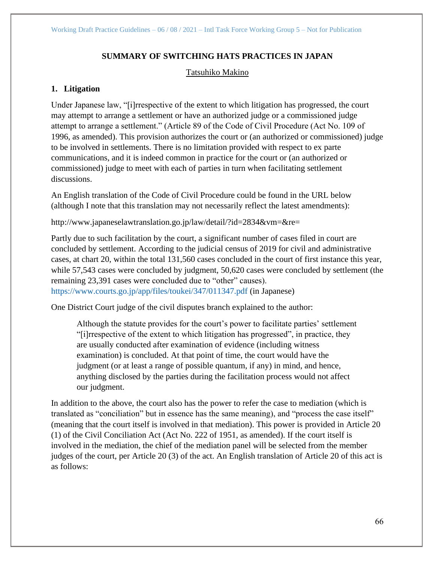# **SUMMARY OF SWITCHING HATS PRACTICES IN JAPAN**

## Tatsuhiko Makino

## **1. Litigation**

Under Japanese law, "[i]rrespective of the extent to which litigation has progressed, the court may attempt to arrange a settlement or have an authorized judge or a commissioned judge attempt to arrange a settlement." (Article 89 of the Code of Civil Procedure (Act No. 109 of 1996, as amended). This provision authorizes the court or (an authorized or commissioned) judge to be involved in settlements. There is no limitation provided with respect to ex parte communications, and it is indeed common in practice for the court or (an authorized or commissioned) judge to meet with each of parties in turn when facilitating settlement discussions.

An English translation of the Code of Civil Procedure could be found in the URL below (although I note that this translation may not necessarily reflect the latest amendments):

http://www.japaneselawtranslation.go.jp/law/detail/?id=2834&vm=&re=

Partly due to such facilitation by the court, a significant number of cases filed in court are concluded by settlement. According to the judicial census of 2019 for civil and administrative cases, at chart 20, within the total 131,560 cases concluded in the court of first instance this year, while 57,543 cases were concluded by judgment, 50,620 cases were concluded by settlement (the remaining 23,391 cases were concluded due to "other" causes). <https://www.courts.go.jp/app/files/toukei/347/011347.pdf> (in Japanese)

One District Court judge of the civil disputes branch explained to the author:

Although the statute provides for the court's power to facilitate parties' settlement "[i]rrespective of the extent to which litigation has progressed", in practice, they are usually conducted after examination of evidence (including witness examination) is concluded. At that point of time, the court would have the judgment (or at least a range of possible quantum, if any) in mind, and hence, anything disclosed by the parties during the facilitation process would not affect our judgment.

In addition to the above, the court also has the power to refer the case to mediation (which is translated as "conciliation" but in essence has the same meaning), and "process the case itself" (meaning that the court itself is involved in that mediation). This power is provided in Article 20 (1) of the Civil Conciliation Act (Act No. 222 of 1951, as amended). If the court itself is involved in the mediation, the chief of the mediation panel will be selected from the member judges of the court, per Article 20 (3) of the act. An English translation of Article 20 of this act is as follows: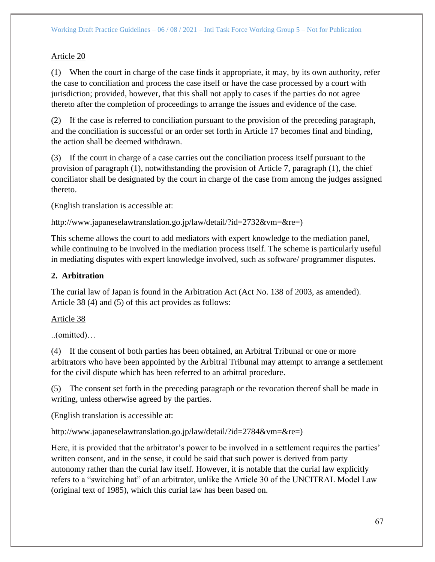# Article 20

(1) When the court in charge of the case finds it appropriate, it may, by its own authority, refer the case to conciliation and process the case itself or have the case processed by a court with jurisdiction; provided, however, that this shall not apply to cases if the parties do not agree thereto after the completion of proceedings to arrange the issues and evidence of the case.

(2) If the case is referred to conciliation pursuant to the provision of the preceding paragraph, and the conciliation is successful or an order set forth in Article 17 becomes final and binding, the action shall be deemed withdrawn.

(3) If the court in charge of a case carries out the conciliation process itself pursuant to the provision of paragraph (1), notwithstanding the provision of Article 7, paragraph (1), the chief conciliator shall be designated by the court in charge of the case from among the judges assigned thereto.

(English translation is accessible at:

http://www.japaneselawtranslation.go.jp/law/detail/?id=2732&vm=&re=)

This scheme allows the court to add mediators with expert knowledge to the mediation panel, while continuing to be involved in the mediation process itself. The scheme is particularly useful in mediating disputes with expert knowledge involved, such as software/ programmer disputes.

# **2. Arbitration**

The curial law of Japan is found in the Arbitration Act (Act No. 138 of 2003, as amended). Article 38 (4) and (5) of this act provides as follows:

# Article 38

..(omitted)…

(4) If the consent of both parties has been obtained, an Arbitral Tribunal or one or more arbitrators who have been appointed by the Arbitral Tribunal may attempt to arrange a settlement for the civil dispute which has been referred to an arbitral procedure.

(5) The consent set forth in the preceding paragraph or the revocation thereof shall be made in writing, unless otherwise agreed by the parties.

(English translation is accessible at:

http://www.japaneselawtranslation.go.jp/law/detail/?id=2784&vm=&re=)

Here, it is provided that the arbitrator's power to be involved in a settlement requires the parties' written consent, and in the sense, it could be said that such power is derived from party autonomy rather than the curial law itself. However, it is notable that the curial law explicitly refers to a "switching hat" of an arbitrator, unlike the Article 30 of the UNCITRAL Model Law (original text of 1985), which this curial law has been based on.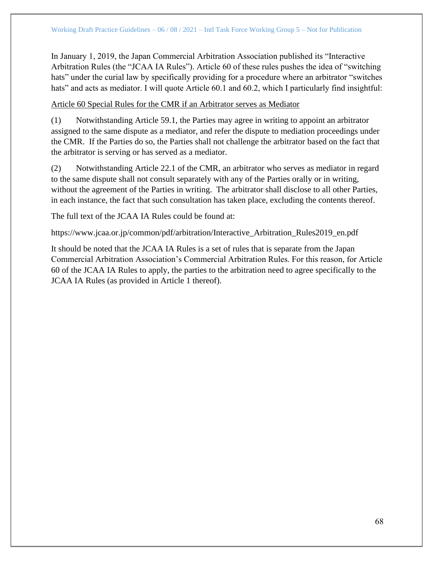In January 1, 2019, the Japan Commercial Arbitration Association published its "Interactive Arbitration Rules (the "JCAA IA Rules"). Article 60 of these rules pushes the idea of "switching hats" under the curial law by specifically providing for a procedure where an arbitrator "switches" hats" and acts as mediator. I will quote Article 60.1 and 60.2, which I particularly find insightful:

## Article 60 Special Rules for the CMR if an Arbitrator serves as Mediator

(1) Notwithstanding Article 59.1, the Parties may agree in writing to appoint an arbitrator assigned to the same dispute as a mediator, and refer the dispute to mediation proceedings under the CMR. If the Parties do so, the Parties shall not challenge the arbitrator based on the fact that the arbitrator is serving or has served as a mediator.

(2) Notwithstanding Article 22.1 of the CMR, an arbitrator who serves as mediator in regard to the same dispute shall not consult separately with any of the Parties orally or in writing, without the agreement of the Parties in writing. The arbitrator shall disclose to all other Parties, in each instance, the fact that such consultation has taken place, excluding the contents thereof.

The full text of the JCAA IA Rules could be found at:

https://www.jcaa.or.jp/common/pdf/arbitration/Interactive\_Arbitration\_Rules2019\_en.pdf

It should be noted that the JCAA IA Rules is a set of rules that is separate from the Japan Commercial Arbitration Association's Commercial Arbitration Rules. For this reason, for Article 60 of the JCAA IA Rules to apply, the parties to the arbitration need to agree specifically to the JCAA IA Rules (as provided in Article 1 thereof).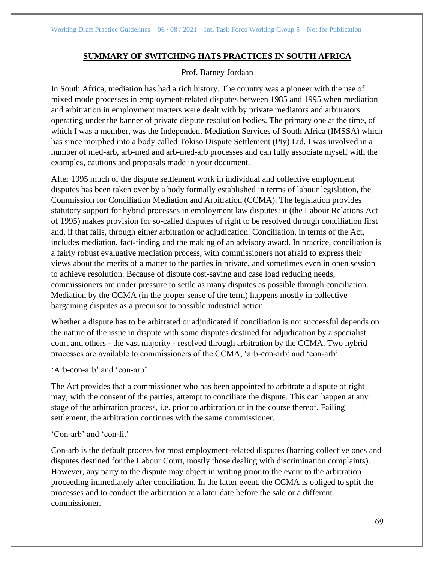## **SUMMARY OF SWITCHING HATS PRACTICES IN SOUTH AFRICA**

Prof. Barney Jordaan

In South Africa, mediation has had a rich history. The country was a pioneer with the use of mixed mode processes in employment-related disputes between 1985 and 1995 when mediation and arbitration in employment matters were dealt with by private mediators and arbitrators operating under the banner of private dispute resolution bodies. The primary one at the time, of which I was a member, was the Independent Mediation Services of South Africa (IMSSA) which has since morphed into a body called Tokiso Dispute Settlement (Pty) Ltd. I was involved in a number of med-arb, arb-med and arb-med-arb processes and can fully associate myself with the examples, cautions and proposals made in your document.

After 1995 much of the dispute settlement work in individual and collective employment disputes has been taken over by a body formally established in terms of labour legislation, the Commission for Conciliation Mediation and Arbitration (CCMA). The legislation provides statutory support for hybrid processes in employment law disputes: it (the Labour Relations Act of 1995) makes provision for so-called disputes of right to be resolved through conciliation first and, if that fails, through either arbitration or adjudication. Conciliation, in terms of the Act, includes mediation, fact-finding and the making of an advisory award. In practice, conciliation is a fairly robust evaluative mediation process, with commissioners not afraid to express their views about the merits of a matter to the parties in private, and sometimes even in open session to achieve resolution. Because of dispute cost-saving and case load reducing needs, commissioners are under pressure to settle as many disputes as possible through conciliation. Mediation by the CCMA (in the proper sense of the term) happens mostly in collective bargaining disputes as a precursor to possible industrial action.

Whether a dispute has to be arbitrated or adjudicated if conciliation is not successful depends on the nature of the issue in dispute with some disputes destined for adjudication by a specialist court and others - the vast majority - resolved through arbitration by the CCMA. Two hybrid processes are available to commissioners of the CCMA, 'arb-con-arb' and 'con-arb'.

## 'Arb-con-arb' and 'con-arb'

The Act provides that a commissioner who has been appointed to arbitrate a dispute of right may, with the consent of the parties, attempt to conciliate the dispute. This can happen at any stage of the arbitration process, i.e. prior to arbitration or in the course thereof. Failing settlement, the arbitration continues with the same commissioner.

### 'Con-arb' and 'con-lit'

Con-arb is the default process for most employment-related disputes (barring collective ones and disputes destined for the Labour Court, mostly those dealing with discrimination complaints). However, any party to the dispute may object in writing prior to the event to the arbitration proceeding immediately after conciliation. In the latter event, the CCMA is obliged to split the processes and to conduct the arbitration at a later date before the sale or a different commissioner.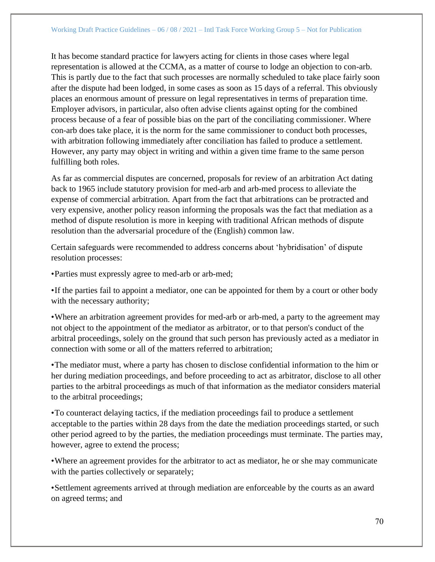It has become standard practice for lawyers acting for clients in those cases where legal representation is allowed at the CCMA, as a matter of course to lodge an objection to con-arb. This is partly due to the fact that such processes are normally scheduled to take place fairly soon after the dispute had been lodged, in some cases as soon as 15 days of a referral. This obviously places an enormous amount of pressure on legal representatives in terms of preparation time. Employer advisors, in particular, also often advise clients against opting for the combined process because of a fear of possible bias on the part of the conciliating commissioner. Where con-arb does take place, it is the norm for the same commissioner to conduct both processes, with arbitration following immediately after conciliation has failed to produce a settlement. However, any party may object in writing and within a given time frame to the same person fulfilling both roles.

As far as commercial disputes are concerned, proposals for review of an arbitration Act dating back to 1965 include statutory provision for med-arb and arb-med process to alleviate the expense of commercial arbitration. Apart from the fact that arbitrations can be protracted and very expensive, another policy reason informing the proposals was the fact that mediation as a method of dispute resolution is more in keeping with traditional African methods of dispute resolution than the adversarial procedure of the (English) common law.

Certain safeguards were recommended to address concerns about 'hybridisation' of dispute resolution processes:

•Parties must expressly agree to med-arb or arb-med;

•If the parties fail to appoint a mediator, one can be appointed for them by a court or other body with the necessary authority;

•Where an arbitration agreement provides for med-arb or arb-med, a party to the agreement may not object to the appointment of the mediator as arbitrator, or to that person's conduct of the arbitral proceedings, solely on the ground that such person has previously acted as a mediator in connection with some or all of the matters referred to arbitration;

•The mediator must, where a party has chosen to disclose confidential information to the him or her during mediation proceedings, and before proceeding to act as arbitrator, disclose to all other parties to the arbitral proceedings as much of that information as the mediator considers material to the arbitral proceedings;

•To counteract delaying tactics, if the mediation proceedings fail to produce a settlement acceptable to the parties within 28 days from the date the mediation proceedings started, or such other period agreed to by the parties, the mediation proceedings must terminate. The parties may, however, agree to extend the process;

•Where an agreement provides for the arbitrator to act as mediator, he or she may communicate with the parties collectively or separately;

•Settlement agreements arrived at through mediation are enforceable by the courts as an award on agreed terms; and